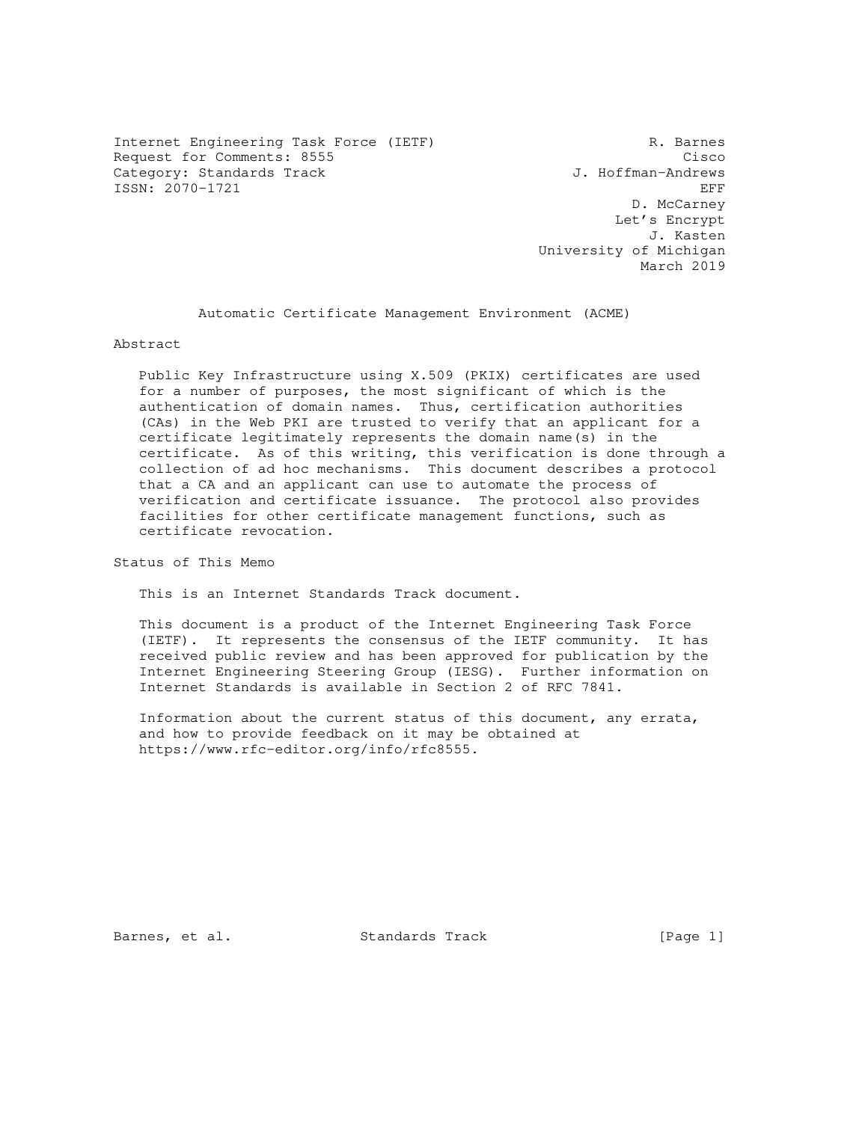Internet Engineering Task Force (IETF) R. Barnes<br>Request for Comments: 8555 Request for Comments: 8555 Cisco Category: Standards Track ISSN: 2070-1721 EFF

 D. McCarney Let's Encrypt J. Kasten University of Michigan March 2019

Automatic Certificate Management Environment (ACME)

Abstract

 Public Key Infrastructure using X.509 (PKIX) certificates are used for a number of purposes, the most significant of which is the authentication of domain names. Thus, certification authorities (CAs) in the Web PKI are trusted to verify that an applicant for a certificate legitimately represents the domain name(s) in the certificate. As of this writing, this verification is done through a collection of ad hoc mechanisms. This document describes a protocol that a CA and an applicant can use to automate the process of verification and certificate issuance. The protocol also provides facilities for other certificate management functions, such as certificate revocation.

Status of This Memo

This is an Internet Standards Track document.

 This document is a product of the Internet Engineering Task Force (IETF). It represents the consensus of the IETF community. It has received public review and has been approved for publication by the Internet Engineering Steering Group (IESG). Further information on Internet Standards is available in Section 2 of RFC 7841.

 Information about the current status of this document, any errata, and how to provide feedback on it may be obtained at https://www.rfc-editor.org/info/rfc8555.

Barnes, et al. Standards Track [Page 1]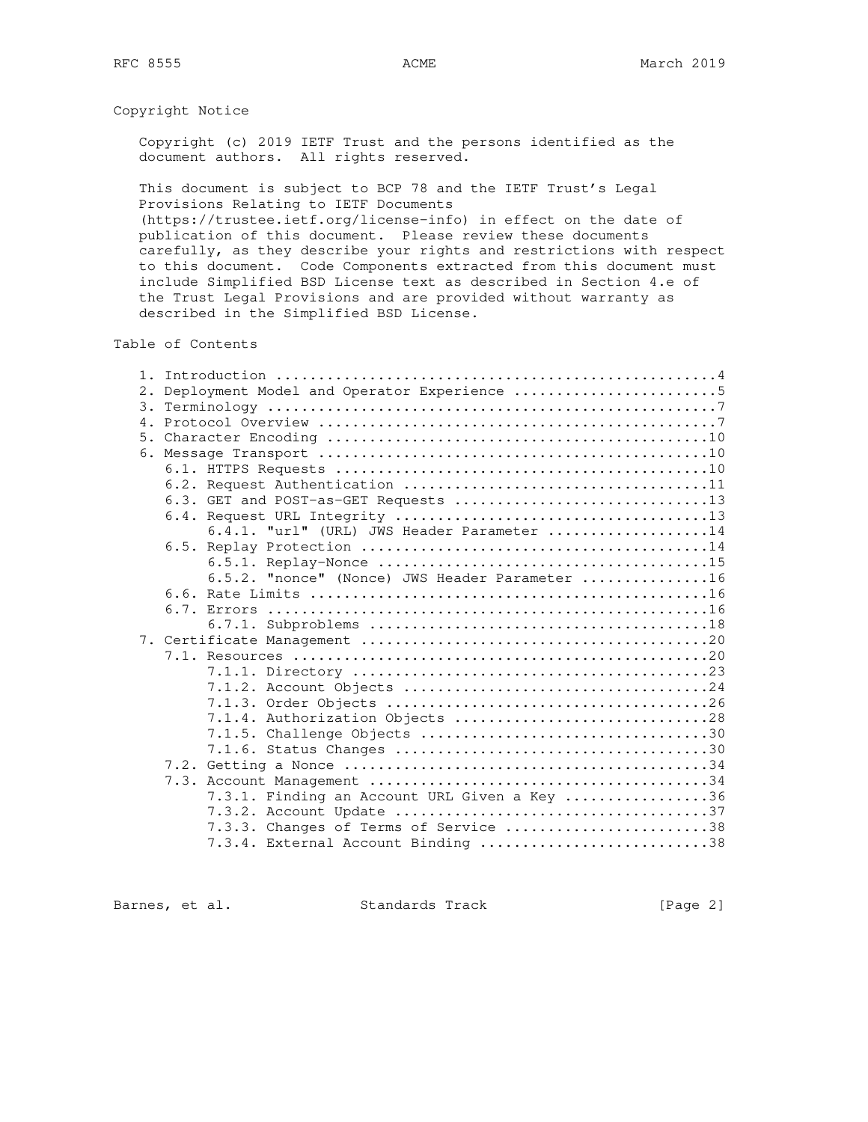## Copyright Notice

 Copyright (c) 2019 IETF Trust and the persons identified as the document authors. All rights reserved.

 This document is subject to BCP 78 and the IETF Trust's Legal Provisions Relating to IETF Documents

 (https://trustee.ietf.org/license-info) in effect on the date of publication of this document. Please review these documents carefully, as they describe your rights and restrictions with respect to this document. Code Components extracted from this document must include Simplified BSD License text as described in Section 4.e of the Trust Legal Provisions and are provided without warranty as described in the Simplified BSD License.

Table of Contents

| 2. |                                                |
|----|------------------------------------------------|
|    |                                                |
|    |                                                |
|    |                                                |
|    |                                                |
|    |                                                |
|    |                                                |
|    | 6.3. GET and POST-as-GET Requests 13           |
|    |                                                |
|    | 6.4.1. "url" (URL) JWS Header Parameter 14     |
|    |                                                |
|    |                                                |
|    | 6.5.2. "nonce" (Nonce) JWS Header Parameter 16 |
|    |                                                |
|    |                                                |
|    |                                                |
|    |                                                |
|    |                                                |
|    |                                                |
|    |                                                |
|    |                                                |
|    | 7.1.4. Authorization Objects 28                |
|    |                                                |
|    |                                                |
|    |                                                |
|    |                                                |
|    | 7.3.1. Finding an Account URL Given a Key 36   |
|    |                                                |
|    | 7.3.3. Changes of Terms of Service 38          |
|    | 7.3.4. External Account Binding 38             |

Barnes, et al. Standards Track [Page 2]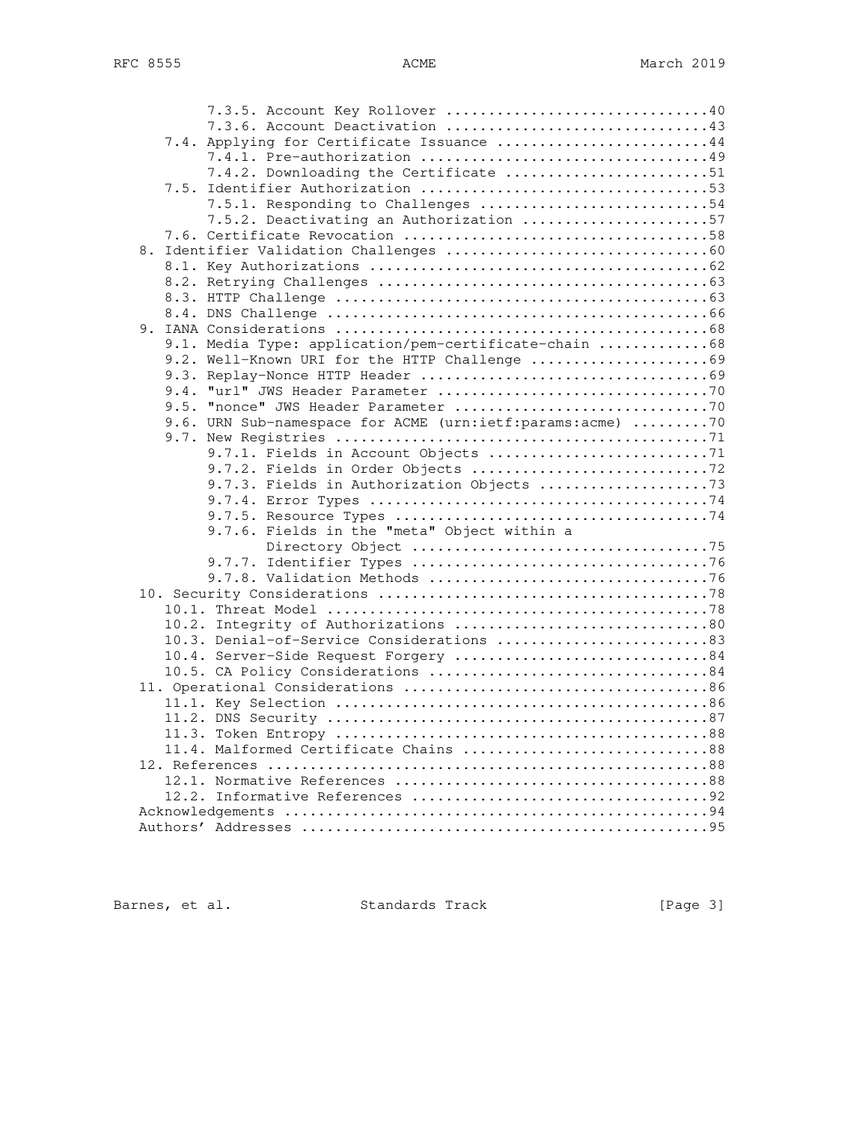|  |      | 7.3.6. Account Deactivation 43                            |  |
|--|------|-----------------------------------------------------------|--|
|  |      | 7.4. Applying for Certificate Issuance 44                 |  |
|  |      |                                                           |  |
|  |      | 7.4.2. Downloading the Certificate 51                     |  |
|  |      |                                                           |  |
|  |      | 7.5.1. Responding to Challenges 54                        |  |
|  |      | 7.5.2. Deactivating an Authorization 57                   |  |
|  |      |                                                           |  |
|  |      |                                                           |  |
|  |      |                                                           |  |
|  |      |                                                           |  |
|  |      |                                                           |  |
|  |      |                                                           |  |
|  |      |                                                           |  |
|  |      | 9.1. Media Type: application/pem-certificate-chain 68     |  |
|  |      | 9.2. Well-Known URI for the HTTP Challenge 69             |  |
|  |      |                                                           |  |
|  | 9.4. |                                                           |  |
|  |      |                                                           |  |
|  |      | 9.6. URN Sub-namespace for ACME (urn:ietf:params:acme) 70 |  |
|  |      |                                                           |  |
|  |      |                                                           |  |
|  |      |                                                           |  |
|  |      |                                                           |  |
|  |      |                                                           |  |
|  |      | 9.7.6. Fields in the "meta" Object within a               |  |
|  |      |                                                           |  |
|  |      |                                                           |  |
|  |      |                                                           |  |
|  |      |                                                           |  |
|  |      |                                                           |  |
|  |      | 10.2. Integrity of Authorizations 80                      |  |
|  |      | 10.3. Denial-of-Service Considerations 83                 |  |
|  |      | 10.4. Server-Side Request Forgery 84                      |  |
|  |      |                                                           |  |
|  |      |                                                           |  |
|  |      |                                                           |  |
|  |      |                                                           |  |
|  |      |                                                           |  |
|  |      | 11.4. Malformed Certificate Chains 88                     |  |
|  |      |                                                           |  |
|  |      |                                                           |  |
|  |      |                                                           |  |
|  |      |                                                           |  |
|  |      |                                                           |  |
|  |      |                                                           |  |

Barnes, et al. Standards Track [Page 3]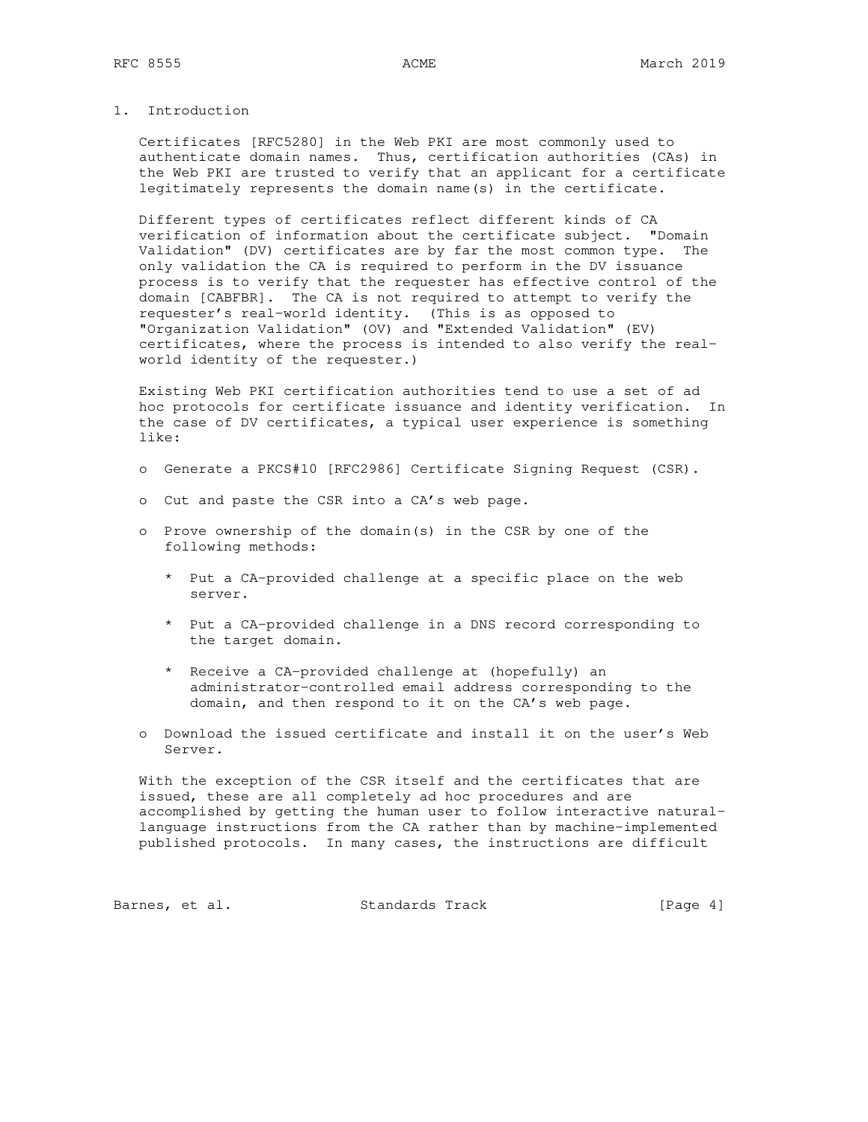## 1. Introduction

 Certificates [RFC5280] in the Web PKI are most commonly used to authenticate domain names. Thus, certification authorities (CAs) in the Web PKI are trusted to verify that an applicant for a certificate legitimately represents the domain name(s) in the certificate.

 Different types of certificates reflect different kinds of CA verification of information about the certificate subject. "Domain Validation" (DV) certificates are by far the most common type. The only validation the CA is required to perform in the DV issuance process is to verify that the requester has effective control of the domain [CABFBR]. The CA is not required to attempt to verify the requester's real-world identity. (This is as opposed to "Organization Validation" (OV) and "Extended Validation" (EV) certificates, where the process is intended to also verify the real world identity of the requester.)

 Existing Web PKI certification authorities tend to use a set of ad hoc protocols for certificate issuance and identity verification. In the case of DV certificates, a typical user experience is something like:

- o Generate a PKCS#10 [RFC2986] Certificate Signing Request (CSR).
- o Cut and paste the CSR into a CA's web page.
- o Prove ownership of the domain(s) in the CSR by one of the following methods:
	- \* Put a CA-provided challenge at a specific place on the web server.
	- \* Put a CA-provided challenge in a DNS record corresponding to the target domain.
	- \* Receive a CA-provided challenge at (hopefully) an administrator-controlled email address corresponding to the domain, and then respond to it on the CA's web page.
- o Download the issued certificate and install it on the user's Web Server.

 With the exception of the CSR itself and the certificates that are issued, these are all completely ad hoc procedures and are accomplished by getting the human user to follow interactive natural language instructions from the CA rather than by machine-implemented published protocols. In many cases, the instructions are difficult

Barnes, et al. Standards Track [Page 4]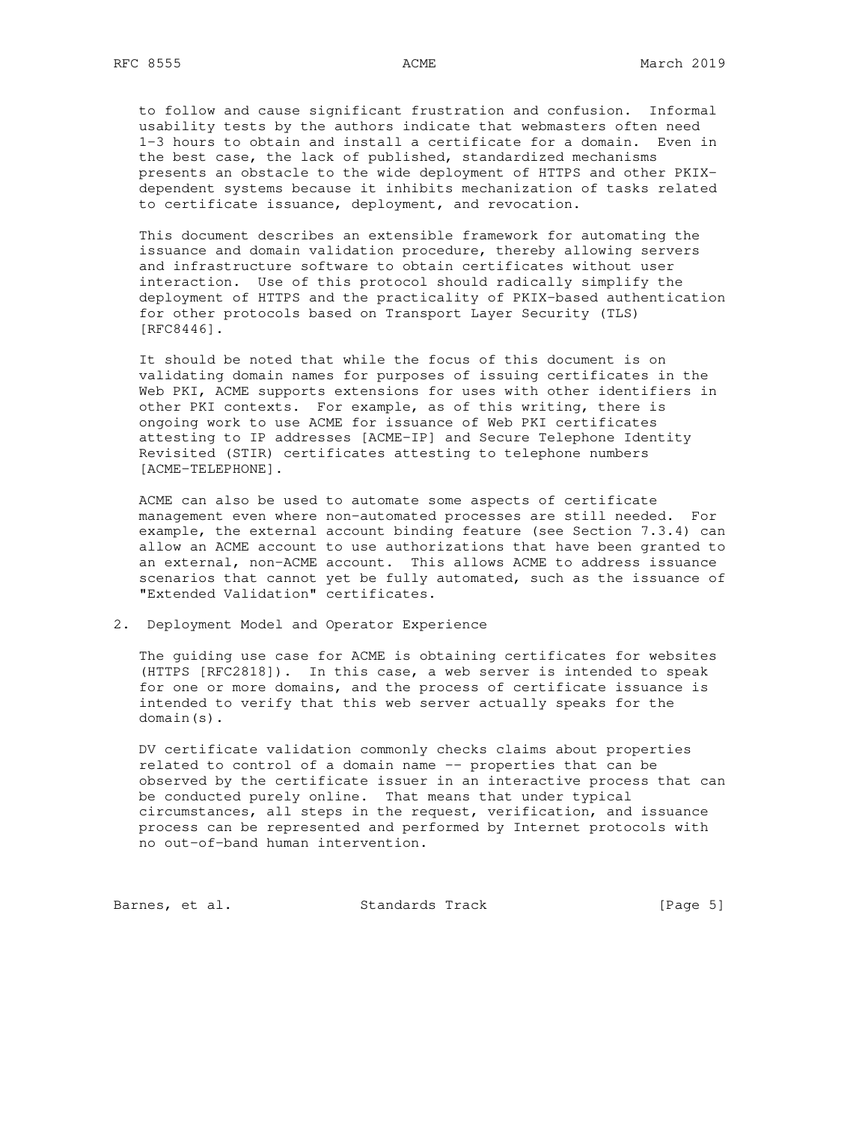to follow and cause significant frustration and confusion. Informal usability tests by the authors indicate that webmasters often need 1-3 hours to obtain and install a certificate for a domain. Even in the best case, the lack of published, standardized mechanisms presents an obstacle to the wide deployment of HTTPS and other PKIX dependent systems because it inhibits mechanization of tasks related to certificate issuance, deployment, and revocation.

 This document describes an extensible framework for automating the issuance and domain validation procedure, thereby allowing servers and infrastructure software to obtain certificates without user interaction. Use of this protocol should radically simplify the deployment of HTTPS and the practicality of PKIX-based authentication for other protocols based on Transport Layer Security (TLS) [RFC8446].

 It should be noted that while the focus of this document is on validating domain names for purposes of issuing certificates in the Web PKI, ACME supports extensions for uses with other identifiers in other PKI contexts. For example, as of this writing, there is ongoing work to use ACME for issuance of Web PKI certificates attesting to IP addresses [ACME-IP] and Secure Telephone Identity Revisited (STIR) certificates attesting to telephone numbers [ACME-TELEPHONE].

 ACME can also be used to automate some aspects of certificate management even where non-automated processes are still needed. For example, the external account binding feature (see Section 7.3.4) can allow an ACME account to use authorizations that have been granted to an external, non-ACME account. This allows ACME to address issuance scenarios that cannot yet be fully automated, such as the issuance of "Extended Validation" certificates.

2. Deployment Model and Operator Experience

 The guiding use case for ACME is obtaining certificates for websites (HTTPS [RFC2818]). In this case, a web server is intended to speak for one or more domains, and the process of certificate issuance is intended to verify that this web server actually speaks for the domain(s).

 DV certificate validation commonly checks claims about properties related to control of a domain name -- properties that can be observed by the certificate issuer in an interactive process that can be conducted purely online. That means that under typical circumstances, all steps in the request, verification, and issuance process can be represented and performed by Internet protocols with no out-of-band human intervention.

Barnes, et al. Standards Track [Page 5]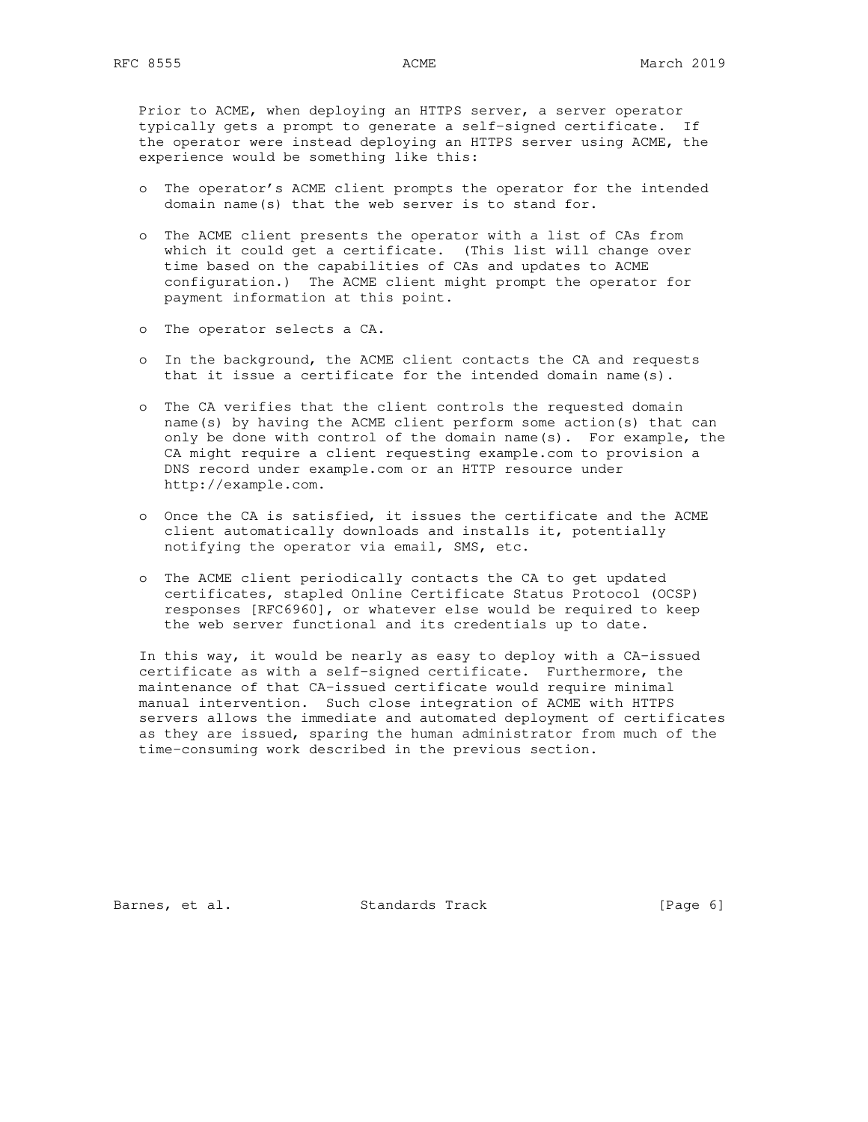Prior to ACME, when deploying an HTTPS server, a server operator typically gets a prompt to generate a self-signed certificate. If the operator were instead deploying an HTTPS server using ACME, the experience would be something like this:

- o The operator's ACME client prompts the operator for the intended domain name(s) that the web server is to stand for.
- o The ACME client presents the operator with a list of CAs from which it could get a certificate. (This list will change over time based on the capabilities of CAs and updates to ACME configuration.) The ACME client might prompt the operator for payment information at this point.
- o The operator selects a CA.
- o In the background, the ACME client contacts the CA and requests that it issue a certificate for the intended domain name(s).
- o The CA verifies that the client controls the requested domain name(s) by having the ACME client perform some action(s) that can only be done with control of the domain name(s). For example, the CA might require a client requesting example.com to provision a DNS record under example.com or an HTTP resource under http://example.com.
- o Once the CA is satisfied, it issues the certificate and the ACME client automatically downloads and installs it, potentially notifying the operator via email, SMS, etc.
- o The ACME client periodically contacts the CA to get updated certificates, stapled Online Certificate Status Protocol (OCSP) responses [RFC6960], or whatever else would be required to keep the web server functional and its credentials up to date.

 In this way, it would be nearly as easy to deploy with a CA-issued certificate as with a self-signed certificate. Furthermore, the maintenance of that CA-issued certificate would require minimal manual intervention. Such close integration of ACME with HTTPS servers allows the immediate and automated deployment of certificates as they are issued, sparing the human administrator from much of the time-consuming work described in the previous section.

Barnes, et al. Standards Track [Page 6]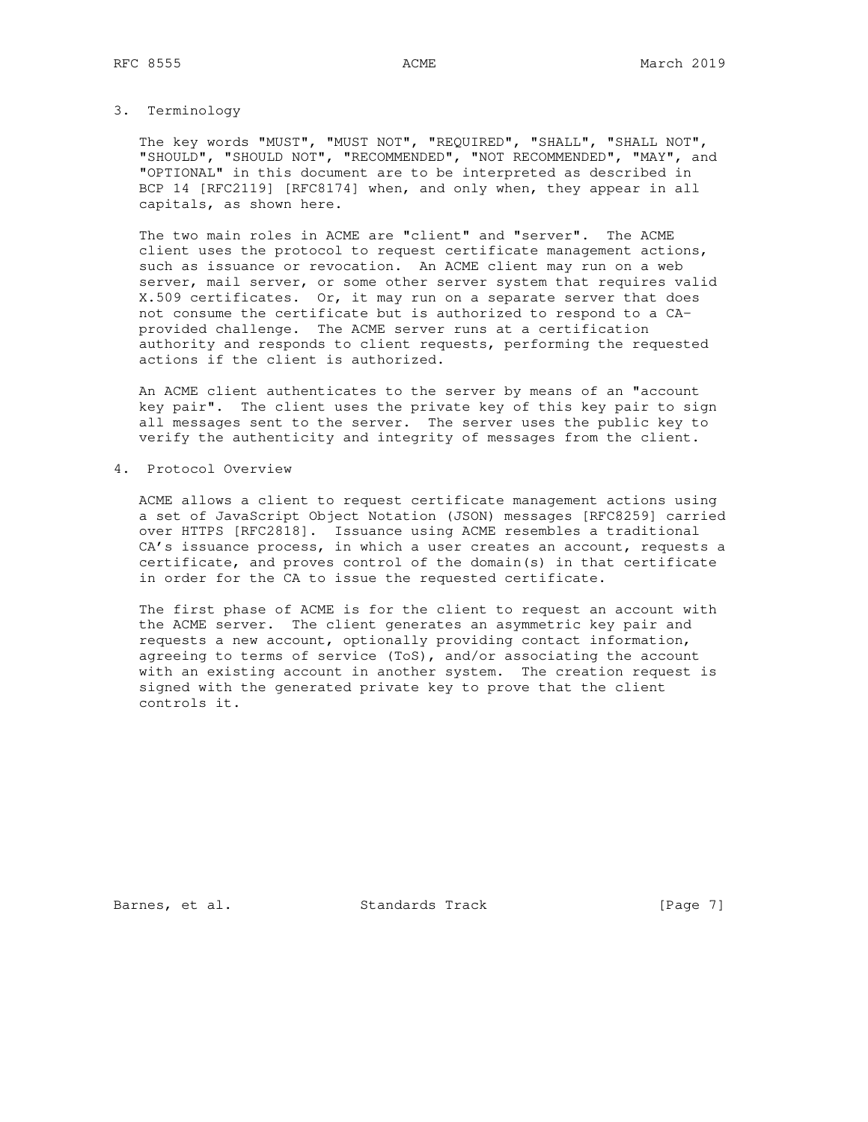### 3. Terminology

 The key words "MUST", "MUST NOT", "REQUIRED", "SHALL", "SHALL NOT", "SHOULD", "SHOULD NOT", "RECOMMENDED", "NOT RECOMMENDED", "MAY", and "OPTIONAL" in this document are to be interpreted as described in BCP 14 [RFC2119] [RFC8174] when, and only when, they appear in all capitals, as shown here.

 The two main roles in ACME are "client" and "server". The ACME client uses the protocol to request certificate management actions, such as issuance or revocation. An ACME client may run on a web server, mail server, or some other server system that requires valid X.509 certificates. Or, it may run on a separate server that does not consume the certificate but is authorized to respond to a CA provided challenge. The ACME server runs at a certification authority and responds to client requests, performing the requested actions if the client is authorized.

 An ACME client authenticates to the server by means of an "account key pair". The client uses the private key of this key pair to sign all messages sent to the server. The server uses the public key to verify the authenticity and integrity of messages from the client.

4. Protocol Overview

 ACME allows a client to request certificate management actions using a set of JavaScript Object Notation (JSON) messages [RFC8259] carried over HTTPS [RFC2818]. Issuance using ACME resembles a traditional CA's issuance process, in which a user creates an account, requests a certificate, and proves control of the domain(s) in that certificate in order for the CA to issue the requested certificate.

 The first phase of ACME is for the client to request an account with the ACME server. The client generates an asymmetric key pair and requests a new account, optionally providing contact information, agreeing to terms of service (ToS), and/or associating the account with an existing account in another system. The creation request is signed with the generated private key to prove that the client controls it.

Barnes, et al. Standards Track [Page 7]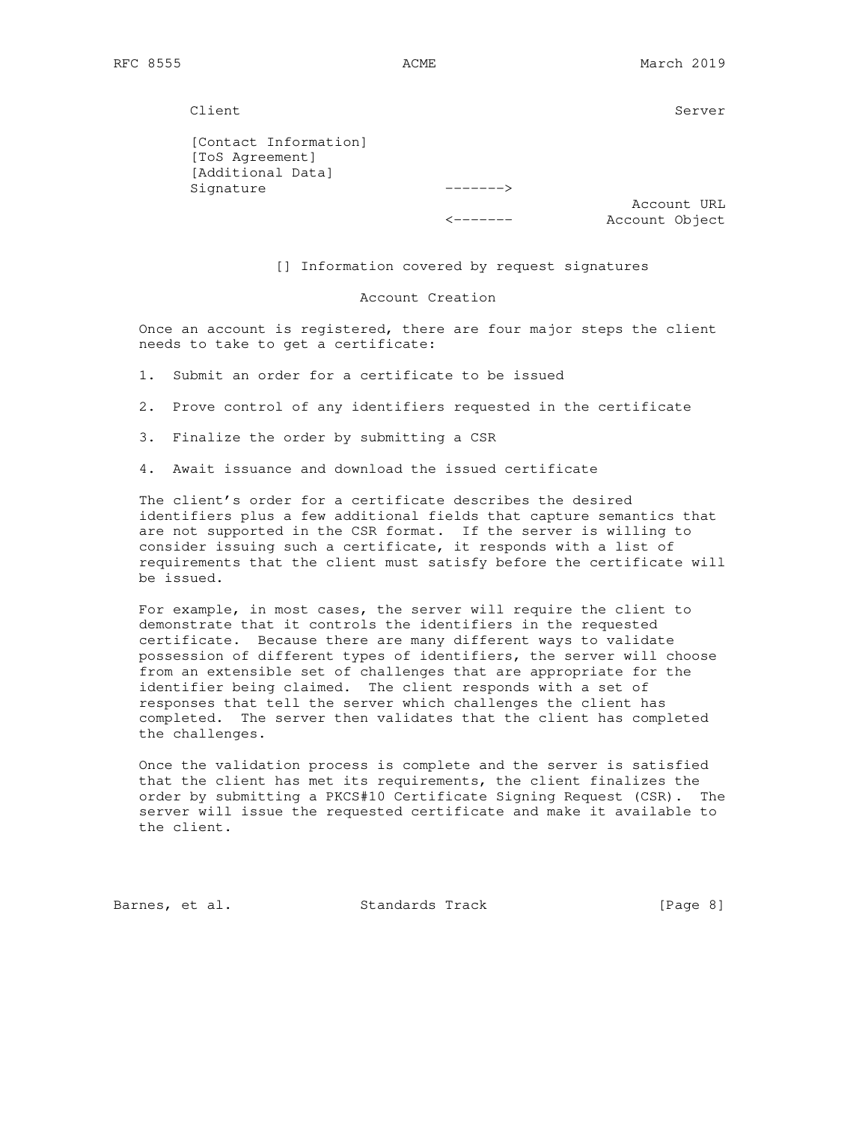Client Server Server Server Server Server Server Server Server Server Server Server Server Server Server Server

 [Contact Information] [ToS Agreement] [Additional Data] Signature ------->

 Account URL <------- Account Object

[] Information covered by request signatures

Account Creation

 Once an account is registered, there are four major steps the client needs to take to get a certificate:

1. Submit an order for a certificate to be issued

2. Prove control of any identifiers requested in the certificate

3. Finalize the order by submitting a CSR

4. Await issuance and download the issued certificate

 The client's order for a certificate describes the desired identifiers plus a few additional fields that capture semantics that are not supported in the CSR format. If the server is willing to consider issuing such a certificate, it responds with a list of requirements that the client must satisfy before the certificate will be issued.

 For example, in most cases, the server will require the client to demonstrate that it controls the identifiers in the requested certificate. Because there are many different ways to validate possession of different types of identifiers, the server will choose from an extensible set of challenges that are appropriate for the identifier being claimed. The client responds with a set of responses that tell the server which challenges the client has completed. The server then validates that the client has completed the challenges.

 Once the validation process is complete and the server is satisfied that the client has met its requirements, the client finalizes the order by submitting a PKCS#10 Certificate Signing Request (CSR). The server will issue the requested certificate and make it available to the client.

Barnes, et al. Standards Track [Page 8]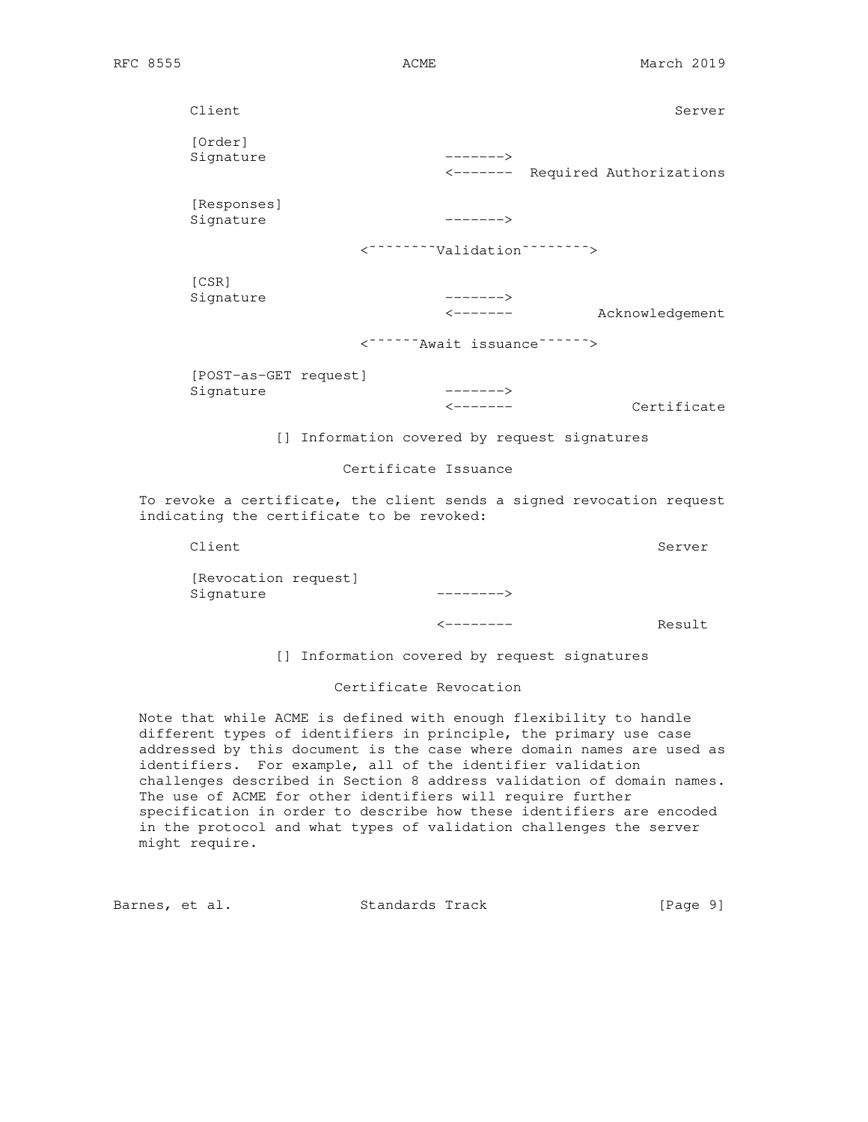| Client                                                                                                             |                                               | Server          |
|--------------------------------------------------------------------------------------------------------------------|-----------------------------------------------|-----------------|
| [Order]<br>Signature                                                                                               | $------>$<br><------- Required Authorizations |                 |
| [Responses]<br>Signature                                                                                           | $------$                                      |                 |
|                                                                                                                    | <"""""""""Nalidation""""""""">                |                 |
| [CSR]<br>Signature                                                                                                 | $------$<br>$\leftarrow$ - - - - - -          | Acknowledgement |
|                                                                                                                    | <""""""Await issuance"""""">                  |                 |
| [POST-as-GET request]<br>Signature                                                                                 | $------$<br>$\leftarrow$ - - - - - - -        | Certificate     |
|                                                                                                                    | [] Information covered by request signatures  |                 |
| Certificate Issuance                                                                                               |                                               |                 |
| To revoke a certificate, the client sends a signed revocation request<br>indicating the certificate to be revoked: |                                               |                 |
| Client                                                                                                             |                                               | Server          |

 [Revocation request] Signature -------->

<-------- Result

[] Information covered by request signatures

Certificate Revocation

 Note that while ACME is defined with enough flexibility to handle different types of identifiers in principle, the primary use case addressed by this document is the case where domain names are used as identifiers. For example, all of the identifier validation challenges described in Section 8 address validation of domain names. The use of ACME for other identifiers will require further specification in order to describe how these identifiers are encoded in the protocol and what types of validation challenges the server might require.

Barnes, et al. Standards Track [Page 9]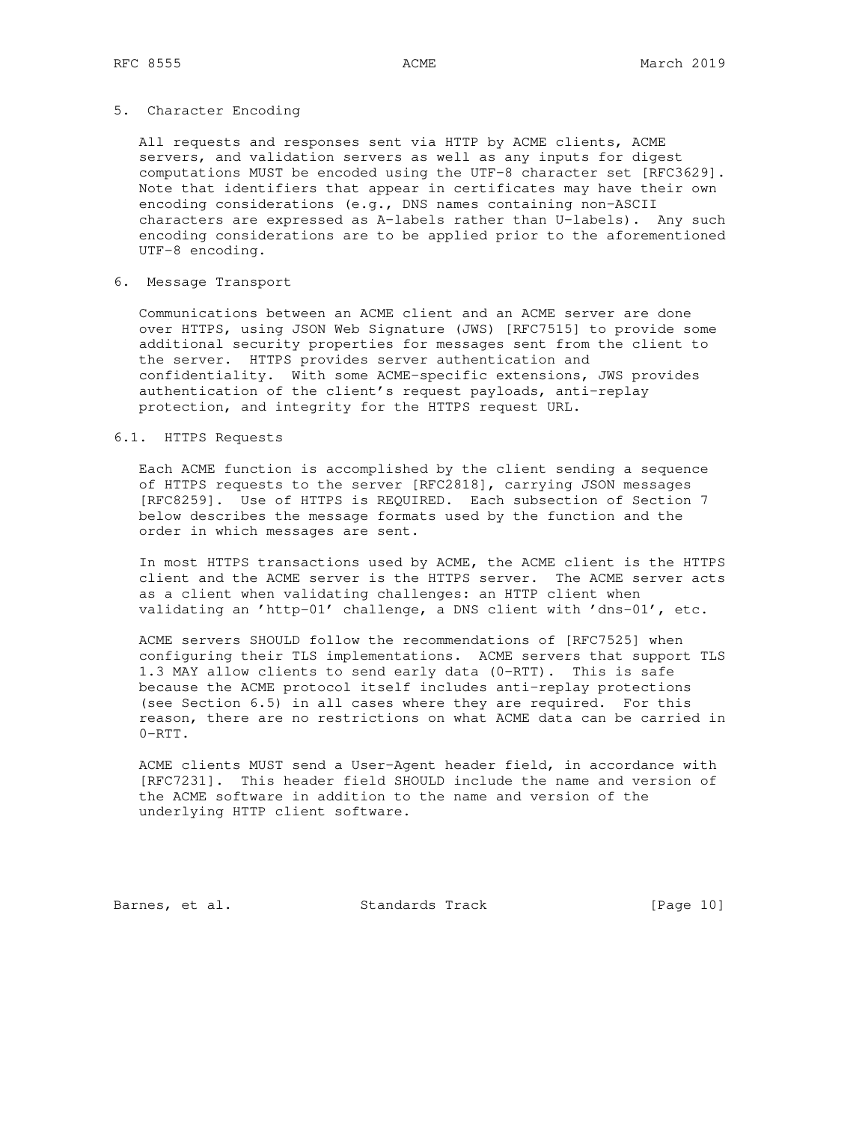### 5. Character Encoding

 All requests and responses sent via HTTP by ACME clients, ACME servers, and validation servers as well as any inputs for digest computations MUST be encoded using the UTF-8 character set [RFC3629]. Note that identifiers that appear in certificates may have their own encoding considerations (e.g., DNS names containing non-ASCII characters are expressed as A-labels rather than U-labels). Any such encoding considerations are to be applied prior to the aforementioned UTF-8 encoding.

## 6. Message Transport

 Communications between an ACME client and an ACME server are done over HTTPS, using JSON Web Signature (JWS) [RFC7515] to provide some additional security properties for messages sent from the client to the server. HTTPS provides server authentication and confidentiality. With some ACME-specific extensions, JWS provides authentication of the client's request payloads, anti-replay protection, and integrity for the HTTPS request URL.

## 6.1. HTTPS Requests

 Each ACME function is accomplished by the client sending a sequence of HTTPS requests to the server [RFC2818], carrying JSON messages [RFC8259]. Use of HTTPS is REQUIRED. Each subsection of Section 7 below describes the message formats used by the function and the order in which messages are sent.

 In most HTTPS transactions used by ACME, the ACME client is the HTTPS client and the ACME server is the HTTPS server. The ACME server acts as a client when validating challenges: an HTTP client when validating an 'http-01' challenge, a DNS client with 'dns-01', etc.

 ACME servers SHOULD follow the recommendations of [RFC7525] when configuring their TLS implementations. ACME servers that support TLS 1.3 MAY allow clients to send early data (0-RTT). This is safe because the ACME protocol itself includes anti-replay protections (see Section 6.5) in all cases where they are required. For this reason, there are no restrictions on what ACME data can be carried in 0-RTT.

 ACME clients MUST send a User-Agent header field, in accordance with [RFC7231]. This header field SHOULD include the name and version of the ACME software in addition to the name and version of the underlying HTTP client software.

Barnes, et al. Standards Track [Page 10]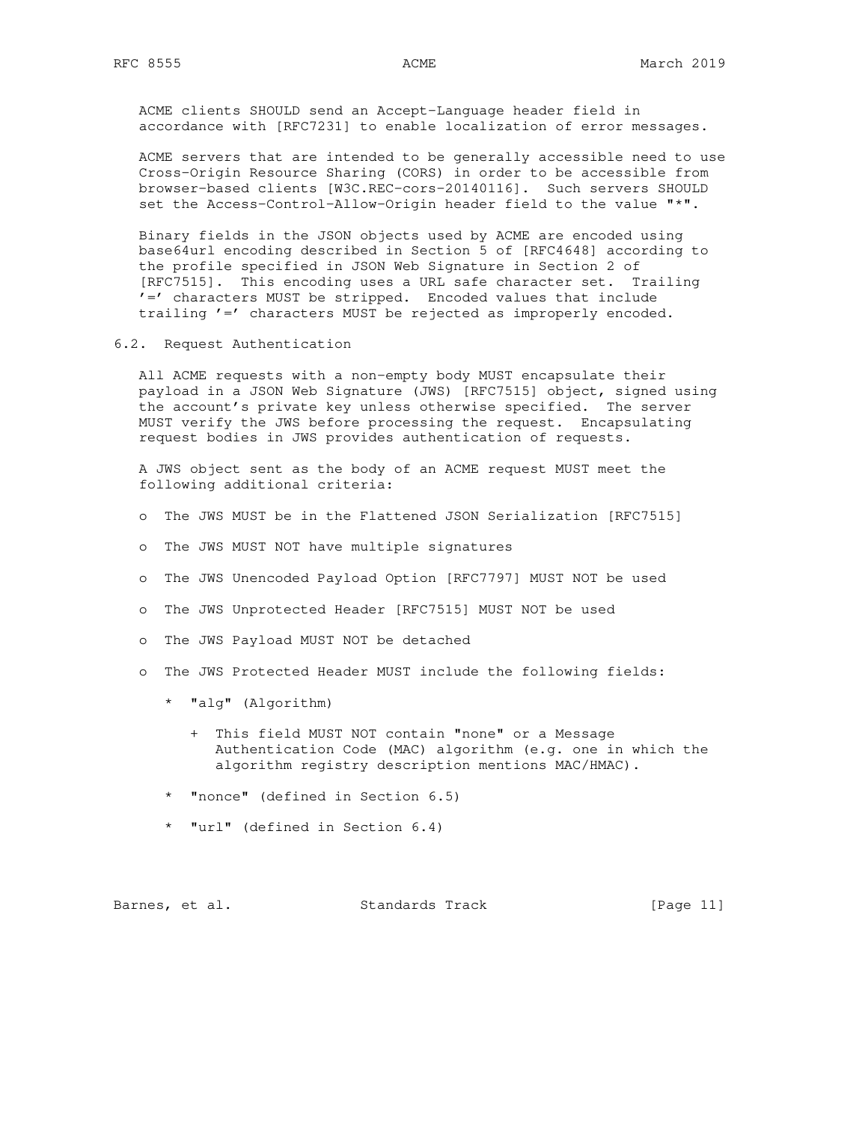ACME clients SHOULD send an Accept-Language header field in accordance with [RFC7231] to enable localization of error messages.

 ACME servers that are intended to be generally accessible need to use Cross-Origin Resource Sharing (CORS) in order to be accessible from browser-based clients [W3C.REC-cors-20140116]. Such servers SHOULD set the Access-Control-Allow-Origin header field to the value "\*".

 Binary fields in the JSON objects used by ACME are encoded using base64url encoding described in Section 5 of [RFC4648] according to the profile specified in JSON Web Signature in Section 2 of [RFC7515]. This encoding uses a URL safe character set. Trailing '=' characters MUST be stripped. Encoded values that include trailing '=' characters MUST be rejected as improperly encoded.

6.2. Request Authentication

 All ACME requests with a non-empty body MUST encapsulate their payload in a JSON Web Signature (JWS) [RFC7515] object, signed using the account's private key unless otherwise specified. The server MUST verify the JWS before processing the request. Encapsulating request bodies in JWS provides authentication of requests.

 A JWS object sent as the body of an ACME request MUST meet the following additional criteria:

- o The JWS MUST be in the Flattened JSON Serialization [RFC7515]
- o The JWS MUST NOT have multiple signatures
- o The JWS Unencoded Payload Option [RFC7797] MUST NOT be used
- o The JWS Unprotected Header [RFC7515] MUST NOT be used
- o The JWS Payload MUST NOT be detached
- o The JWS Protected Header MUST include the following fields:
	- \* "alg" (Algorithm)
		- + This field MUST NOT contain "none" or a Message Authentication Code (MAC) algorithm (e.g. one in which the algorithm registry description mentions MAC/HMAC).
	- \* "nonce" (defined in Section 6.5)
	- \* "url" (defined in Section 6.4)

| Barnes, et al. |  |  | Standards Track |  | [Page 11] |  |
|----------------|--|--|-----------------|--|-----------|--|
|----------------|--|--|-----------------|--|-----------|--|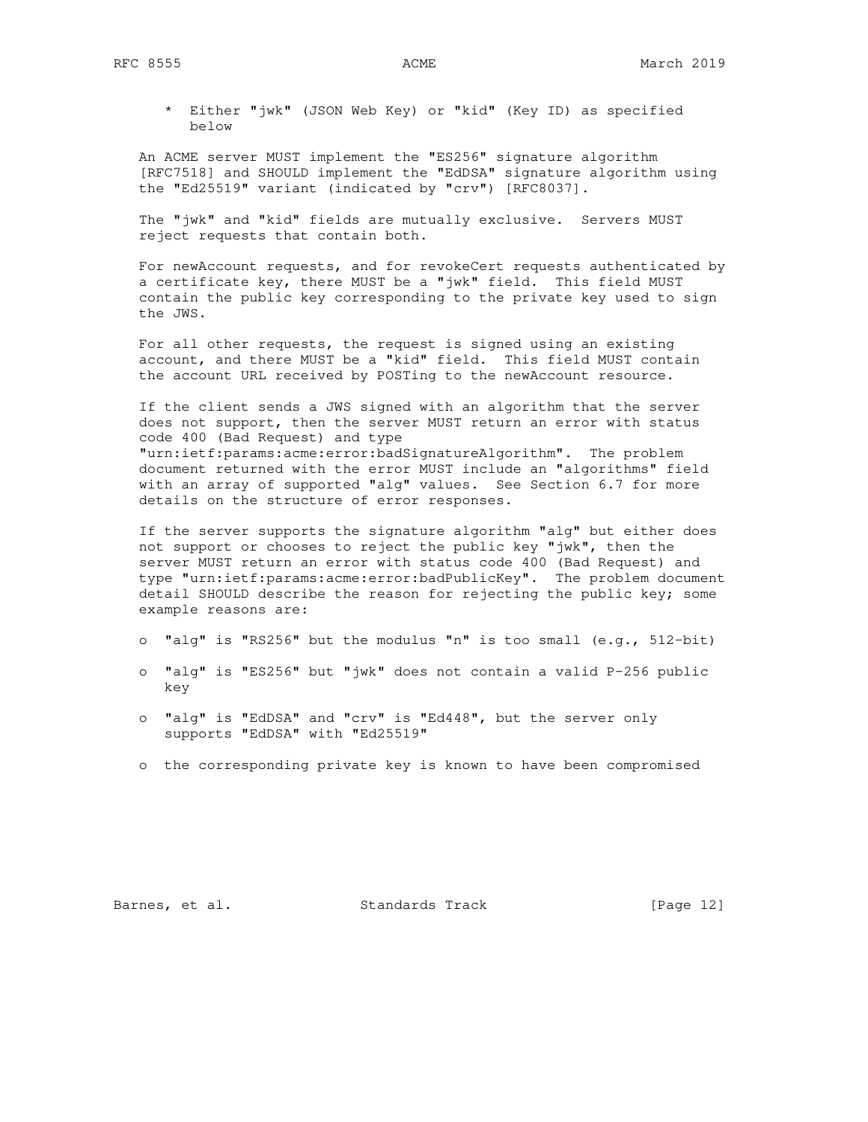\* Either "jwk" (JSON Web Key) or "kid" (Key ID) as specified below

 An ACME server MUST implement the "ES256" signature algorithm [RFC7518] and SHOULD implement the "EdDSA" signature algorithm using the "Ed25519" variant (indicated by "crv") [RFC8037].

 The "jwk" and "kid" fields are mutually exclusive. Servers MUST reject requests that contain both.

 For newAccount requests, and for revokeCert requests authenticated by a certificate key, there MUST be a "jwk" field. This field MUST contain the public key corresponding to the private key used to sign the JWS.

 For all other requests, the request is signed using an existing account, and there MUST be a "kid" field. This field MUST contain the account URL received by POSTing to the newAccount resource.

 If the client sends a JWS signed with an algorithm that the server does not support, then the server MUST return an error with status code 400 (Bad Request) and type "urn:ietf:params:acme:error:badSignatureAlgorithm". The problem document returned with the error MUST include an "algorithms" field with an array of supported "alg" values. See Section 6.7 for more details on the structure of error responses.

 If the server supports the signature algorithm "alg" but either does not support or chooses to reject the public key "jwk", then the server MUST return an error with status code 400 (Bad Request) and type "urn:ietf:params:acme:error:badPublicKey". The problem document detail SHOULD describe the reason for rejecting the public key; some example reasons are:

- o "alg" is "RS256" but the modulus "n" is too small (e.g., 512-bit)
- o "alg" is "ES256" but "jwk" does not contain a valid P-256 public key
- o "alg" is "EdDSA" and "crv" is "Ed448", but the server only supports "EdDSA" with "Ed25519"
- o the corresponding private key is known to have been compromised

Barnes, et al. Standards Track [Page 12]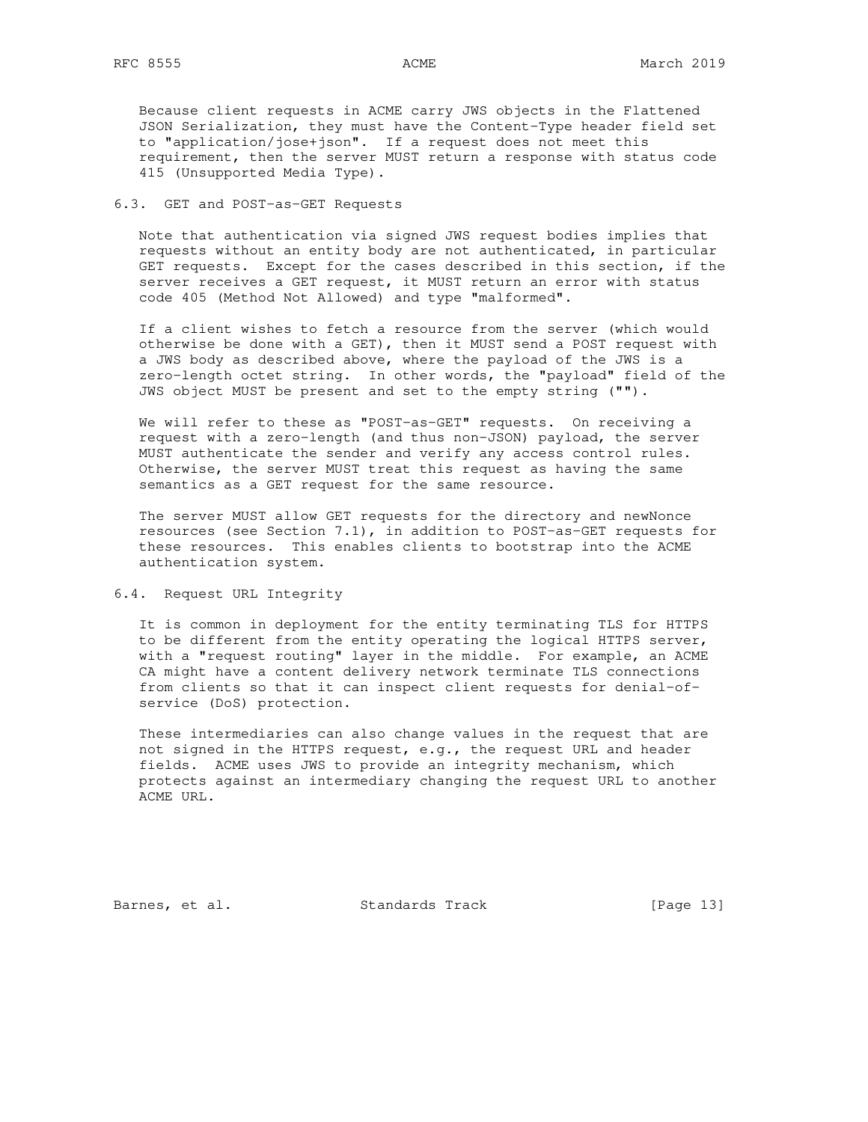Because client requests in ACME carry JWS objects in the Flattened JSON Serialization, they must have the Content-Type header field set to "application/jose+json". If a request does not meet this requirement, then the server MUST return a response with status code 415 (Unsupported Media Type).

## 6.3. GET and POST-as-GET Requests

 Note that authentication via signed JWS request bodies implies that requests without an entity body are not authenticated, in particular GET requests. Except for the cases described in this section, if the server receives a GET request, it MUST return an error with status code 405 (Method Not Allowed) and type "malformed".

 If a client wishes to fetch a resource from the server (which would otherwise be done with a GET), then it MUST send a POST request with a JWS body as described above, where the payload of the JWS is a zero-length octet string. In other words, the "payload" field of the JWS object MUST be present and set to the empty string ("").

We will refer to these as "POST-as-GET" requests. On receiving a request with a zero-length (and thus non-JSON) payload, the server MUST authenticate the sender and verify any access control rules. Otherwise, the server MUST treat this request as having the same semantics as a GET request for the same resource.

 The server MUST allow GET requests for the directory and newNonce resources (see Section 7.1), in addition to POST-as-GET requests for these resources. This enables clients to bootstrap into the ACME authentication system.

## 6.4. Request URL Integrity

 It is common in deployment for the entity terminating TLS for HTTPS to be different from the entity operating the logical HTTPS server, with a "request routing" layer in the middle. For example, an ACME CA might have a content delivery network terminate TLS connections from clients so that it can inspect client requests for denial-of service (DoS) protection.

 These intermediaries can also change values in the request that are not signed in the HTTPS request, e.g., the request URL and header fields. ACME uses JWS to provide an integrity mechanism, which protects against an intermediary changing the request URL to another ACME URL.

Barnes, et al. Standards Track [Page 13]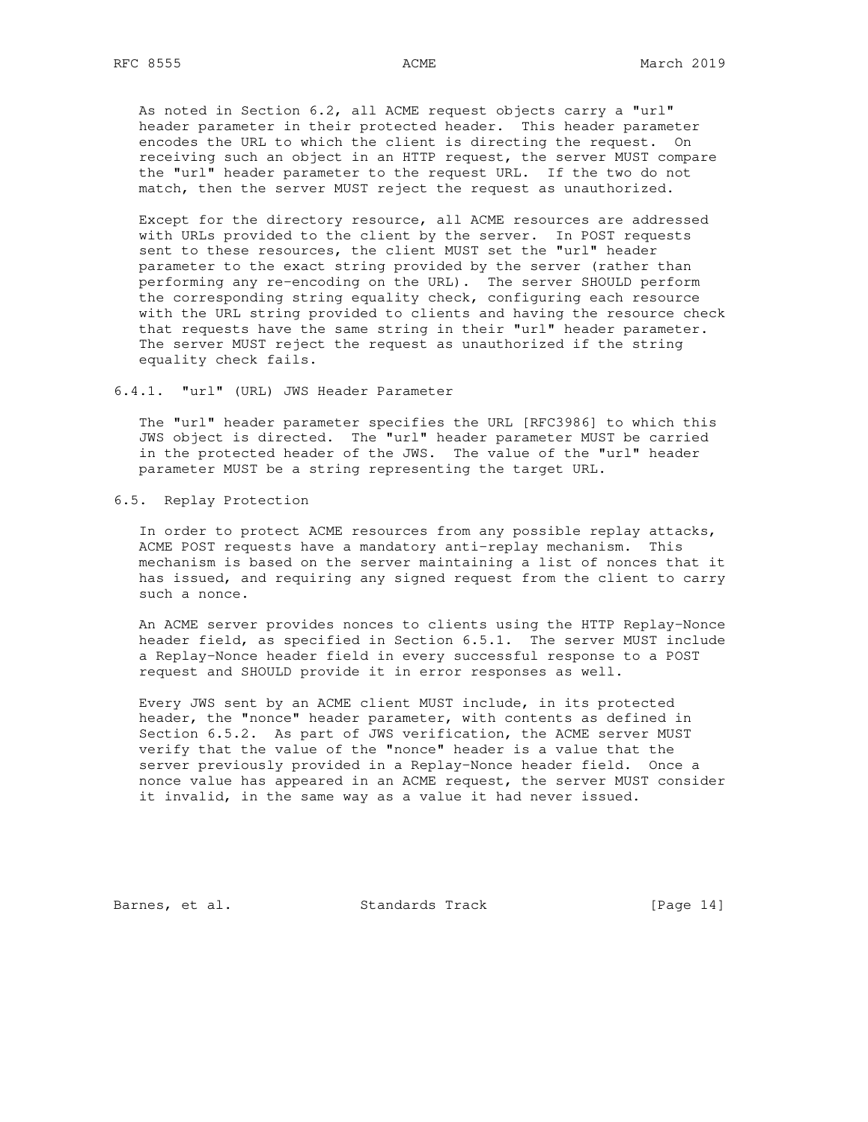As noted in Section 6.2, all ACME request objects carry a "url" header parameter in their protected header. This header parameter encodes the URL to which the client is directing the request. On receiving such an object in an HTTP request, the server MUST compare the "url" header parameter to the request URL. If the two do not match, then the server MUST reject the request as unauthorized.

 Except for the directory resource, all ACME resources are addressed with URLs provided to the client by the server. In POST requests sent to these resources, the client MUST set the "url" header parameter to the exact string provided by the server (rather than performing any re-encoding on the URL). The server SHOULD perform the corresponding string equality check, configuring each resource with the URL string provided to clients and having the resource check that requests have the same string in their "url" header parameter. The server MUST reject the request as unauthorized if the string equality check fails.

6.4.1. "url" (URL) JWS Header Parameter

 The "url" header parameter specifies the URL [RFC3986] to which this JWS object is directed. The "url" header parameter MUST be carried in the protected header of the JWS. The value of the "url" header parameter MUST be a string representing the target URL.

### 6.5. Replay Protection

 In order to protect ACME resources from any possible replay attacks, ACME POST requests have a mandatory anti-replay mechanism. This mechanism is based on the server maintaining a list of nonces that it has issued, and requiring any signed request from the client to carry such a nonce.

 An ACME server provides nonces to clients using the HTTP Replay-Nonce header field, as specified in Section 6.5.1. The server MUST include a Replay-Nonce header field in every successful response to a POST request and SHOULD provide it in error responses as well.

 Every JWS sent by an ACME client MUST include, in its protected header, the "nonce" header parameter, with contents as defined in Section 6.5.2. As part of JWS verification, the ACME server MUST verify that the value of the "nonce" header is a value that the server previously provided in a Replay-Nonce header field. Once a nonce value has appeared in an ACME request, the server MUST consider it invalid, in the same way as a value it had never issued.

Barnes, et al. Standards Track [Page 14]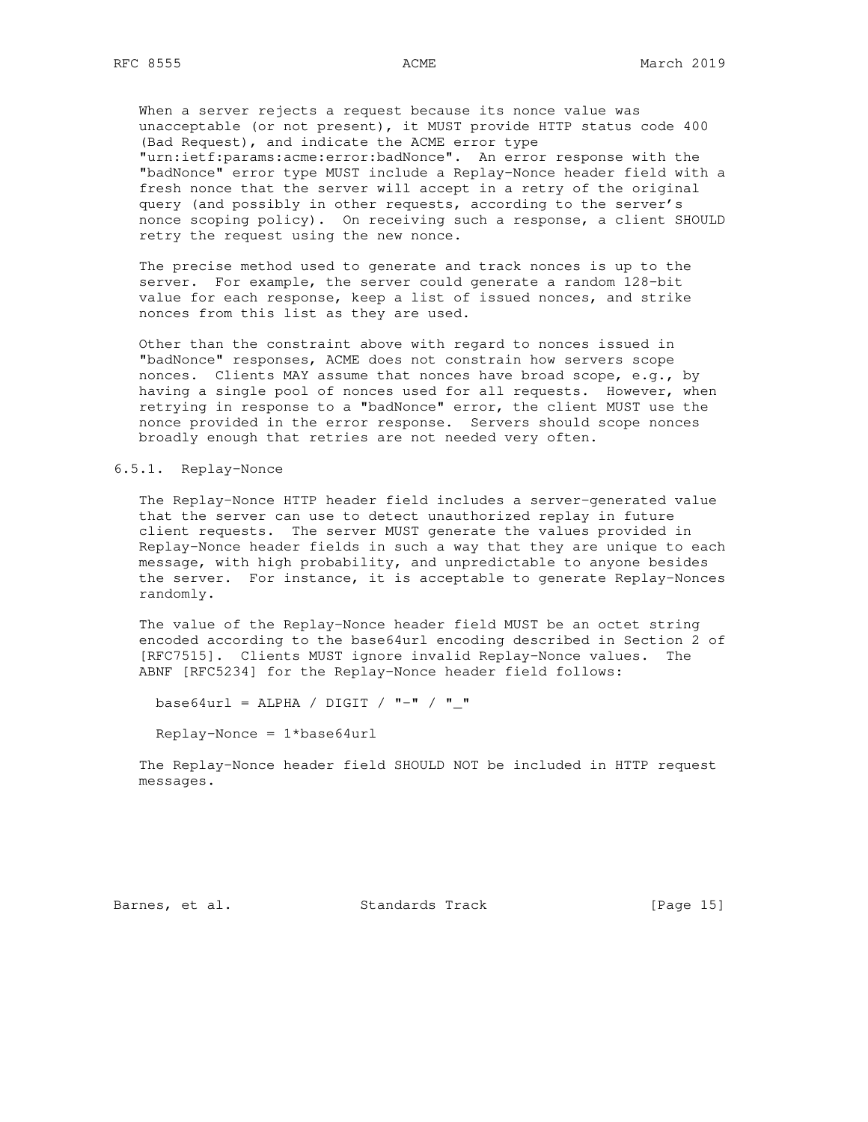When a server rejects a request because its nonce value was unacceptable (or not present), it MUST provide HTTP status code 400 (Bad Request), and indicate the ACME error type "urn:ietf:params:acme:error:badNonce". An error response with the "badNonce" error type MUST include a Replay-Nonce header field with a fresh nonce that the server will accept in a retry of the original query (and possibly in other requests, according to the server's nonce scoping policy). On receiving such a response, a client SHOULD retry the request using the new nonce.

 The precise method used to generate and track nonces is up to the server. For example, the server could generate a random 128-bit value for each response, keep a list of issued nonces, and strike nonces from this list as they are used.

 Other than the constraint above with regard to nonces issued in "badNonce" responses, ACME does not constrain how servers scope nonces. Clients MAY assume that nonces have broad scope, e.g., by having a single pool of nonces used for all requests. However, when retrying in response to a "badNonce" error, the client MUST use the nonce provided in the error response. Servers should scope nonces broadly enough that retries are not needed very often.

#### 6.5.1. Replay-Nonce

 The Replay-Nonce HTTP header field includes a server-generated value that the server can use to detect unauthorized replay in future client requests. The server MUST generate the values provided in Replay-Nonce header fields in such a way that they are unique to each message, with high probability, and unpredictable to anyone besides the server. For instance, it is acceptable to generate Replay-Nonces randomly.

 The value of the Replay-Nonce header field MUST be an octet string encoded according to the base64url encoding described in Section 2 of [RFC7515]. Clients MUST ignore invalid Replay-Nonce values. The ABNF [RFC5234] for the Replay-Nonce header field follows:

base64url = ALPHA / DIGIT /  $"-"$  /  $"-"$ 

Replay-Nonce = 1\*base64url

 The Replay-Nonce header field SHOULD NOT be included in HTTP request messages.

Barnes, et al. Standards Track [Page 15]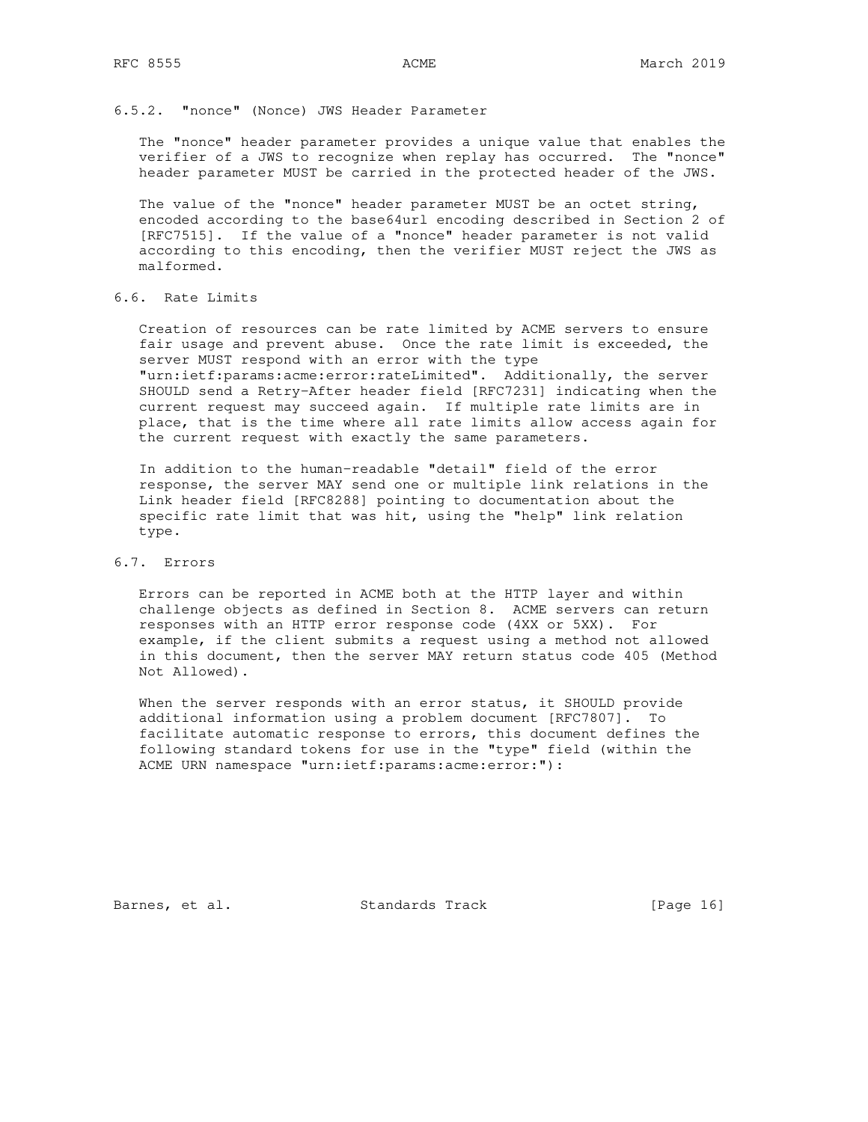### 6.5.2. "nonce" (Nonce) JWS Header Parameter

 The "nonce" header parameter provides a unique value that enables the verifier of a JWS to recognize when replay has occurred. The "nonce" header parameter MUST be carried in the protected header of the JWS.

 The value of the "nonce" header parameter MUST be an octet string, encoded according to the base64url encoding described in Section 2 of [RFC7515]. If the value of a "nonce" header parameter is not valid according to this encoding, then the verifier MUST reject the JWS as malformed.

## 6.6. Rate Limits

 Creation of resources can be rate limited by ACME servers to ensure fair usage and prevent abuse. Once the rate limit is exceeded, the server MUST respond with an error with the type "urn:ietf:params:acme:error:rateLimited". Additionally, the server SHOULD send a Retry-After header field [RFC7231] indicating when the current request may succeed again. If multiple rate limits are in place, that is the time where all rate limits allow access again for the current request with exactly the same parameters.

 In addition to the human-readable "detail" field of the error response, the server MAY send one or multiple link relations in the Link header field [RFC8288] pointing to documentation about the specific rate limit that was hit, using the "help" link relation type.

## 6.7. Errors

 Errors can be reported in ACME both at the HTTP layer and within challenge objects as defined in Section 8. ACME servers can return responses with an HTTP error response code (4XX or 5XX). For example, if the client submits a request using a method not allowed in this document, then the server MAY return status code 405 (Method Not Allowed).

When the server responds with an error status, it SHOULD provide additional information using a problem document [RFC7807]. To facilitate automatic response to errors, this document defines the following standard tokens for use in the "type" field (within the ACME URN namespace "urn:ietf:params:acme:error:"):

Barnes, et al. Standards Track [Page 16]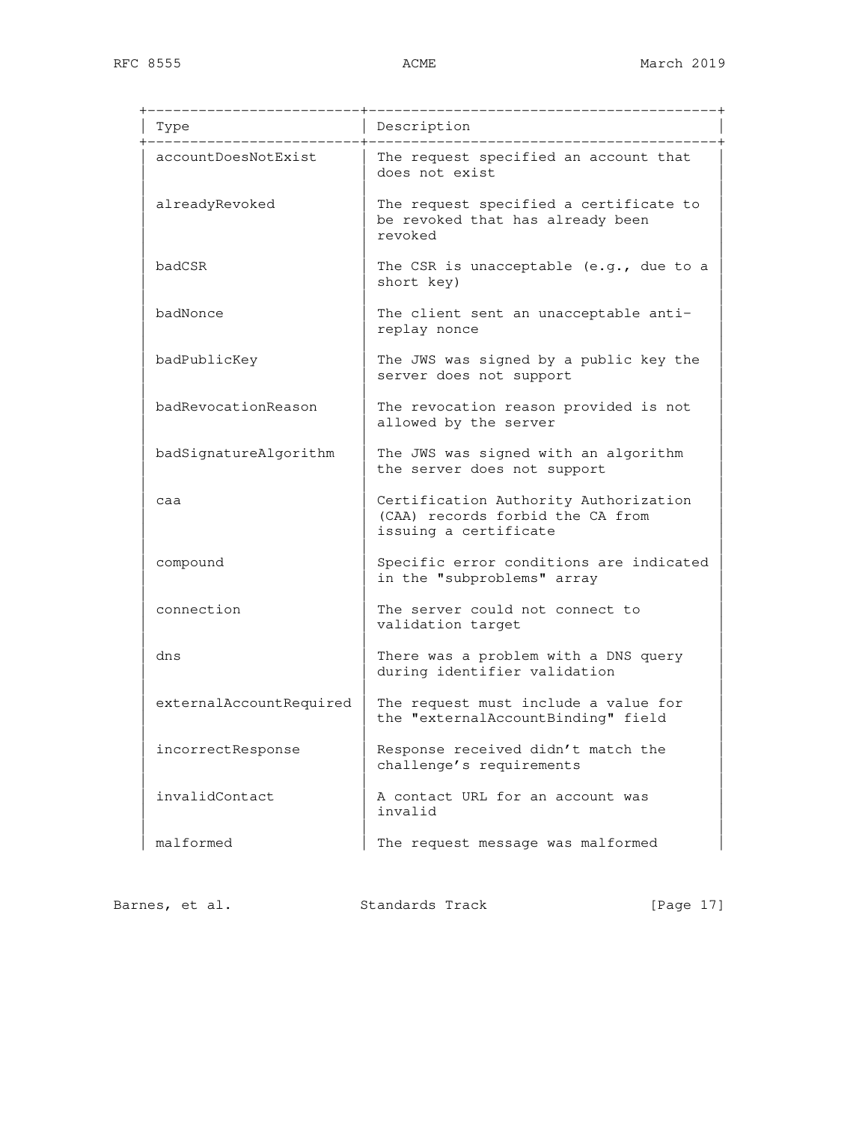| Type                    | Description                                                                                        |
|-------------------------|----------------------------------------------------------------------------------------------------|
| accountDoesNotExist     | The request specified an account that<br>does not exist                                            |
| alreadyRevoked          | The request specified a certificate to<br>be revoked that has already been<br>revoked              |
| badCSR                  | The CSR is unacceptable $(e.g., due$ to a<br>short key)                                            |
| badNonce                | The client sent an unacceptable anti-<br>replay nonce                                              |
| badPublicKey            | The JWS was signed by a public key the<br>server does not support                                  |
| badRevocationReason     | The revocation reason provided is not<br>allowed by the server                                     |
| badSignatureAlgorithm   | The JWS was signed with an algorithm<br>the server does not support                                |
| caa                     | Certification Authority Authorization<br>(CAA) records forbid the CA from<br>issuing a certificate |
| compound                | Specific error conditions are indicated<br>in the "subproblems" array                              |
| connection              | The server could not connect to<br>validation target                                               |
| dns                     | There was a problem with a DNS query<br>during identifier validation                               |
| externalAccountRequired | The request must include a value for<br>the "externalAccountBinding" field                         |
| incorrectResponse       | Response received didn't match the<br>challenge's requirements                                     |
| invalidContact          | A contact URL for an account was<br>invalid                                                        |
| malformed               | The request message was malformed                                                                  |

Barnes, et al. Standards Track [Page 17]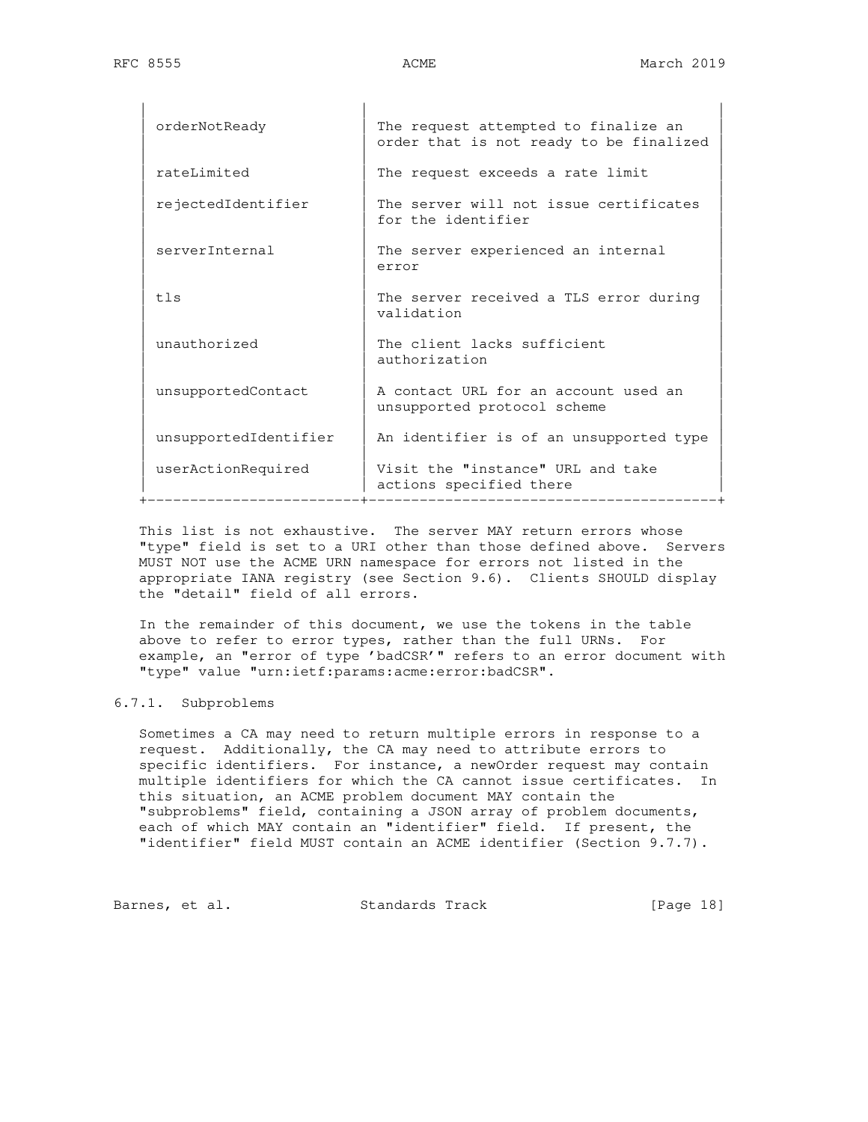| orderNotReady         | The request attempted to finalize an<br>order that is not ready to be finalized |
|-----------------------|---------------------------------------------------------------------------------|
| rateLimited           | The request exceeds a rate limit                                                |
| rejectedIdentifier    | The server will not issue certificates<br>for the identifier                    |
| serverInternal        | The server experienced an internal<br>error                                     |
| tls                   | The server received a TLS error during<br>validation                            |
| unauthorized          | The client lacks sufficient<br>authorization                                    |
| unsupportedContact    | A contact URL for an account used an<br>unsupported protocol scheme             |
| unsupportedIdentifier | An identifier is of an unsupported type                                         |
| userActionRequired    | Visit the "instance" URL and take<br>actions specified there                    |

 This list is not exhaustive. The server MAY return errors whose "type" field is set to a URI other than those defined above. Servers MUST NOT use the ACME URN namespace for errors not listed in the appropriate IANA registry (see Section 9.6). Clients SHOULD display the "detail" field of all errors.

 In the remainder of this document, we use the tokens in the table above to refer to error types, rather than the full URNs. For example, an "error of type 'badCSR'" refers to an error document with "type" value "urn:ietf:params:acme:error:badCSR".

## 6.7.1. Subproblems

 Sometimes a CA may need to return multiple errors in response to a request. Additionally, the CA may need to attribute errors to specific identifiers. For instance, a newOrder request may contain multiple identifiers for which the CA cannot issue certificates. In this situation, an ACME problem document MAY contain the "subproblems" field, containing a JSON array of problem documents, each of which MAY contain an "identifier" field. If present, the "identifier" field MUST contain an ACME identifier (Section 9.7.7).

Barnes, et al. Standards Track [Page 18]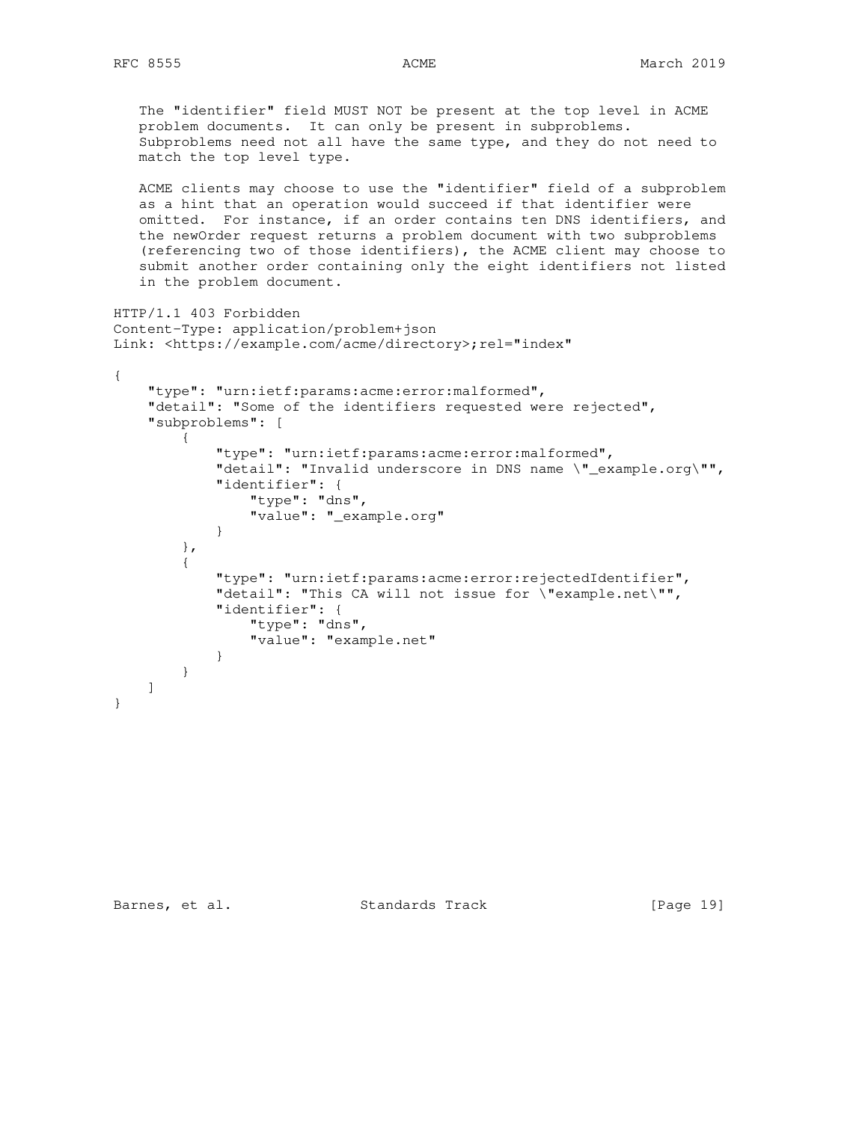The "identifier" field MUST NOT be present at the top level in ACME problem documents. It can only be present in subproblems. Subproblems need not all have the same type, and they do not need to match the top level type. ACME clients may choose to use the "identifier" field of a subproblem as a hint that an operation would succeed if that identifier were omitted. For instance, if an order contains ten DNS identifiers, and the newOrder request returns a problem document with two subproblems (referencing two of those identifiers), the ACME client may choose to submit another order containing only the eight identifiers not listed in the problem document. HTTP/1.1 403 Forbidden Content-Type: application/problem+json Link: <https://example.com/acme/directory>;rel="index" { "type": "urn:ietf:params:acme:error:malformed", "detail": "Some of the identifiers requested were rejected", "subproblems": [ { "type": "urn:ietf:params:acme:error:malformed", "detail": "Invalid underscore in DNS name \"\_example.org\"", "identifier": { "type": "dns", "value": "\_example.org" } }, { "type": "urn:ietf:params:acme:error:rejectedIdentifier", "detail": "This CA will not issue for \"example.net\"", "identifier": { "type": "dns", "value": "example.net" } } ] }

Barnes, et al. Standards Track [Page 19]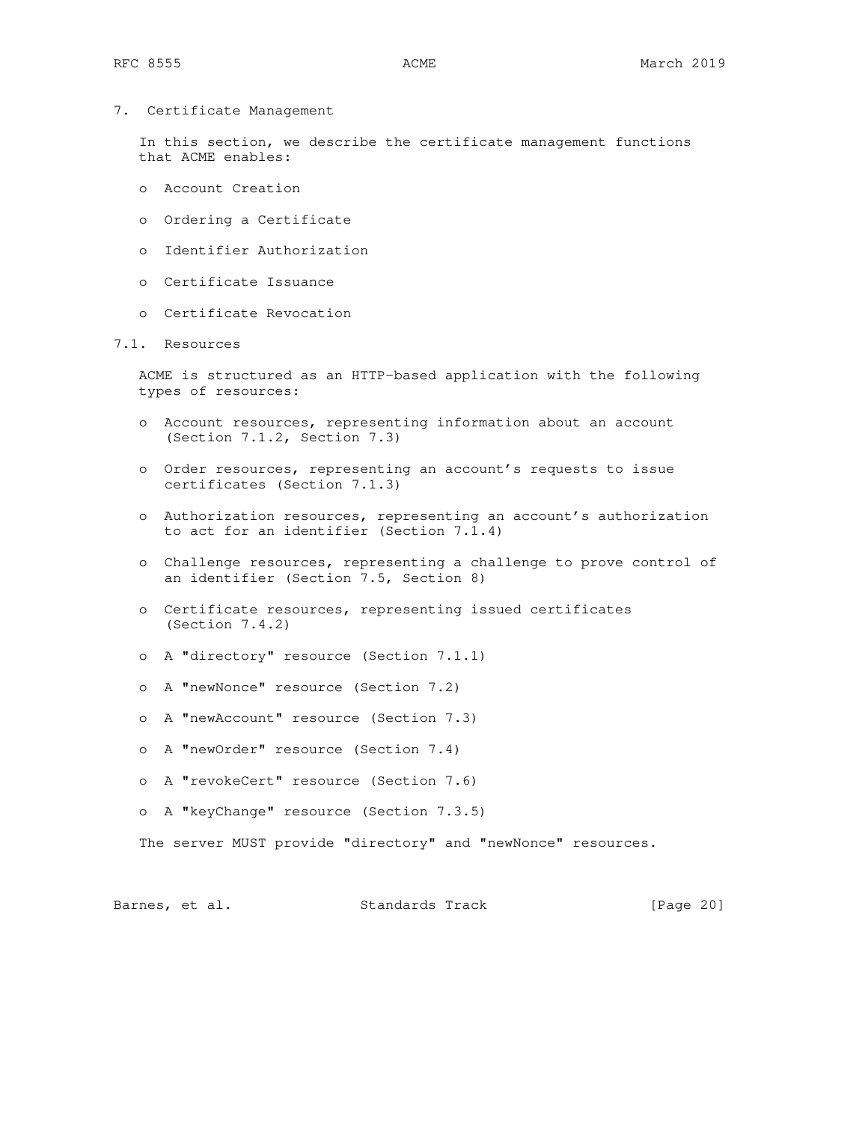7. Certificate Management

 In this section, we describe the certificate management functions that ACME enables:

- o Account Creation
- o Ordering a Certificate
- o Identifier Authorization
- o Certificate Issuance
- o Certificate Revocation

# 7.1. Resources

 ACME is structured as an HTTP-based application with the following types of resources:

- o Account resources, representing information about an account (Section 7.1.2, Section 7.3)
- o Order resources, representing an account's requests to issue certificates (Section 7.1.3)
- o Authorization resources, representing an account's authorization to act for an identifier (Section 7.1.4)
- o Challenge resources, representing a challenge to prove control of an identifier (Section 7.5, Section 8)
- o Certificate resources, representing issued certificates (Section 7.4.2)
- o A "directory" resource (Section 7.1.1)
- o A "newNonce" resource (Section 7.2)
- o A "newAccount" resource (Section 7.3)
- o A "newOrder" resource (Section 7.4)
- o A "revokeCert" resource (Section 7.6)
- o A "keyChange" resource (Section 7.3.5)

The server MUST provide "directory" and "newNonce" resources.

Barnes, et al. Standards Track [Page 20]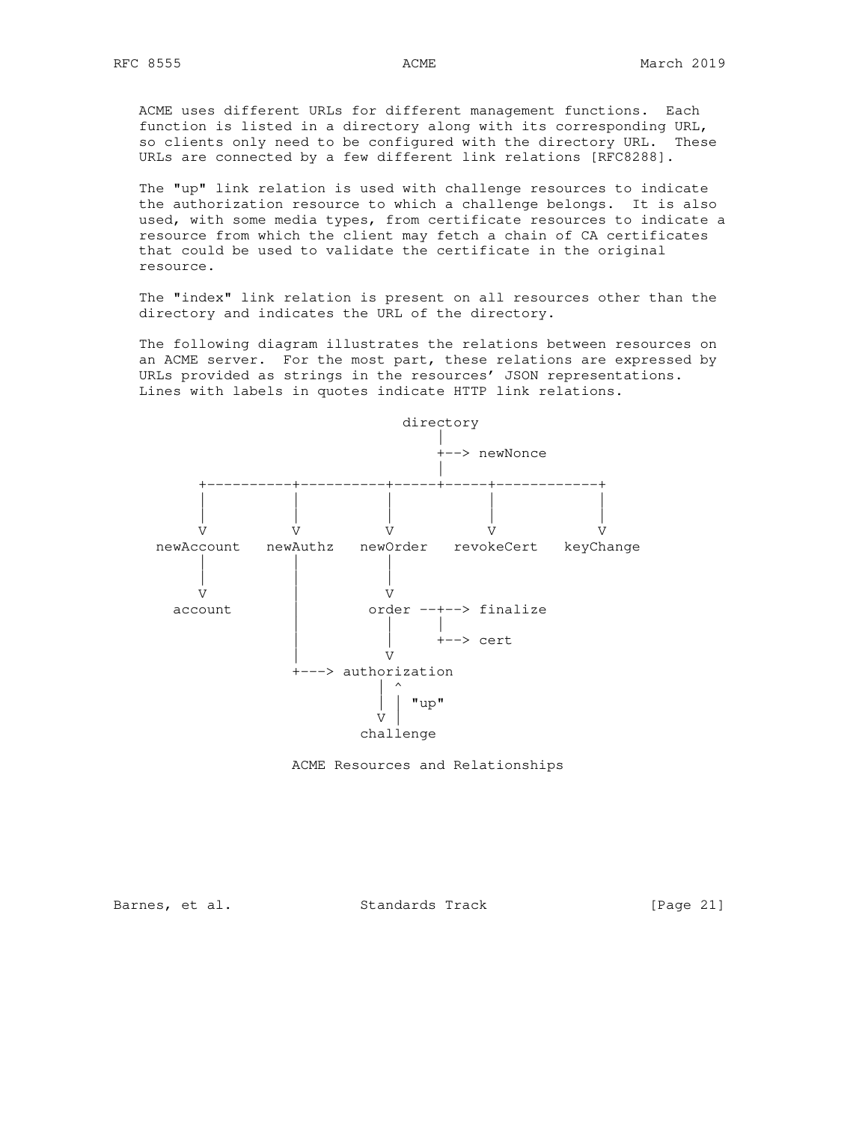ACME uses different URLs for different management functions. Each function is listed in a directory along with its corresponding URL, so clients only need to be configured with the directory URL. These URLs are connected by a few different link relations [RFC8288].

 The "up" link relation is used with challenge resources to indicate the authorization resource to which a challenge belongs. It is also used, with some media types, from certificate resources to indicate a resource from which the client may fetch a chain of CA certificates that could be used to validate the certificate in the original resource.

 The "index" link relation is present on all resources other than the directory and indicates the URL of the directory.

 The following diagram illustrates the relations between resources on an ACME server. For the most part, these relations are expressed by URLs provided as strings in the resources' JSON representations. Lines with labels in quotes indicate HTTP link relations.





Barnes, et al. Standards Track [Page 21]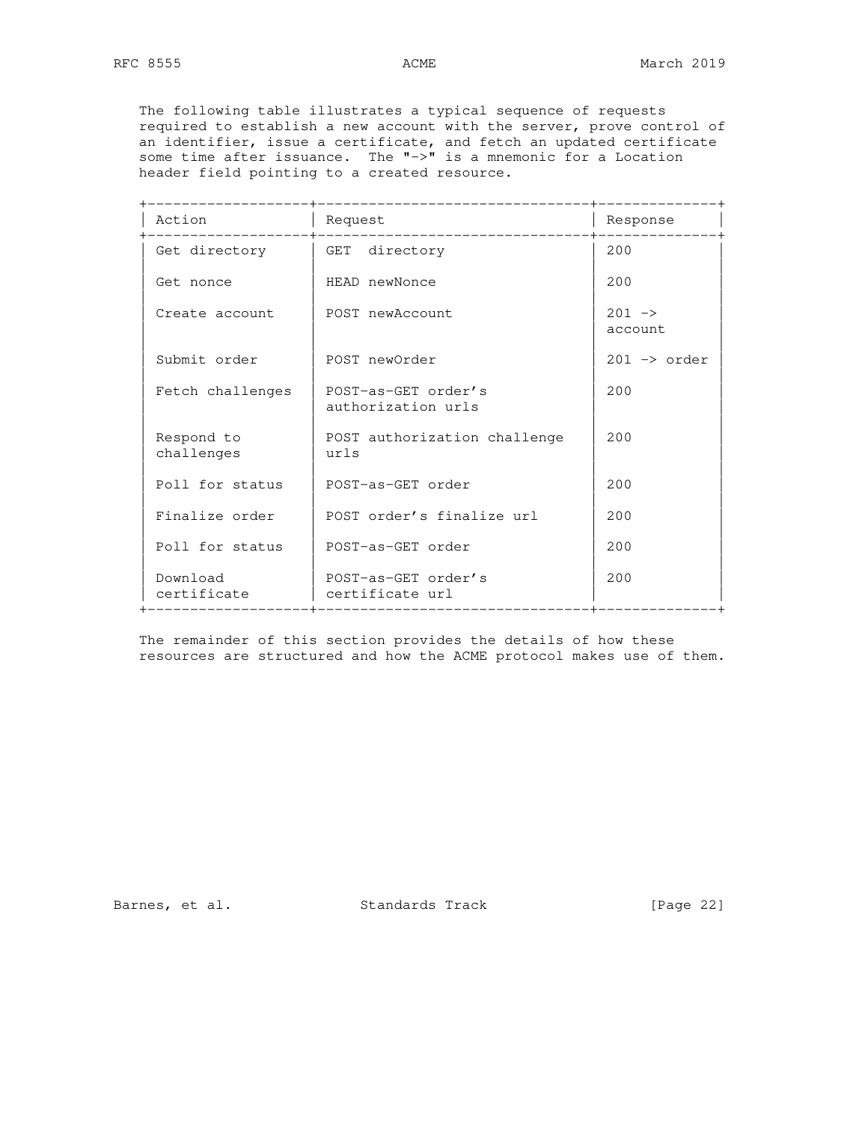The following table illustrates a typical sequence of requests required to establish a new account with the server, prove control of an identifier, issue a certificate, and fetch an updated certificate some time after issuance. The "->" is a mnemonic for a Location header field pointing to a created resource.

| Action                   | Request<br>__________________________     | Response                       |
|--------------------------|-------------------------------------------|--------------------------------|
| Get directory            | GET directory                             | 200                            |
| Get nonce                | HEAD newNonce                             | 200                            |
| Create account           | POST newAccount                           | $201 - 2$<br>account           |
| Submit order             | POST newOrder                             | $201 \rightarrow \text{order}$ |
| Fetch challenges         | POST-as-GET order's<br>authorization urls | 200                            |
| Respond to<br>challenges | POST authorization challenge<br>urls      | 200                            |
| Poll for status          | POST-as-GET order                         | 200                            |
| Finalize order           | POST order's finalize url                 | 200                            |
| Poll for status          | POST-as-GET order                         | 200                            |
| Download<br>certificate  | POST-as-GET order's<br>certificate url    | 200                            |

 The remainder of this section provides the details of how these resources are structured and how the ACME protocol makes use of them.

Barnes, et al. Standards Track [Page 22]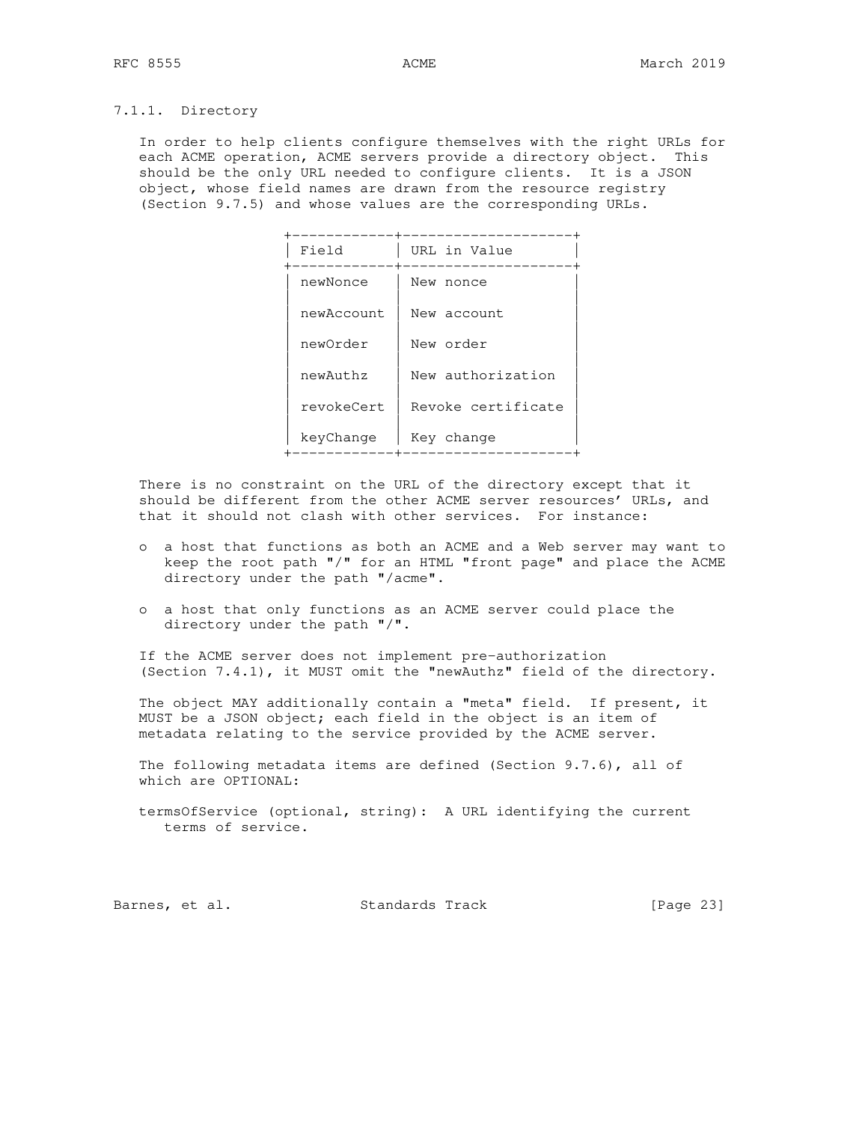## 7.1.1. Directory

 In order to help clients configure themselves with the right URLs for each ACME operation, ACME servers provide a directory object. This should be the only URL needed to configure clients. It is a JSON object, whose field names are drawn from the resource registry (Section 9.7.5) and whose values are the corresponding URLs.

| Field      | URL in Value       |
|------------|--------------------|
| newNonce   | New nonce          |
| newAccount | New account        |
| newOrder   | New order          |
| newAuthz   | New authorization  |
| revokeCert | Revoke certificate |
| keyChange  | Key change         |

 There is no constraint on the URL of the directory except that it should be different from the other ACME server resources' URLs, and that it should not clash with other services. For instance:

- o a host that functions as both an ACME and a Web server may want to keep the root path "/" for an HTML "front page" and place the ACME directory under the path "/acme".
- o a host that only functions as an ACME server could place the directory under the path "/".

 If the ACME server does not implement pre-authorization (Section 7.4.1), it MUST omit the "newAuthz" field of the directory.

 The object MAY additionally contain a "meta" field. If present, it MUST be a JSON object; each field in the object is an item of metadata relating to the service provided by the ACME server.

 The following metadata items are defined (Section 9.7.6), all of which are OPTIONAL:

 termsOfService (optional, string): A URL identifying the current terms of service.

Barnes, et al. Standards Track [Page 23]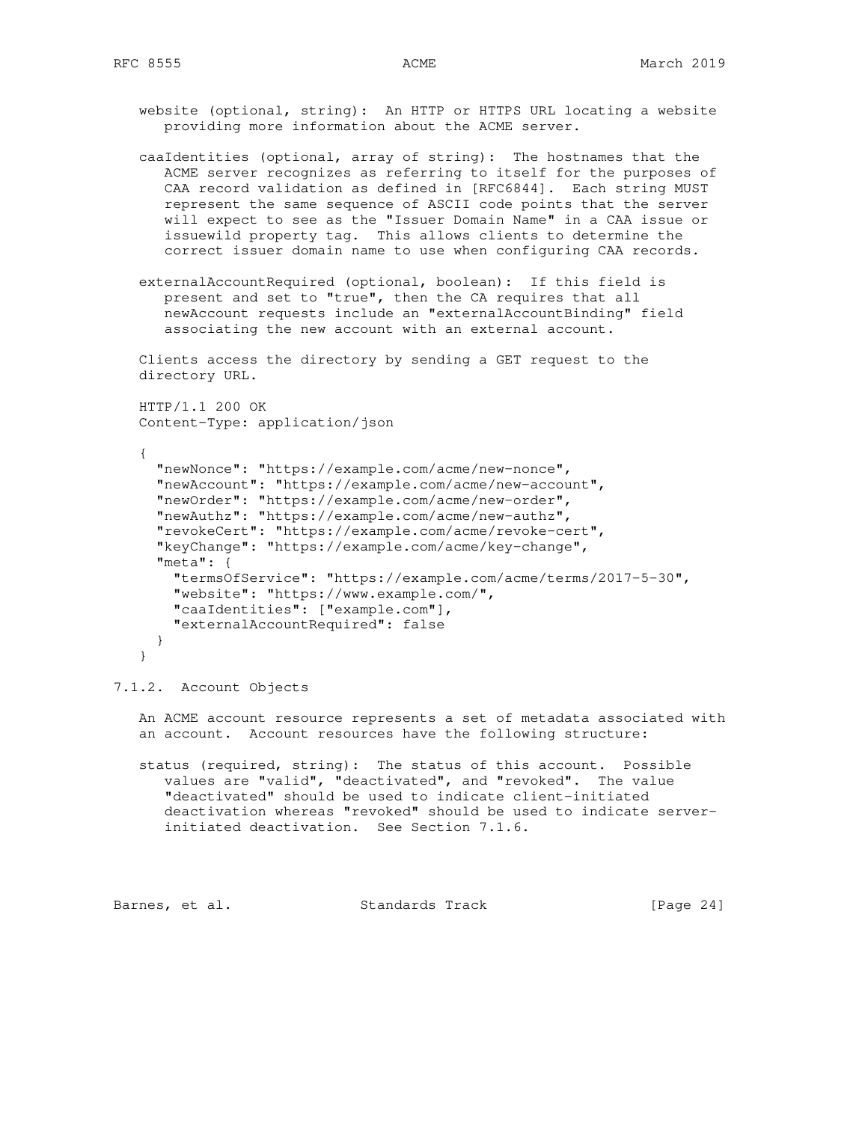website (optional, string): An HTTP or HTTPS URL locating a website providing more information about the ACME server.

 caaIdentities (optional, array of string): The hostnames that the ACME server recognizes as referring to itself for the purposes of CAA record validation as defined in [RFC6844]. Each string MUST represent the same sequence of ASCII code points that the server will expect to see as the "Issuer Domain Name" in a CAA issue or issuewild property tag. This allows clients to determine the correct issuer domain name to use when configuring CAA records.

 externalAccountRequired (optional, boolean): If this field is present and set to "true", then the CA requires that all newAccount requests include an "externalAccountBinding" field associating the new account with an external account.

 Clients access the directory by sending a GET request to the directory URL.

 HTTP/1.1 200 OK Content-Type: application/json

```
 {
   "newNonce": "https://example.com/acme/new-nonce",
   "newAccount": "https://example.com/acme/new-account",
   "newOrder": "https://example.com/acme/new-order",
   "newAuthz": "https://example.com/acme/new-authz",
   "revokeCert": "https://example.com/acme/revoke-cert",
   "keyChange": "https://example.com/acme/key-change",
   "meta": {
     "termsOfService": "https://example.com/acme/terms/2017-5-30",
    "website": "https://www.example.com/",
    "caaIdentities": ["example.com"],
    "externalAccountRequired": false
  }
 }
```
7.1.2. Account Objects

 An ACME account resource represents a set of metadata associated with an account. Account resources have the following structure:

 status (required, string): The status of this account. Possible values are "valid", "deactivated", and "revoked". The value "deactivated" should be used to indicate client-initiated deactivation whereas "revoked" should be used to indicate server initiated deactivation. See Section 7.1.6.

Barnes, et al. Standards Track [Page 24]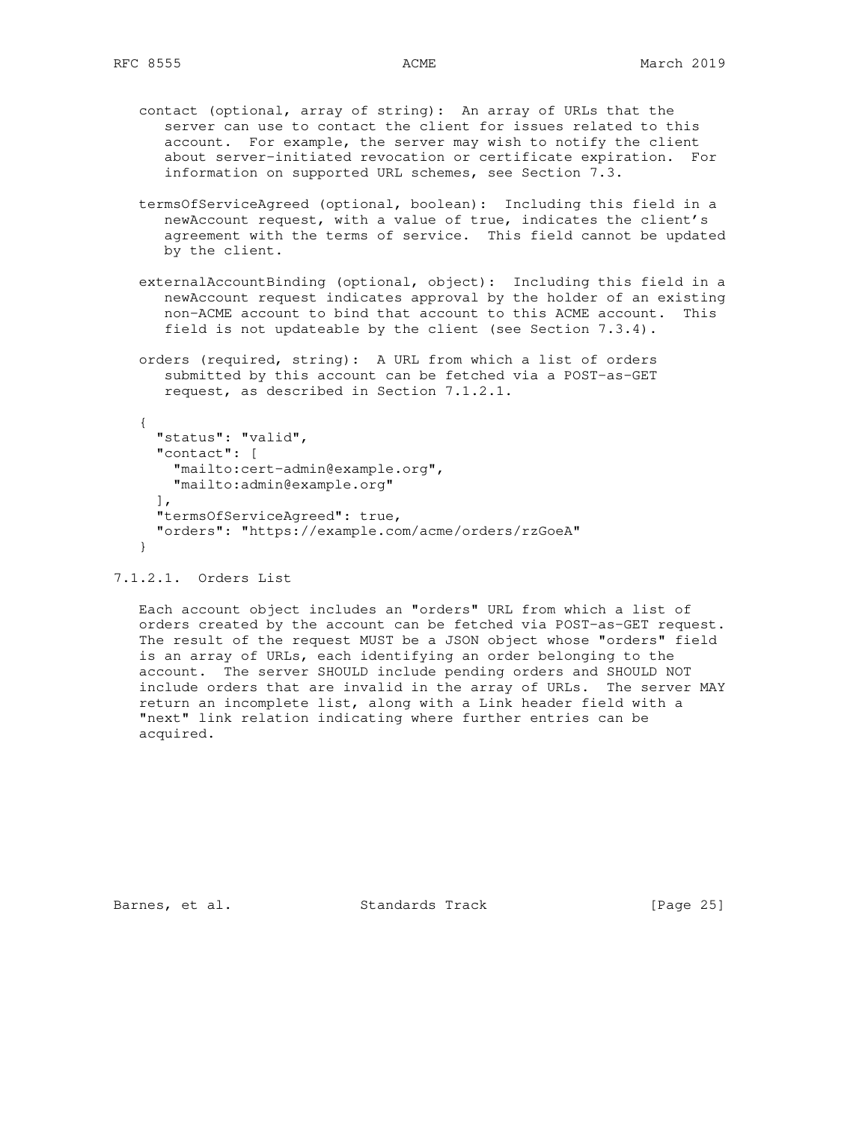- contact (optional, array of string): An array of URLs that the server can use to contact the client for issues related to this account. For example, the server may wish to notify the client about server-initiated revocation or certificate expiration. For information on supported URL schemes, see Section 7.3.
- termsOfServiceAgreed (optional, boolean): Including this field in a newAccount request, with a value of true, indicates the client's agreement with the terms of service. This field cannot be updated by the client.
- externalAccountBinding (optional, object): Including this field in a newAccount request indicates approval by the holder of an existing non-ACME account to bind that account to this ACME account. This field is not updateable by the client (see Section 7.3.4).
- orders (required, string): A URL from which a list of orders submitted by this account can be fetched via a POST-as-GET request, as described in Section 7.1.2.1.

```
 {
   "status": "valid",
   "contact": [
     "mailto:cert-admin@example.org",
     "mailto:admin@example.org"
  \frac{1}{2},
   "termsOfServiceAgreed": true,
   "orders": "https://example.com/acme/orders/rzGoeA"
 }
```
## 7.1.2.1. Orders List

 Each account object includes an "orders" URL from which a list of orders created by the account can be fetched via POST-as-GET request. The result of the request MUST be a JSON object whose "orders" field is an array of URLs, each identifying an order belonging to the account. The server SHOULD include pending orders and SHOULD NOT include orders that are invalid in the array of URLs. The server MAY return an incomplete list, along with a Link header field with a "next" link relation indicating where further entries can be acquired.

Barnes, et al. Standards Track [Page 25]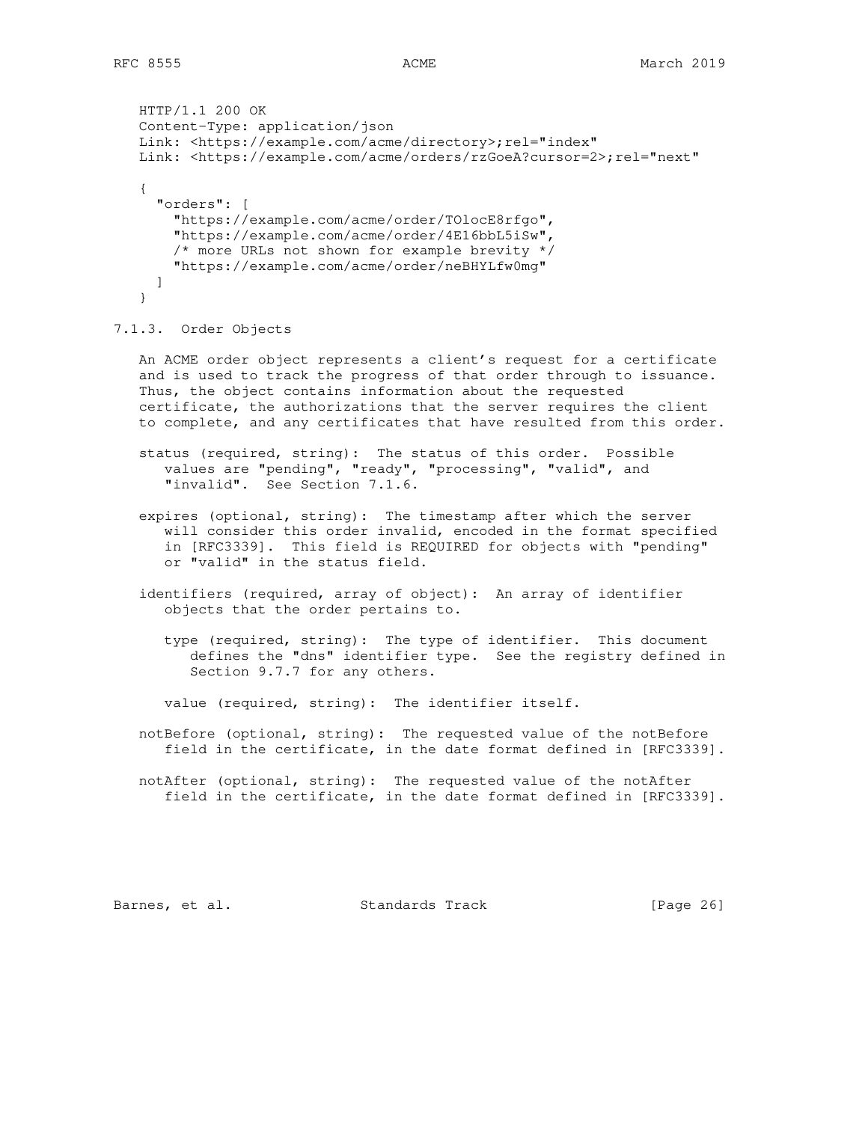```
 HTTP/1.1 200 OK
 Content-Type: application/json
Link: <https://example.com/acme/directory>;rel="index"
 Link: <https://example.com/acme/orders/rzGoeA?cursor=2>;rel="next"
 {
   "orders": [
     "https://example.com/acme/order/TOlocE8rfgo",
     "https://example.com/acme/order/4E16bbL5iSw",
    /* more URLs not shown for example brevity */
    "https://example.com/acme/order/neBHYLfw0mg"
   ]
 }
```
7.1.3. Order Objects

 An ACME order object represents a client's request for a certificate and is used to track the progress of that order through to issuance. Thus, the object contains information about the requested certificate, the authorizations that the server requires the client to complete, and any certificates that have resulted from this order.

 status (required, string): The status of this order. Possible values are "pending", "ready", "processing", "valid", and "invalid". See Section 7.1.6.

- expires (optional, string): The timestamp after which the server will consider this order invalid, encoded in the format specified in [RFC3339]. This field is REQUIRED for objects with "pending" or "valid" in the status field.
- identifiers (required, array of object): An array of identifier objects that the order pertains to.

 type (required, string): The type of identifier. This document defines the "dns" identifier type. See the registry defined in Section 9.7.7 for any others.

value (required, string): The identifier itself.

 notBefore (optional, string): The requested value of the notBefore field in the certificate, in the date format defined in [RFC3339].

```
 notAfter (optional, string): The requested value of the notAfter
    field in the certificate, in the date format defined in [RFC3339].
```
Barnes, et al. Standards Track [Page 26]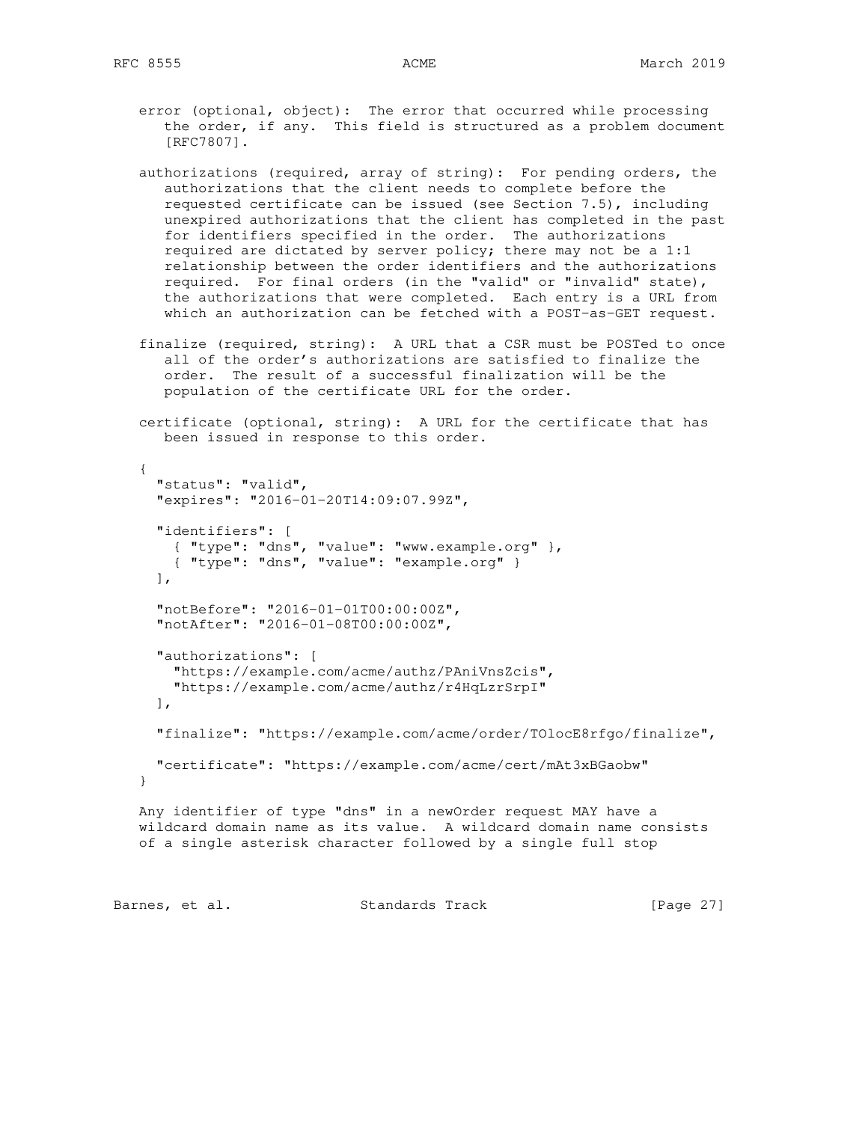- error (optional, object): The error that occurred while processing the order, if any. This field is structured as a problem document [RFC7807].
- authorizations (required, array of string): For pending orders, the authorizations that the client needs to complete before the requested certificate can be issued (see Section 7.5), including unexpired authorizations that the client has completed in the past for identifiers specified in the order. The authorizations required are dictated by server policy; there may not be a 1:1 relationship between the order identifiers and the authorizations required. For final orders (in the "valid" or "invalid" state), the authorizations that were completed. Each entry is a URL from which an authorization can be fetched with a POST-as-GET request.
- finalize (required, string): A URL that a CSR must be POSTed to once all of the order's authorizations are satisfied to finalize the order. The result of a successful finalization will be the population of the certificate URL for the order.
- certificate (optional, string): A URL for the certificate that has been issued in response to this order.

```
 {
      "status": "valid",
      "expires": "2016-01-20T14:09:07.99Z",
      "identifiers": [
 { "type": "dns", "value": "www.example.org" },
 { "type": "dns", "value": "example.org" }
    \cdot "notBefore": "2016-01-01T00:00:00Z",
      "notAfter": "2016-01-08T00:00:00Z",
      "authorizations": [
       "https://example.com/acme/authz/PAniVnsZcis",
        "https://example.com/acme/authz/r4HqLzrSrpI"
    \frac{1}{2} "finalize": "https://example.com/acme/order/TOlocE8rfgo/finalize",
     "certificate": "https://example.com/acme/cert/mAt3xBGaobw"
   }
   Any identifier of type "dns" in a newOrder request MAY have a
   wildcard domain name as its value. A wildcard domain name consists
   of a single asterisk character followed by a single full stop
```
Barnes, et al. Standards Track [Page 27]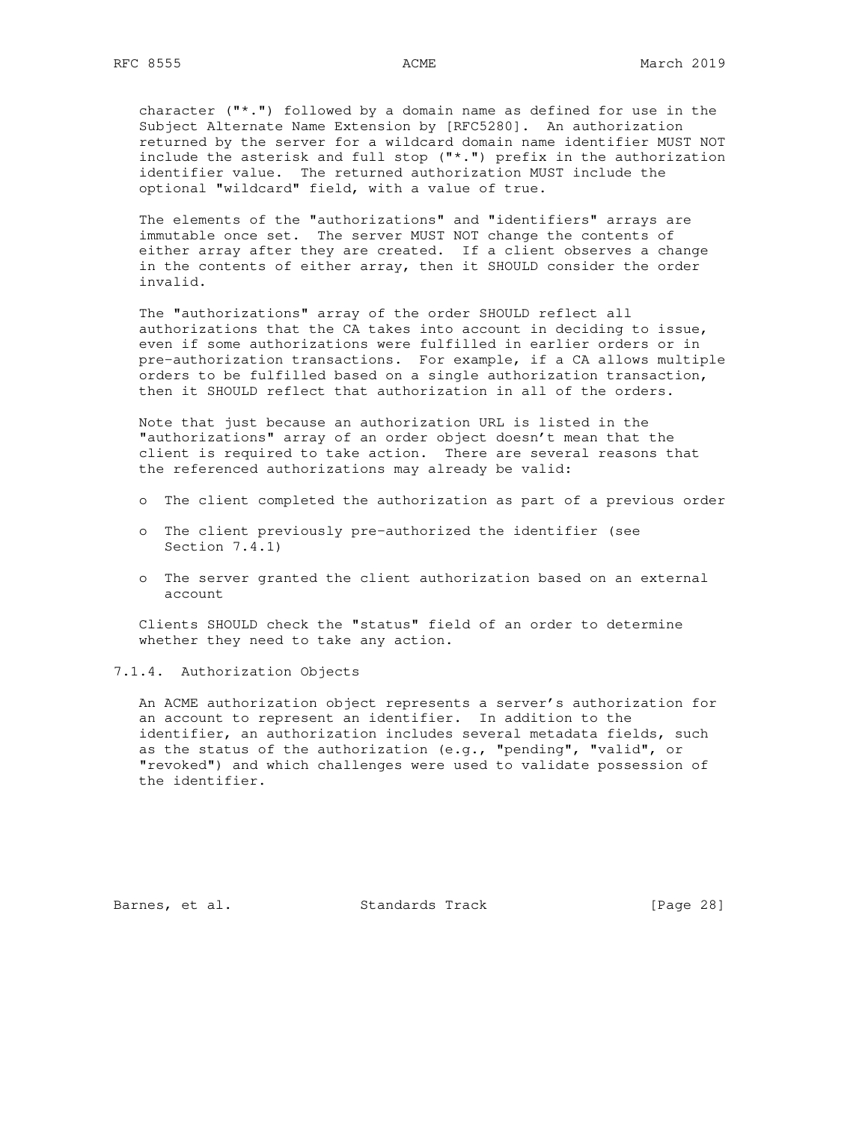character  $(\mathbb{T}^*, \mathbb{T})$  followed by a domain name as defined for use in the Subject Alternate Name Extension by [RFC5280]. An authorization returned by the server for a wildcard domain name identifier MUST NOT include the asterisk and full stop ("\*.") prefix in the authorization identifier value. The returned authorization MUST include the optional "wildcard" field, with a value of true.

 The elements of the "authorizations" and "identifiers" arrays are immutable once set. The server MUST NOT change the contents of either array after they are created. If a client observes a change in the contents of either array, then it SHOULD consider the order invalid.

 The "authorizations" array of the order SHOULD reflect all authorizations that the CA takes into account in deciding to issue, even if some authorizations were fulfilled in earlier orders or in pre-authorization transactions. For example, if a CA allows multiple orders to be fulfilled based on a single authorization transaction, then it SHOULD reflect that authorization in all of the orders.

 Note that just because an authorization URL is listed in the "authorizations" array of an order object doesn't mean that the client is required to take action. There are several reasons that the referenced authorizations may already be valid:

- o The client completed the authorization as part of a previous order
- o The client previously pre-authorized the identifier (see Section 7.4.1)
- o The server granted the client authorization based on an external account

 Clients SHOULD check the "status" field of an order to determine whether they need to take any action.

7.1.4. Authorization Objects

 An ACME authorization object represents a server's authorization for an account to represent an identifier. In addition to the identifier, an authorization includes several metadata fields, such as the status of the authorization  $(e,q., "pending", "valid", or"$  "revoked") and which challenges were used to validate possession of the identifier.

Barnes, et al. Standards Track [Page 28]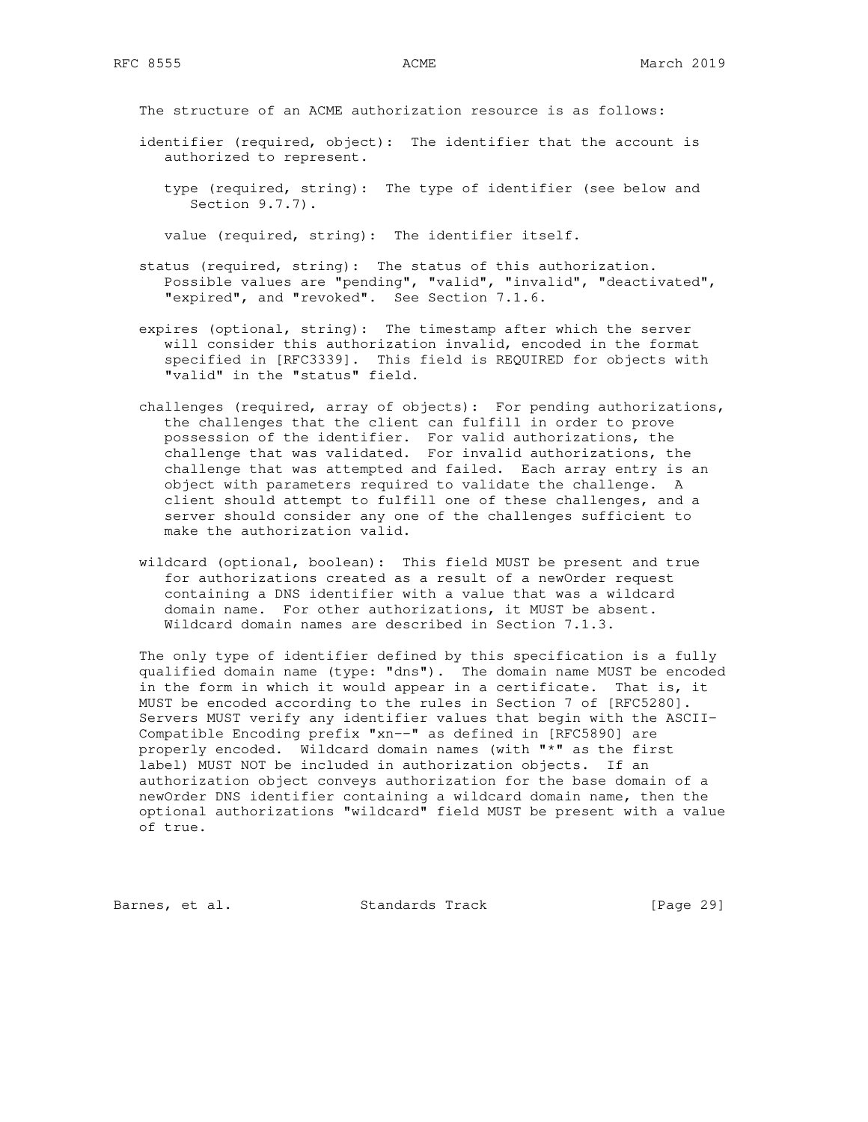The structure of an ACME authorization resource is as follows:

- identifier (required, object): The identifier that the account is authorized to represent.
	- type (required, string): The type of identifier (see below and Section 9.7.7).

value (required, string): The identifier itself.

- status (required, string): The status of this authorization. Possible values are "pending", "valid", "invalid", "deactivated", "expired", and "revoked". See Section 7.1.6.
- expires (optional, string): The timestamp after which the server will consider this authorization invalid, encoded in the format specified in [RFC3339]. This field is REQUIRED for objects with "valid" in the "status" field.
- challenges (required, array of objects): For pending authorizations, the challenges that the client can fulfill in order to prove possession of the identifier. For valid authorizations, the challenge that was validated. For invalid authorizations, the challenge that was attempted and failed. Each array entry is an object with parameters required to validate the challenge. A client should attempt to fulfill one of these challenges, and a server should consider any one of the challenges sufficient to make the authorization valid.
- wildcard (optional, boolean): This field MUST be present and true for authorizations created as a result of a newOrder request containing a DNS identifier with a value that was a wildcard domain name. For other authorizations, it MUST be absent. Wildcard domain names are described in Section 7.1.3.

 The only type of identifier defined by this specification is a fully qualified domain name (type: "dns"). The domain name MUST be encoded in the form in which it would appear in a certificate. That is, it MUST be encoded according to the rules in Section 7 of [RFC5280]. Servers MUST verify any identifier values that begin with the ASCII- Compatible Encoding prefix "xn--" as defined in [RFC5890] are properly encoded. Wildcard domain names (with "\*" as the first label) MUST NOT be included in authorization objects. If an authorization object conveys authorization for the base domain of a newOrder DNS identifier containing a wildcard domain name, then the optional authorizations "wildcard" field MUST be present with a value of true.

Barnes, et al. Standards Track [Page 29]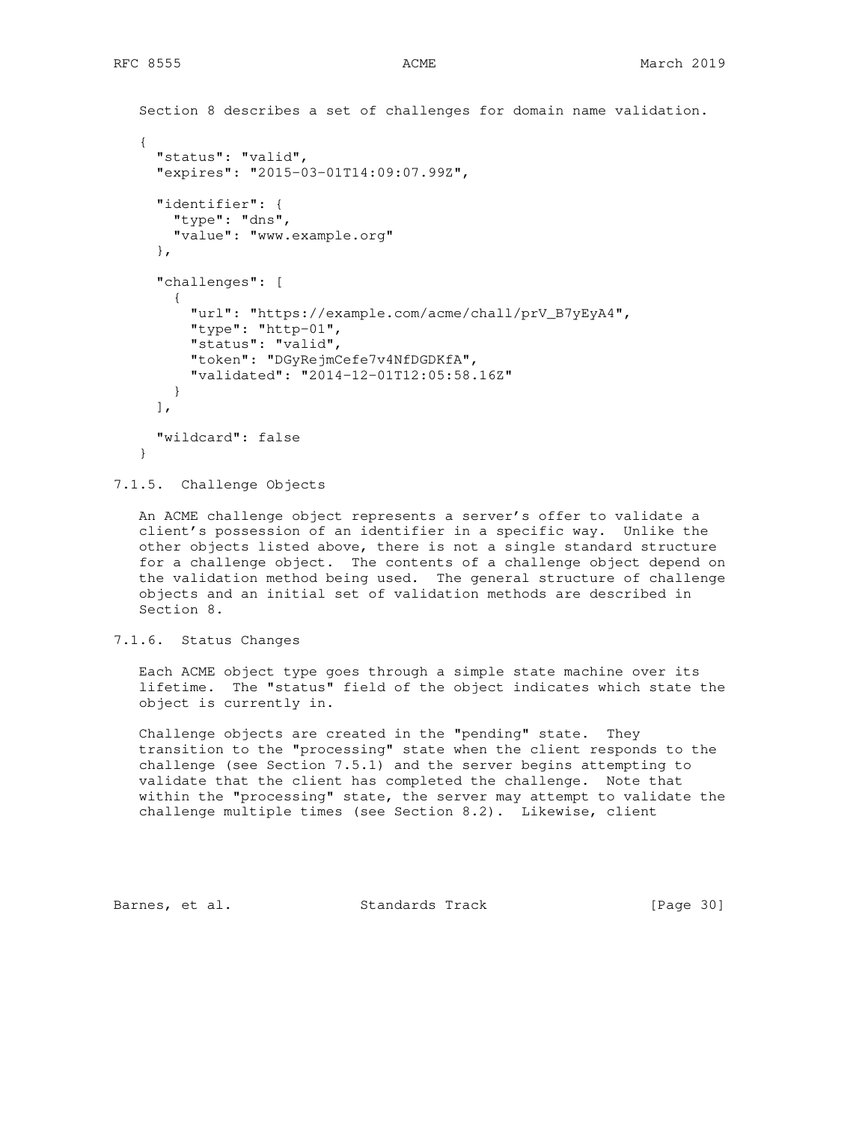```
 Section 8 describes a set of challenges for domain name validation.
\{ "status": "valid",
      "expires": "2015-03-01T14:09:07.99Z",
      "identifier": {
        "type": "dns",
        "value": "www.example.org"
      },
      "challenges": [
 {
          "url": "https://example.com/acme/chall/prV_B7yEyA4",
          "type": "http-01",
          "status": "valid",
          "token": "DGyRejmCefe7v4NfDGDKfA",
          "validated": "2014-12-01T12:05:58.16Z"
       }
     \frac{1}{2} "wildcard": false
    }
```
7.1.5. Challenge Objects

 An ACME challenge object represents a server's offer to validate a client's possession of an identifier in a specific way. Unlike the other objects listed above, there is not a single standard structure for a challenge object. The contents of a challenge object depend on the validation method being used. The general structure of challenge objects and an initial set of validation methods are described in Section 8.

## 7.1.6. Status Changes

 Each ACME object type goes through a simple state machine over its lifetime. The "status" field of the object indicates which state the object is currently in.

 Challenge objects are created in the "pending" state. They transition to the "processing" state when the client responds to the challenge (see Section 7.5.1) and the server begins attempting to validate that the client has completed the challenge. Note that within the "processing" state, the server may attempt to validate the challenge multiple times (see Section 8.2). Likewise, client

Barnes, et al. Standards Track [Page 30]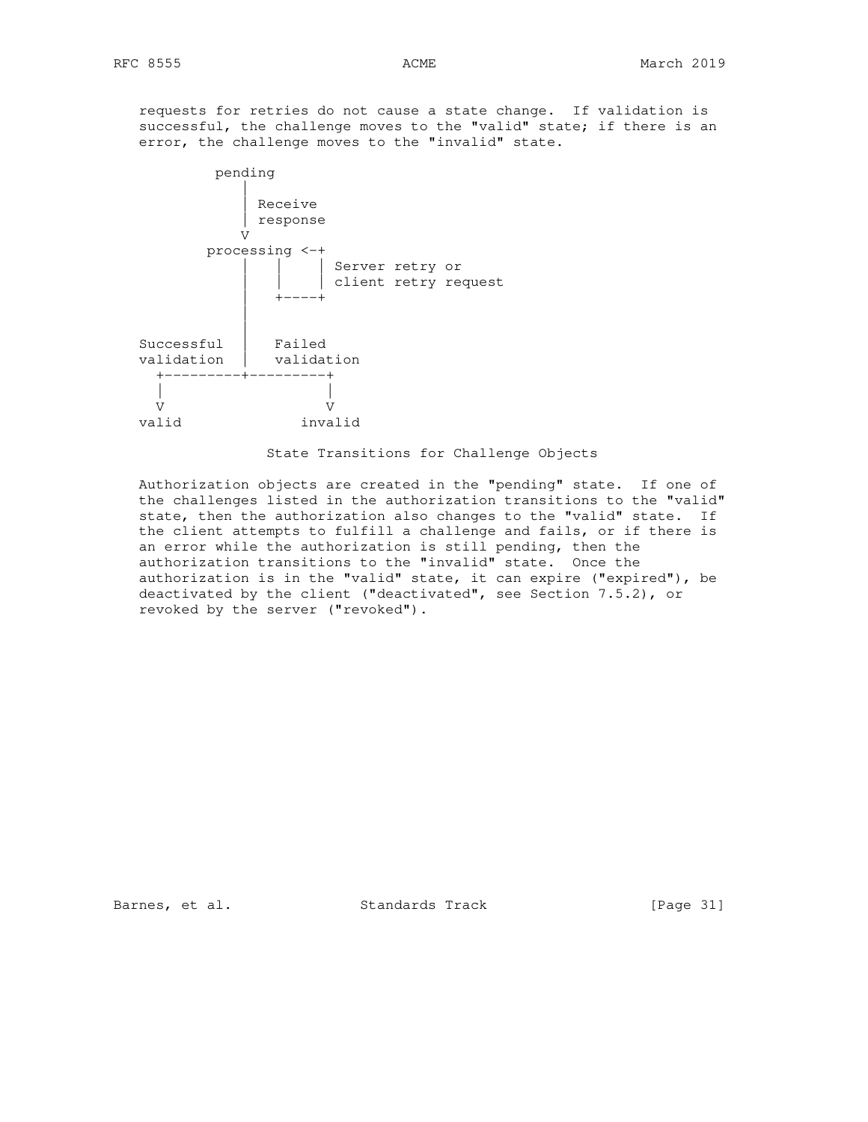requests for retries do not cause a state change. If validation is successful, the challenge moves to the "valid" state; if there is an error, the challenge moves to the "invalid" state.



State Transitions for Challenge Objects

 Authorization objects are created in the "pending" state. If one of the challenges listed in the authorization transitions to the "valid" state, then the authorization also changes to the "valid" state. If the client attempts to fulfill a challenge and fails, or if there is an error while the authorization is still pending, then the authorization transitions to the "invalid" state. Once the authorization is in the "valid" state, it can expire ("expired"), be deactivated by the client ("deactivated", see Section 7.5.2), or revoked by the server ("revoked").

Barnes, et al. Standards Track [Page 31]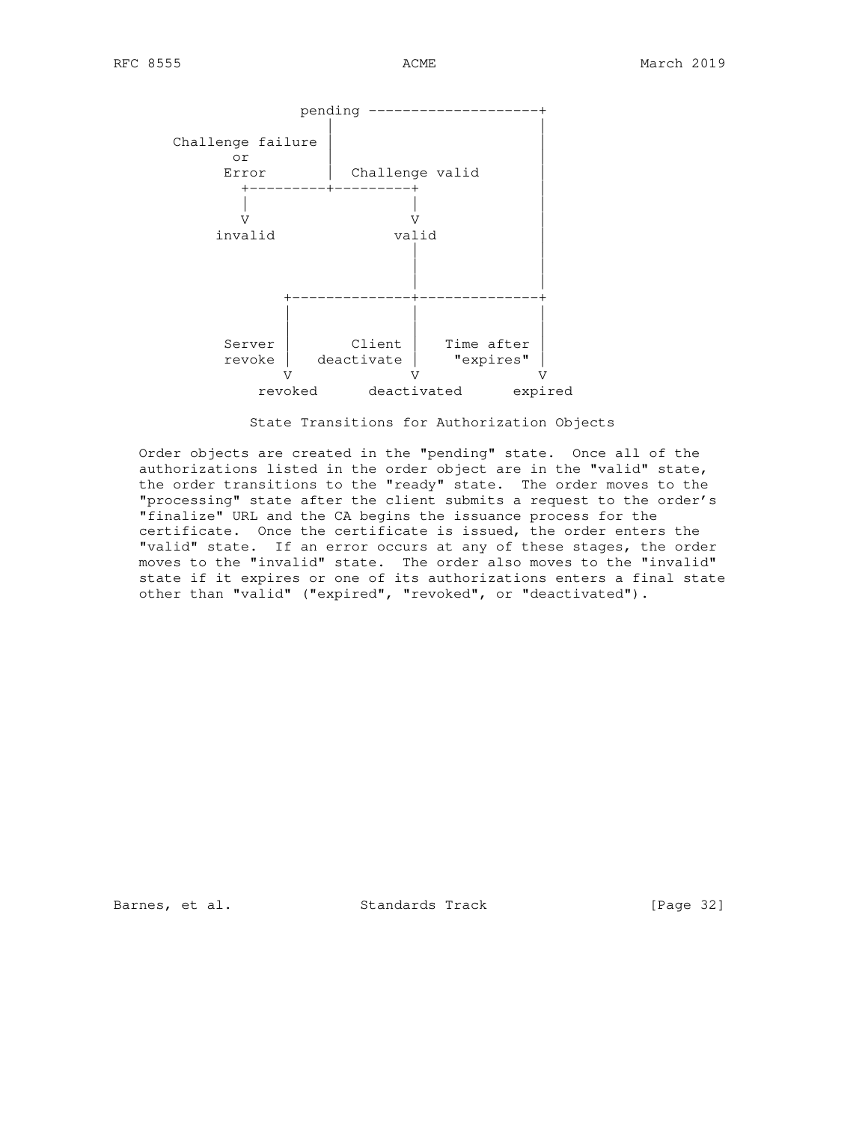

State Transitions for Authorization Objects

 Order objects are created in the "pending" state. Once all of the authorizations listed in the order object are in the "valid" state, the order transitions to the "ready" state. The order moves to the "processing" state after the client submits a request to the order's "finalize" URL and the CA begins the issuance process for the certificate. Once the certificate is issued, the order enters the "valid" state. If an error occurs at any of these stages, the order moves to the "invalid" state. The order also moves to the "invalid" state if it expires or one of its authorizations enters a final state other than "valid" ("expired", "revoked", or "deactivated").

Barnes, et al. Standards Track [Page 32]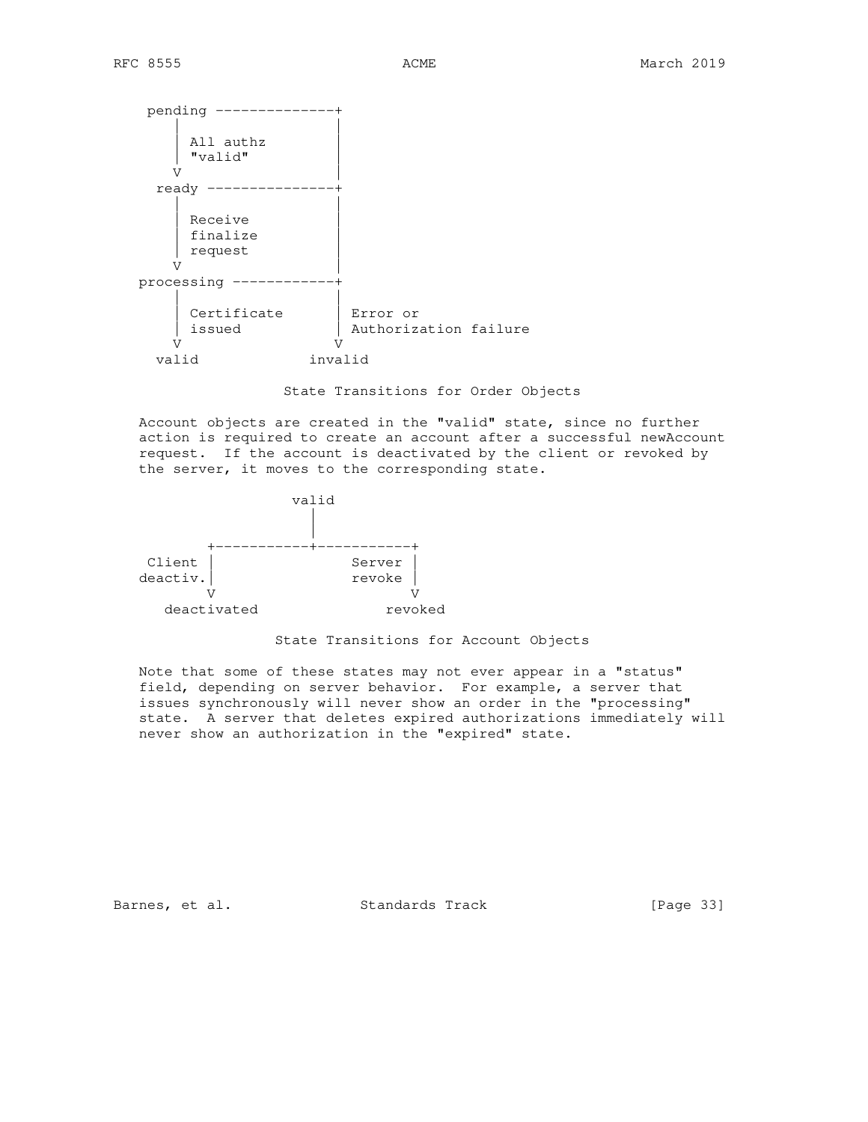| All authz                                                  |  |
|------------------------------------------------------------|--|
| "valid"                                                    |  |
| ٦Z                                                         |  |
| ready                                                      |  |
| Receive<br>finalize<br>request                             |  |
| processing                                                 |  |
| Certificate<br>Error or<br>Authorization failure<br>issued |  |
| invalid<br>valid                                           |  |

State Transitions for Order Objects

 Account objects are created in the "valid" state, since no further action is required to create an account after a successful newAccount request. If the account is deactivated by the client or revoked by the server, it moves to the corresponding state.



State Transitions for Account Objects

 Note that some of these states may not ever appear in a "status" field, depending on server behavior. For example, a server that issues synchronously will never show an order in the "processing" state. A server that deletes expired authorizations immediately will never show an authorization in the "expired" state.

Barnes, et al. Standards Track [Page 33]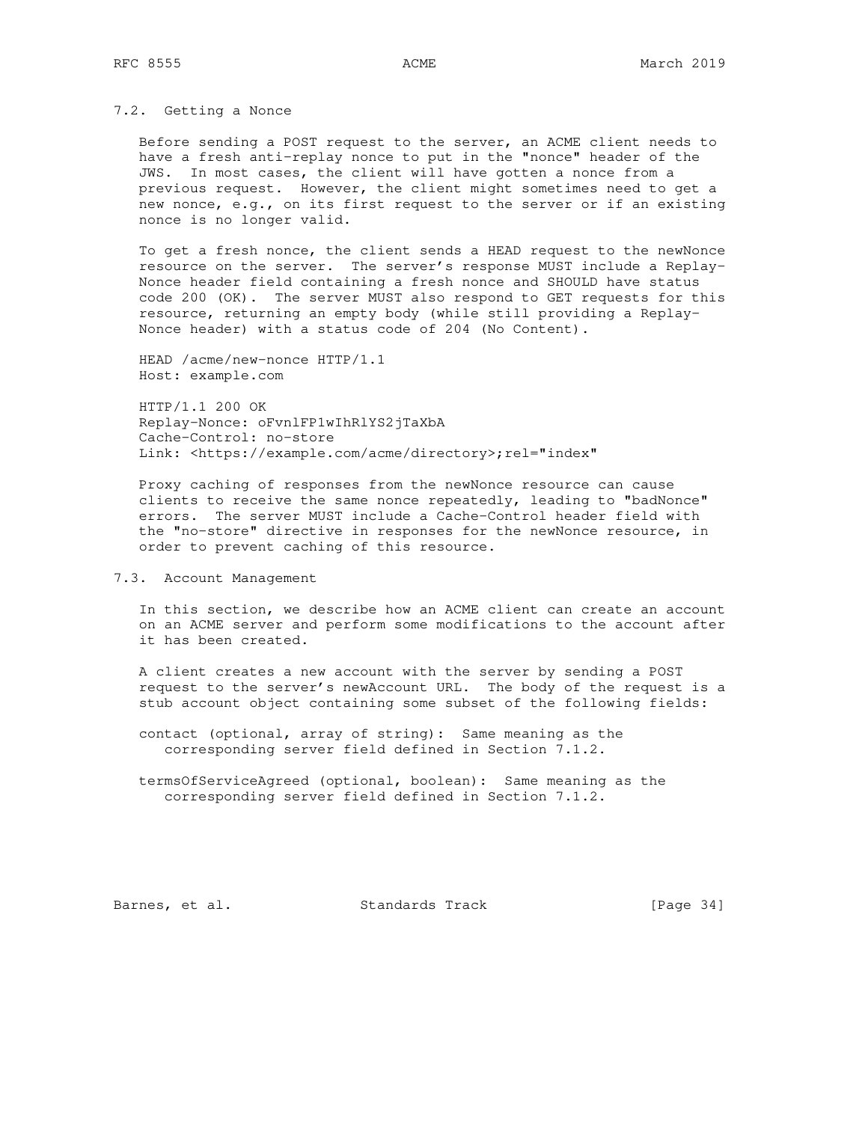#### 7.2. Getting a Nonce

 Before sending a POST request to the server, an ACME client needs to have a fresh anti-replay nonce to put in the "nonce" header of the JWS. In most cases, the client will have gotten a nonce from a previous request. However, the client might sometimes need to get a new nonce, e.g., on its first request to the server or if an existing nonce is no longer valid.

 To get a fresh nonce, the client sends a HEAD request to the newNonce resource on the server. The server's response MUST include a Replay- Nonce header field containing a fresh nonce and SHOULD have status code 200 (OK). The server MUST also respond to GET requests for this resource, returning an empty body (while still providing a Replay- Nonce header) with a status code of 204 (No Content).

 HEAD /acme/new-nonce HTTP/1.1 Host: example.com

 HTTP/1.1 200 OK Replay-Nonce: oFvnlFP1wIhRlYS2jTaXbA Cache-Control: no-store Link: <https://example.com/acme/directory>;rel="index"

 Proxy caching of responses from the newNonce resource can cause clients to receive the same nonce repeatedly, leading to "badNonce" errors. The server MUST include a Cache-Control header field with the "no-store" directive in responses for the newNonce resource, in order to prevent caching of this resource.

## 7.3. Account Management

 In this section, we describe how an ACME client can create an account on an ACME server and perform some modifications to the account after it has been created.

 A client creates a new account with the server by sending a POST request to the server's newAccount URL. The body of the request is a stub account object containing some subset of the following fields:

 contact (optional, array of string): Same meaning as the corresponding server field defined in Section 7.1.2.

 termsOfServiceAgreed (optional, boolean): Same meaning as the corresponding server field defined in Section 7.1.2.

Barnes, et al. Standards Track [Page 34]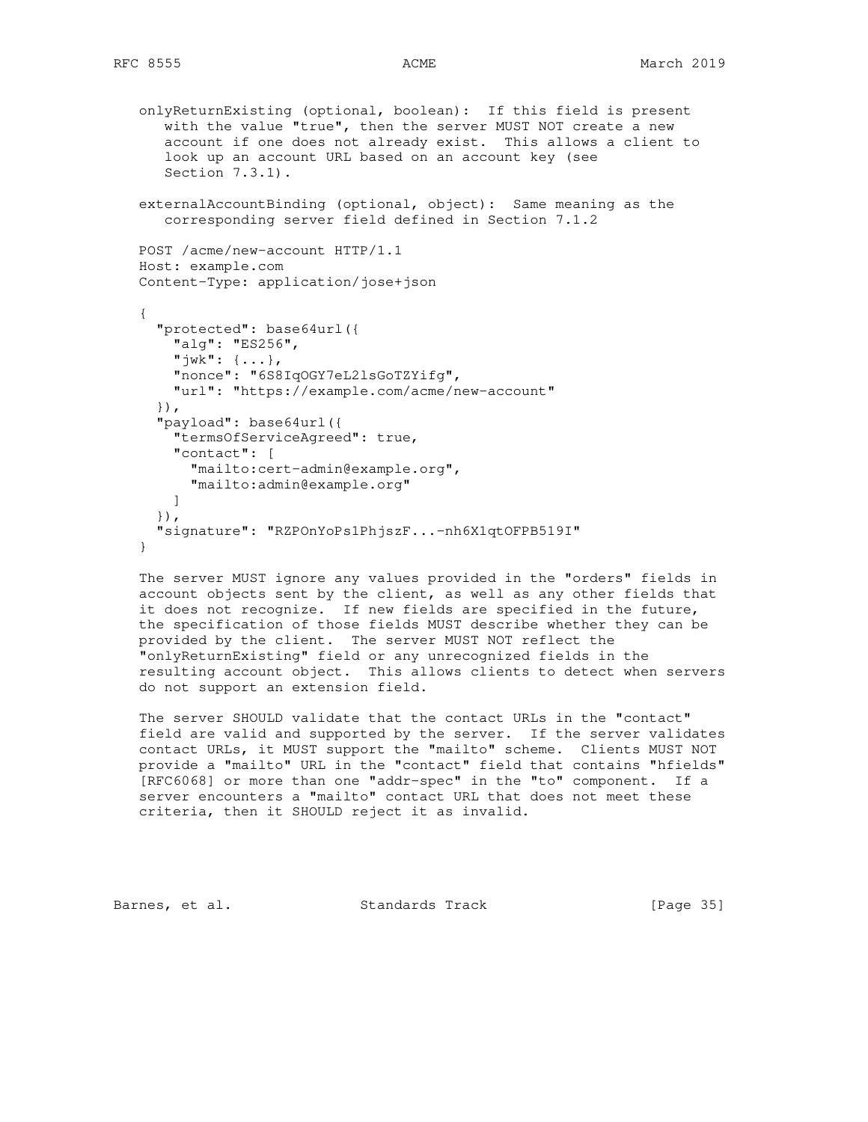```
 onlyReturnExisting (optional, boolean): If this field is present
    with the value "true", then the server MUST NOT create a new
    account if one does not already exist. This allows a client to
    look up an account URL based on an account key (see
    Section 7.3.1).
 externalAccountBinding (optional, object): Same meaning as the
   corresponding server field defined in Section 7.1.2
 POST /acme/new-account HTTP/1.1
 Host: example.com
 Content-Type: application/jose+json
 {
   "protected": base64url({
     "alg": "ES256",
    "\exists w k" : {\ldots}, "nonce": "6S8IqOGY7eL2lsGoTZYifg",
     "url": "https://example.com/acme/new-account"
   }),
   "payload": base64url({
     "termsOfServiceAgreed": true,
     "contact": [
       "mailto:cert-admin@example.org",
       "mailto:admin@example.org"
    \mathbf{I} }),
   "signature": "RZPOnYoPs1PhjszF...-nh6X1qtOFPB519I"
 }
```
 The server MUST ignore any values provided in the "orders" fields in account objects sent by the client, as well as any other fields that it does not recognize. If new fields are specified in the future, the specification of those fields MUST describe whether they can be provided by the client. The server MUST NOT reflect the "onlyReturnExisting" field or any unrecognized fields in the resulting account object. This allows clients to detect when servers do not support an extension field.

 The server SHOULD validate that the contact URLs in the "contact" field are valid and supported by the server. If the server validates contact URLs, it MUST support the "mailto" scheme. Clients MUST NOT provide a "mailto" URL in the "contact" field that contains "hfields" [RFC6068] or more than one "addr-spec" in the "to" component. If a server encounters a "mailto" contact URL that does not meet these criteria, then it SHOULD reject it as invalid.

Barnes, et al. Standards Track [Page 35]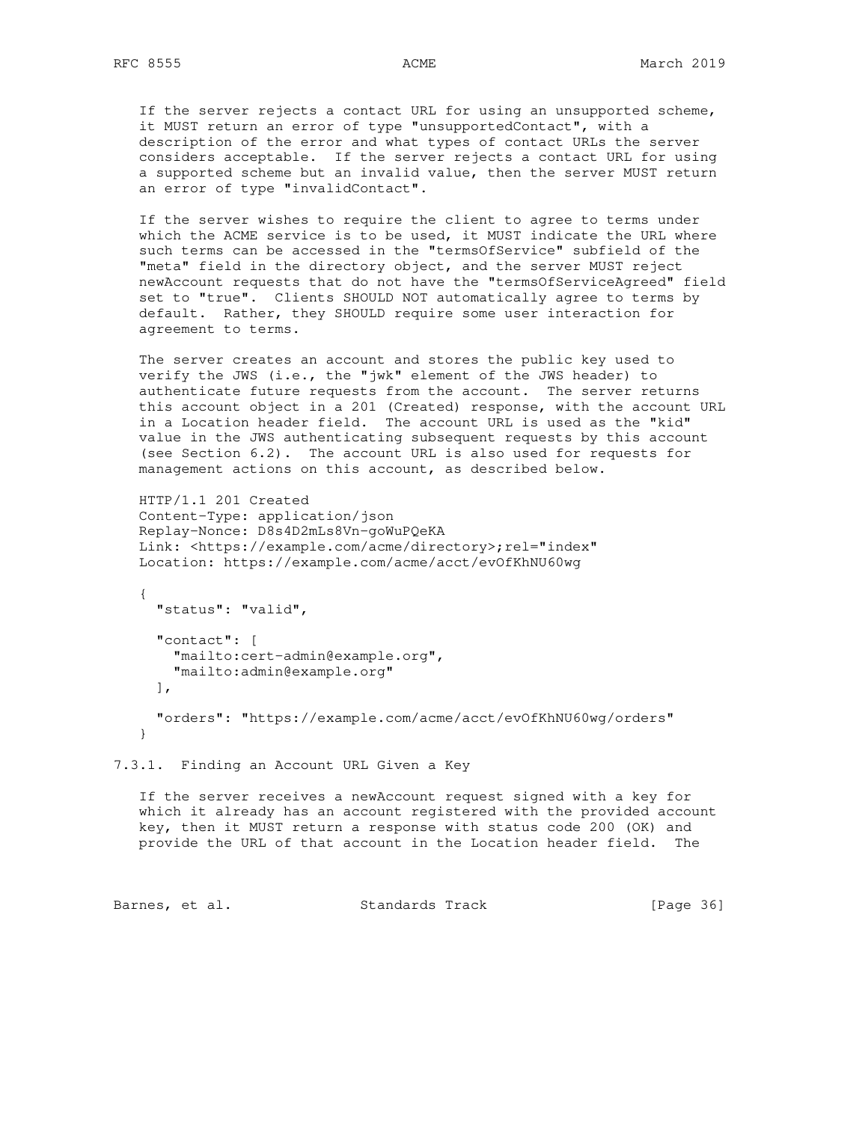If the server rejects a contact URL for using an unsupported scheme, it MUST return an error of type "unsupportedContact", with a description of the error and what types of contact URLs the server considers acceptable. If the server rejects a contact URL for using a supported scheme but an invalid value, then the server MUST return an error of type "invalidContact".

 If the server wishes to require the client to agree to terms under which the ACME service is to be used, it MUST indicate the URL where such terms can be accessed in the "termsOfService" subfield of the "meta" field in the directory object, and the server MUST reject newAccount requests that do not have the "termsOfServiceAgreed" field set to "true". Clients SHOULD NOT automatically agree to terms by default. Rather, they SHOULD require some user interaction for agreement to terms.

 The server creates an account and stores the public key used to verify the JWS (i.e., the "jwk" element of the JWS header) to authenticate future requests from the account. The server returns this account object in a 201 (Created) response, with the account URL in a Location header field. The account URL is used as the "kid" value in the JWS authenticating subsequent requests by this account (see Section 6.2). The account URL is also used for requests for management actions on this account, as described below.

 HTTP/1.1 201 Created Content-Type: application/json Replay-Nonce: D8s4D2mLs8Vn-goWuPQeKA Link: <https://example.com/acme/directory>;rel="index" Location: https://example.com/acme/acct/evOfKhNU60wg

 { "status": "valid", "contact": [ "mailto:cert-admin@example.org", "mailto:admin@example.org"  $\cdot$  "orders": "https://example.com/acme/acct/evOfKhNU60wg/orders" }

7.3.1. Finding an Account URL Given a Key

 If the server receives a newAccount request signed with a key for which it already has an account registered with the provided account key, then it MUST return a response with status code 200 (OK) and provide the URL of that account in the Location header field. The

Barnes, et al. Standards Track [Page 36]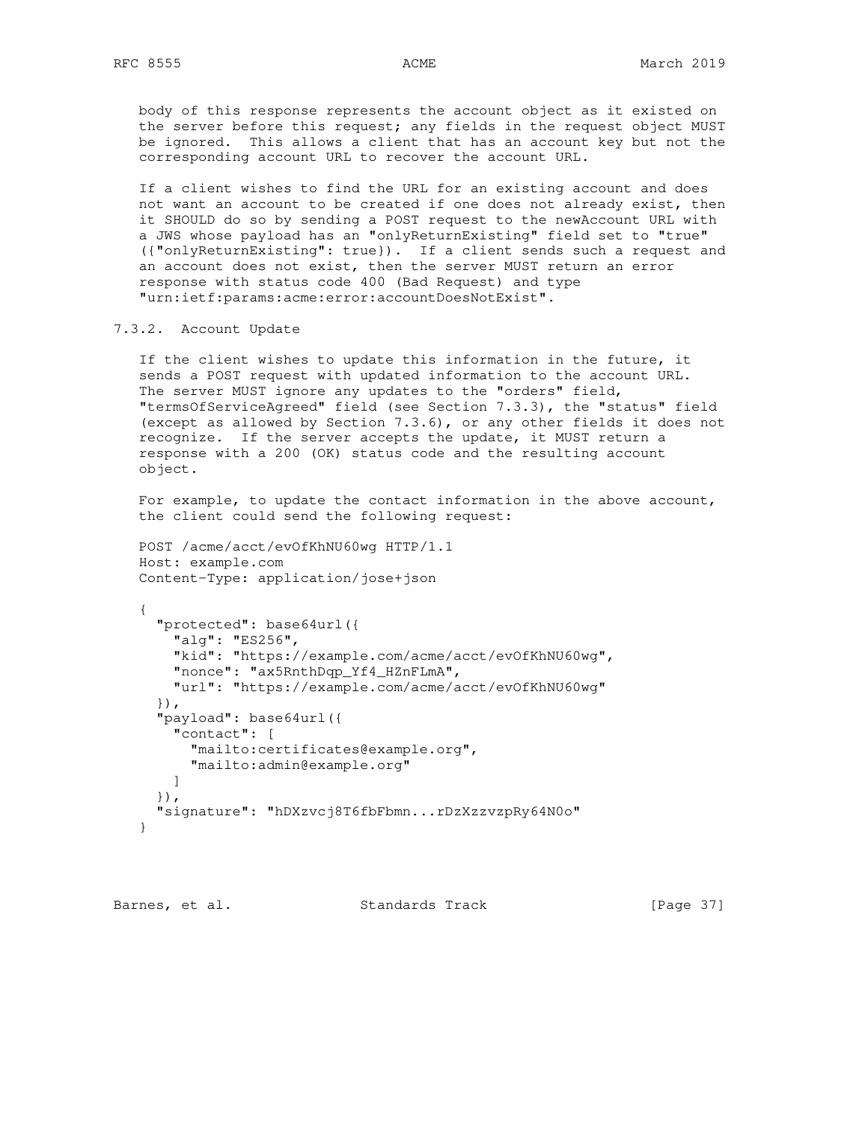body of this response represents the account object as it existed on the server before this request; any fields in the request object MUST be ignored. This allows a client that has an account key but not the corresponding account URL to recover the account URL.

 If a client wishes to find the URL for an existing account and does not want an account to be created if one does not already exist, then it SHOULD do so by sending a POST request to the newAccount URL with a JWS whose payload has an "onlyReturnExisting" field set to "true" ({"onlyReturnExisting": true}). If a client sends such a request and an account does not exist, then the server MUST return an error response with status code 400 (Bad Request) and type "urn:ietf:params:acme:error:accountDoesNotExist".

# 7.3.2. Account Update

 If the client wishes to update this information in the future, it sends a POST request with updated information to the account URL. The server MUST ignore any updates to the "orders" field, "termsOfServiceAgreed" field (see Section 7.3.3), the "status" field (except as allowed by Section 7.3.6), or any other fields it does not recognize. If the server accepts the update, it MUST return a response with a 200 (OK) status code and the resulting account object.

 For example, to update the contact information in the above account, the client could send the following request:

```
 POST /acme/acct/evOfKhNU60wg HTTP/1.1
 Host: example.com
 Content-Type: application/jose+json
```

```
 {
   "protected": base64url({
     "alg": "ES256",
     "kid": "https://example.com/acme/acct/evOfKhNU60wg",
     "nonce": "ax5RnthDqp_Yf4_HZnFLmA",
     "url": "https://example.com/acme/acct/evOfKhNU60wg"
   }),
   "payload": base64url({
     "contact": [
       "mailto:certificates@example.org",
       "mailto:admin@example.org"
    ]
   }),
   "signature": "hDXzvcj8T6fbFbmn...rDzXzzvzpRy64N0o"
 }
```
Barnes, et al. Standards Track [Page 37]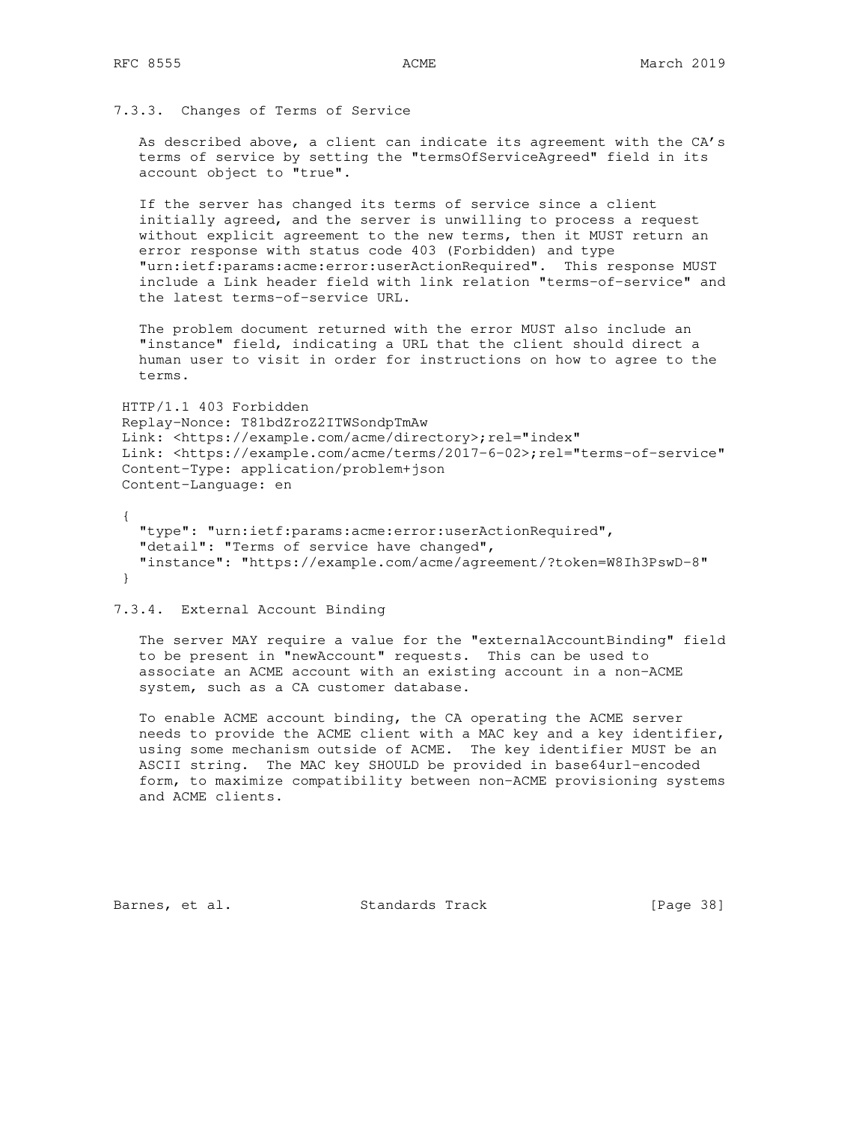# 7.3.3. Changes of Terms of Service

 As described above, a client can indicate its agreement with the CA's terms of service by setting the "termsOfServiceAgreed" field in its account object to "true".

 If the server has changed its terms of service since a client initially agreed, and the server is unwilling to process a request without explicit agreement to the new terms, then it MUST return an error response with status code 403 (Forbidden) and type "urn:ietf:params:acme:error:userActionRequired". This response MUST include a Link header field with link relation "terms-of-service" and the latest terms-of-service URL.

 The problem document returned with the error MUST also include an "instance" field, indicating a URL that the client should direct a human user to visit in order for instructions on how to agree to the terms.

 HTTP/1.1 403 Forbidden Replay-Nonce: T81bdZroZ2ITWSondpTmAw Link: <https://example.com/acme/directory>;rel="index" Link: <https://example.com/acme/terms/2017-6-02>;rel="terms-of-service" Content-Type: application/problem+json Content-Language: en

 { "type": "urn:ietf:params:acme:error:userActionRequired", "detail": "Terms of service have changed", "instance": "https://example.com/acme/agreement/?token=W8Ih3PswD-8" }

7.3.4. External Account Binding

 The server MAY require a value for the "externalAccountBinding" field to be present in "newAccount" requests. This can be used to associate an ACME account with an existing account in a non-ACME system, such as a CA customer database.

 To enable ACME account binding, the CA operating the ACME server needs to provide the ACME client with a MAC key and a key identifier, using some mechanism outside of ACME. The key identifier MUST be an ASCII string. The MAC key SHOULD be provided in base64url-encoded form, to maximize compatibility between non-ACME provisioning systems and ACME clients.

Barnes, et al. Standards Track [Page 38]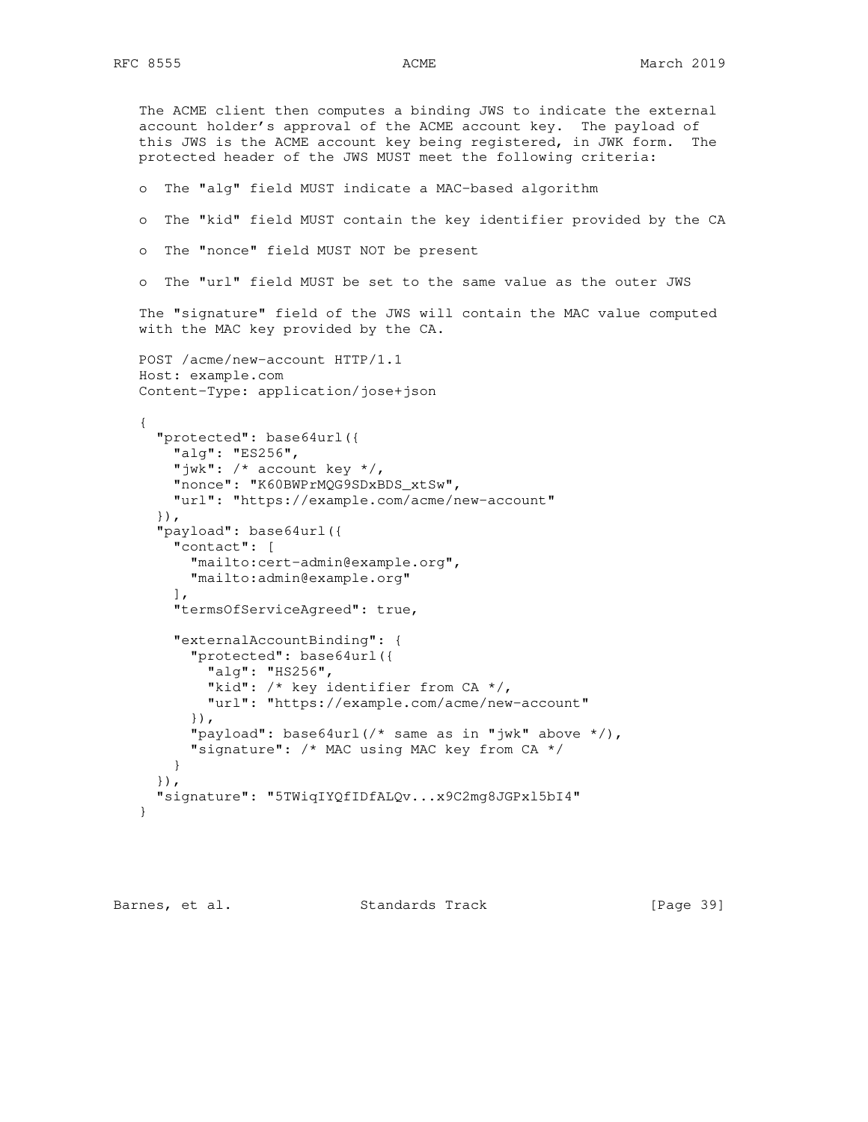```
 The ACME client then computes a binding JWS to indicate the external
 account holder's approval of the ACME account key. The payload of
 this JWS is the ACME account key being registered, in JWK form. The
   protected header of the JWS MUST meet the following criteria:
   o The "alg" field MUST indicate a MAC-based algorithm
   o The "kid" field MUST contain the key identifier provided by the CA
   o The "nonce" field MUST NOT be present
   o The "url" field MUST be set to the same value as the outer JWS
   The "signature" field of the JWS will contain the MAC value computed
   with the MAC key provided by the CA.
   POST /acme/new-account HTTP/1.1
   Host: example.com
   Content-Type: application/jose+json
   {
      "protected": base64url({
        "alg": "ES256",
        "jwk": /* account key */,
        "nonce": "K60BWPrMQG9SDxBDS_xtSw",
        "url": "https://example.com/acme/new-account"
      }),
      "payload": base64url({
        "contact": [
          "mailto:cert-admin@example.org",
          "mailto:admin@example.org"
       \frac{1}{2} "termsOfServiceAgreed": true,
        "externalAccountBinding": {
          "protected": base64url({
            "alg": "HS256",
           "kid": /* key identifier from CA */,
            "url": "https://example.com/acme/new-account"
          }),
          "payload": base64url(/* same as in "jwk" above */),
          "signature": /* MAC using MAC key from CA */
       }
      }),
      "signature": "5TWiqIYQfIDfALQv...x9C2mg8JGPxl5bI4"
   }
```
Barnes, et al. Standards Track [Page 39]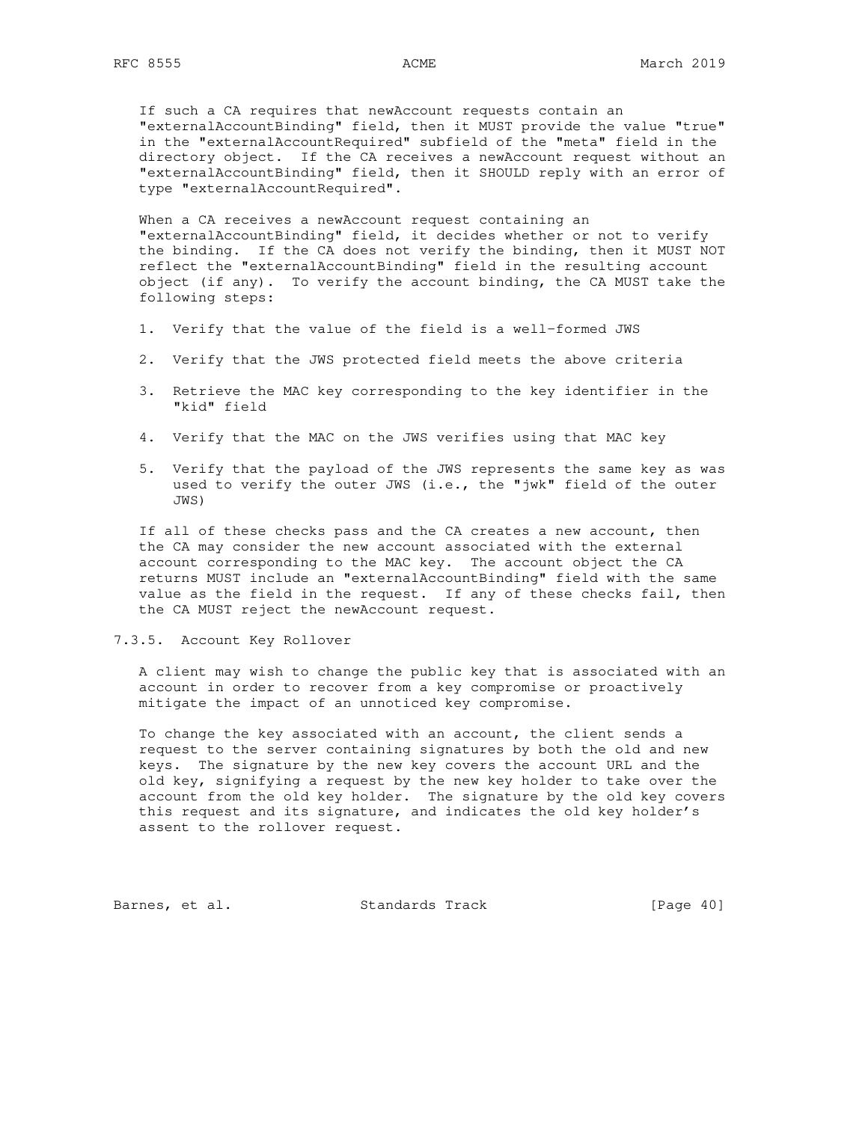If such a CA requires that newAccount requests contain an "externalAccountBinding" field, then it MUST provide the value "true" in the "externalAccountRequired" subfield of the "meta" field in the directory object. If the CA receives a newAccount request without an "externalAccountBinding" field, then it SHOULD reply with an error of type "externalAccountRequired".

 When a CA receives a newAccount request containing an "externalAccountBinding" field, it decides whether or not to verify the binding. If the CA does not verify the binding, then it MUST NOT reflect the "externalAccountBinding" field in the resulting account object (if any). To verify the account binding, the CA MUST take the following steps:

- 1. Verify that the value of the field is a well-formed JWS
- 2. Verify that the JWS protected field meets the above criteria
- 3. Retrieve the MAC key corresponding to the key identifier in the "kid" field
- 4. Verify that the MAC on the JWS verifies using that MAC key
- 5. Verify that the payload of the JWS represents the same key as was used to verify the outer JWS (i.e., the "jwk" field of the outer JWS)

 If all of these checks pass and the CA creates a new account, then the CA may consider the new account associated with the external account corresponding to the MAC key. The account object the CA returns MUST include an "externalAccountBinding" field with the same value as the field in the request. If any of these checks fail, then the CA MUST reject the newAccount request.

## 7.3.5. Account Key Rollover

 A client may wish to change the public key that is associated with an account in order to recover from a key compromise or proactively mitigate the impact of an unnoticed key compromise.

 To change the key associated with an account, the client sends a request to the server containing signatures by both the old and new keys. The signature by the new key covers the account URL and the old key, signifying a request by the new key holder to take over the account from the old key holder. The signature by the old key covers this request and its signature, and indicates the old key holder's assent to the rollover request.

Barnes, et al. Standards Track [Page 40]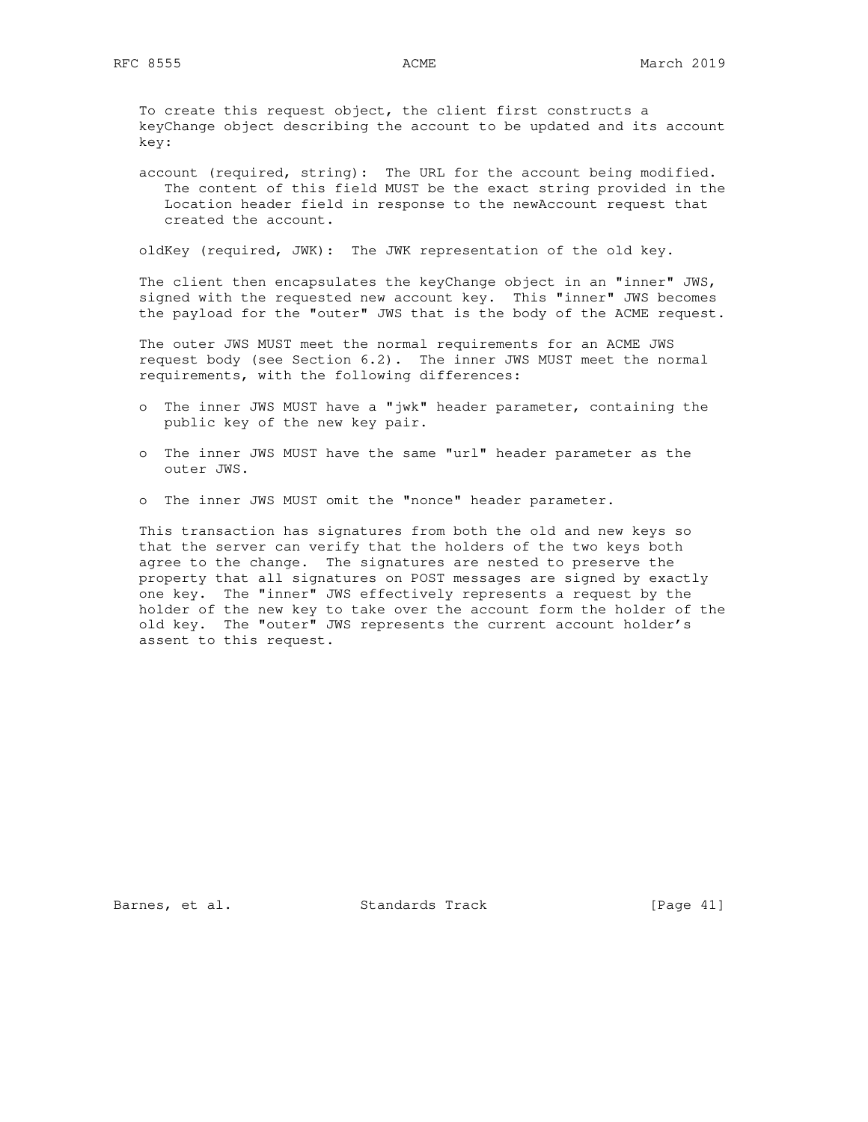To create this request object, the client first constructs a keyChange object describing the account to be updated and its account key:

 account (required, string): The URL for the account being modified. The content of this field MUST be the exact string provided in the Location header field in response to the newAccount request that created the account.

oldKey (required, JWK): The JWK representation of the old key.

 The client then encapsulates the keyChange object in an "inner" JWS, signed with the requested new account key. This "inner" JWS becomes the payload for the "outer" JWS that is the body of the ACME request.

 The outer JWS MUST meet the normal requirements for an ACME JWS request body (see Section 6.2). The inner JWS MUST meet the normal requirements, with the following differences:

- o The inner JWS MUST have a "jwk" header parameter, containing the public key of the new key pair.
- o The inner JWS MUST have the same "url" header parameter as the outer JWS.
- o The inner JWS MUST omit the "nonce" header parameter.

 This transaction has signatures from both the old and new keys so that the server can verify that the holders of the two keys both agree to the change. The signatures are nested to preserve the property that all signatures on POST messages are signed by exactly one key. The "inner" JWS effectively represents a request by the holder of the new key to take over the account form the holder of the old key. The "outer" JWS represents the current account holder's assent to this request.

Barnes, et al. Standards Track [Page 41]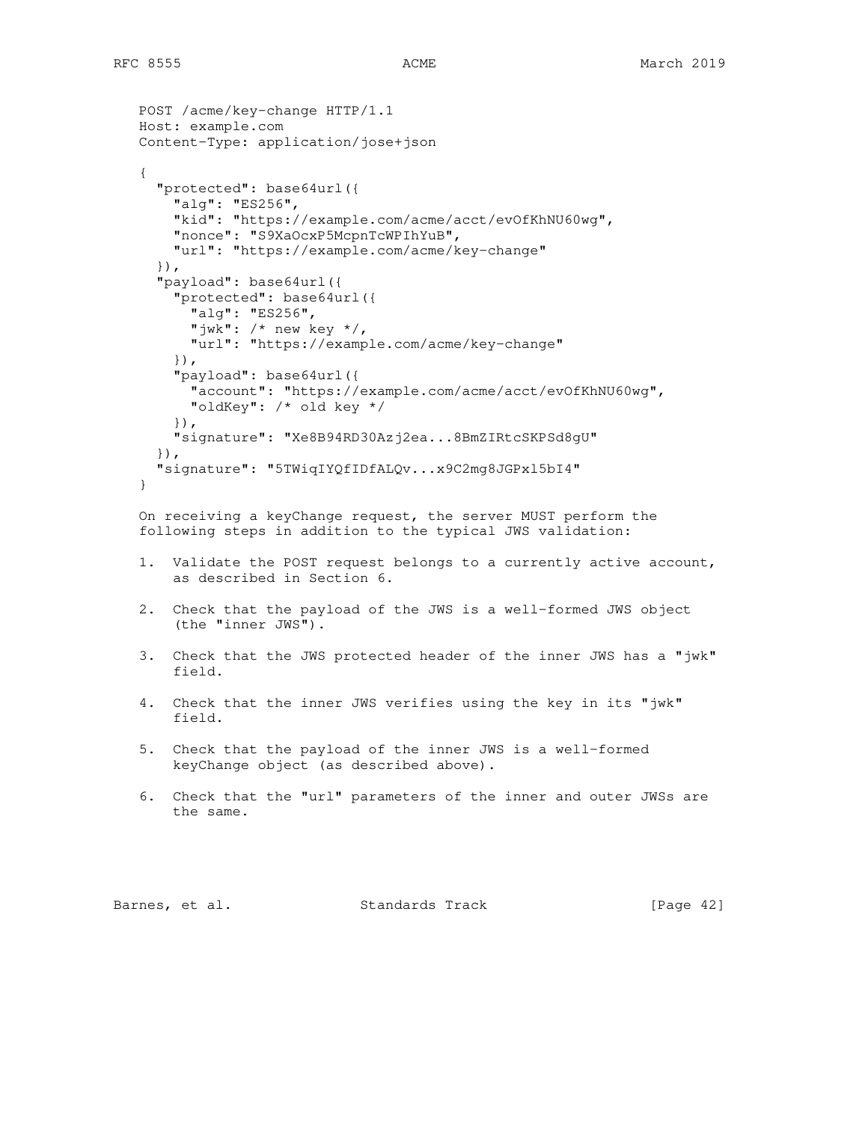```
 POST /acme/key-change HTTP/1.1
   Host: example.com
   Content-Type: application/jose+json
    {
      "protected": base64url({
       "alg": "ES256",
       "kid": "https://example.com/acme/acct/evOfKhNU60wg",
       "nonce": "S9XaOcxP5McpnTcWPIhYuB",
       "url": "https://example.com/acme/key-change"
     }),
      "payload": base64url({
        "protected": base64url({
 "alg": "ES256",
 "jwk": /* new key */,
         "url": "https://example.com/acme/key-change"
        }),
        "payload": base64url({
         "account": "https://example.com/acme/acct/evOfKhNU60wg",
         "oldKey": /* old key */
        }),
        "signature": "Xe8B94RD30Azj2ea...8BmZIRtcSKPSd8gU"
      }),
      "signature": "5TWiqIYQfIDfALQv...x9C2mg8JGPxl5bI4"
   }
   On receiving a keyChange request, the server MUST perform the
```
following steps in addition to the typical JWS validation:

- 1. Validate the POST request belongs to a currently active account, as described in Section 6.
- 2. Check that the payload of the JWS is a well-formed JWS object (the "inner JWS").
- 3. Check that the JWS protected header of the inner JWS has a "jwk" field.
- 4. Check that the inner JWS verifies using the key in its "jwk" field.
- 5. Check that the payload of the inner JWS is a well-formed keyChange object (as described above).
- 6. Check that the "url" parameters of the inner and outer JWSs are the same.

Barnes, et al. Standards Track [Page 42]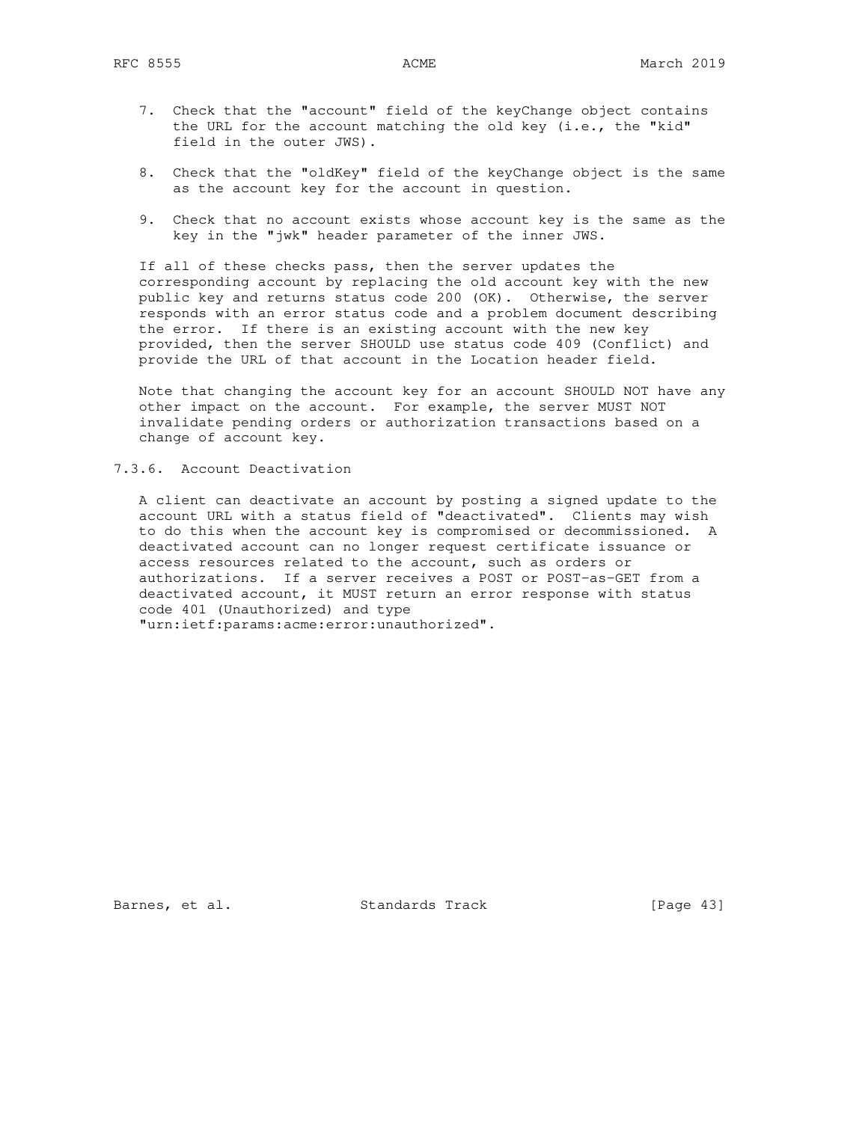- 7. Check that the "account" field of the keyChange object contains the URL for the account matching the old key (i.e., the "kid" field in the outer JWS).
- 8. Check that the "oldKey" field of the keyChange object is the same as the account key for the account in question.
- 9. Check that no account exists whose account key is the same as the key in the "jwk" header parameter of the inner JWS.

 If all of these checks pass, then the server updates the corresponding account by replacing the old account key with the new public key and returns status code 200 (OK). Otherwise, the server responds with an error status code and a problem document describing the error. If there is an existing account with the new key provided, then the server SHOULD use status code 409 (Conflict) and provide the URL of that account in the Location header field.

 Note that changing the account key for an account SHOULD NOT have any other impact on the account. For example, the server MUST NOT invalidate pending orders or authorization transactions based on a change of account key.

7.3.6. Account Deactivation

 A client can deactivate an account by posting a signed update to the account URL with a status field of "deactivated". Clients may wish to do this when the account key is compromised or decommissioned. A deactivated account can no longer request certificate issuance or access resources related to the account, such as orders or authorizations. If a server receives a POST or POST-as-GET from a deactivated account, it MUST return an error response with status code 401 (Unauthorized) and type

"urn:ietf:params:acme:error:unauthorized".

Barnes, et al. Standards Track [Page 43]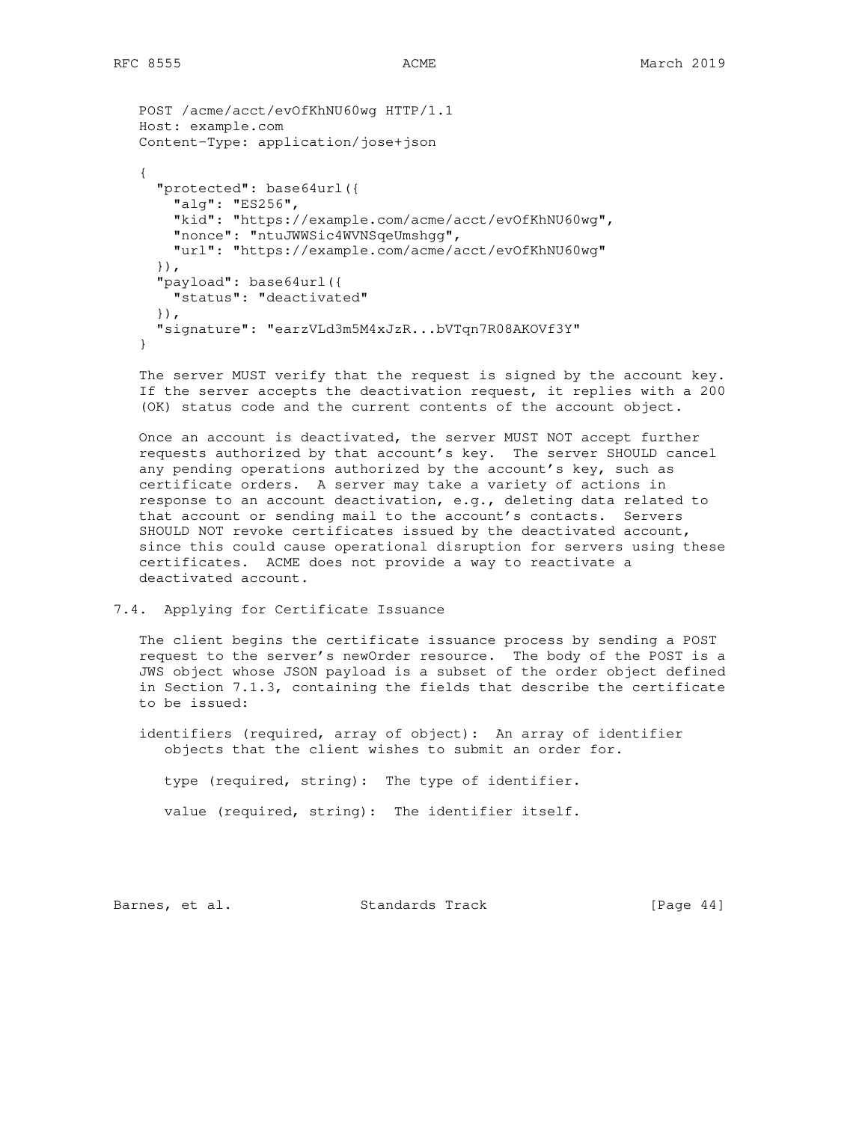```
 POST /acme/acct/evOfKhNU60wg HTTP/1.1
   Host: example.com
   Content-Type: application/jose+json
 {
      "protected": base64url({
       "alg": "ES256",
       "kid": "https://example.com/acme/acct/evOfKhNU60wg",
       "nonce": "ntuJWWSic4WVNSqeUmshgg",
       "url": "https://example.com/acme/acct/evOfKhNU60wg"
      }),
      "payload": base64url({
       "status": "deactivated"
      }),
      "signature": "earzVLd3m5M4xJzR...bVTqn7R08AKOVf3Y"
   }
```
 The server MUST verify that the request is signed by the account key. If the server accepts the deactivation request, it replies with a 200 (OK) status code and the current contents of the account object.

 Once an account is deactivated, the server MUST NOT accept further requests authorized by that account's key. The server SHOULD cancel any pending operations authorized by the account's key, such as certificate orders. A server may take a variety of actions in response to an account deactivation, e.g., deleting data related to that account or sending mail to the account's contacts. Servers SHOULD NOT revoke certificates issued by the deactivated account, since this could cause operational disruption for servers using these certificates. ACME does not provide a way to reactivate a deactivated account.

# 7.4. Applying for Certificate Issuance

 The client begins the certificate issuance process by sending a POST request to the server's newOrder resource. The body of the POST is a JWS object whose JSON payload is a subset of the order object defined in Section 7.1.3, containing the fields that describe the certificate to be issued:

 identifiers (required, array of object): An array of identifier objects that the client wishes to submit an order for.

type (required, string): The type of identifier.

value (required, string): The identifier itself.

Barnes, et al. Standards Track [Page 44]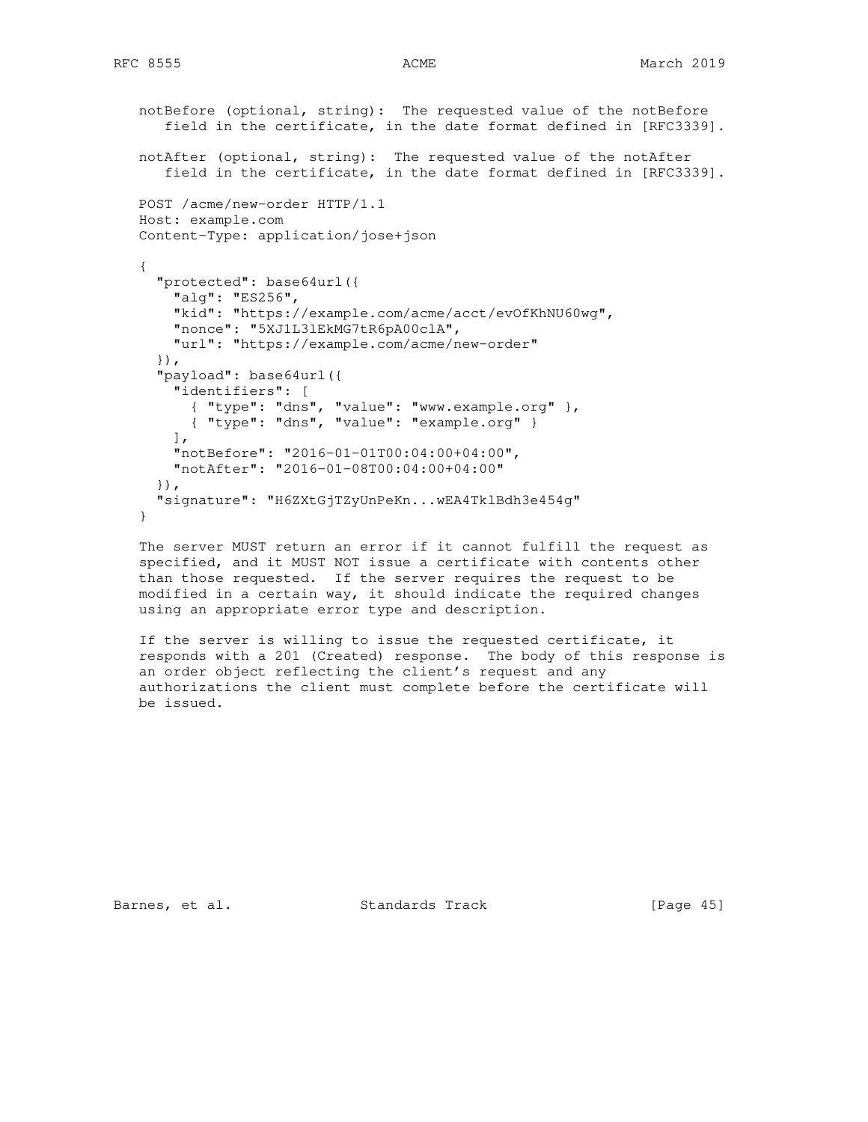```
 notBefore (optional, string): The requested value of the notBefore
      field in the certificate, in the date format defined in [RFC3339].
   notAfter (optional, string): The requested value of the notAfter
      field in the certificate, in the date format defined in [RFC3339].
   POST /acme/new-order HTTP/1.1
   Host: example.com
   Content-Type: application/jose+json
 {
      "protected": base64url({
       "alg": "ES256",
       "kid": "https://example.com/acme/acct/evOfKhNU60wg",
       "nonce": "5XJ1L3lEkMG7tR6pA00clA",
       "url": "https://example.com/acme/new-order"
     }),
      "payload": base64url({
       "identifiers": [
 { "type": "dns", "value": "www.example.org" },
 { "type": "dns", "value": "example.org" }
      \cdot "notBefore": "2016-01-01T00:04:00+04:00",
       "notAfter": "2016-01-08T00:04:00+04:00"
     }),
      "signature": "H6ZXtGjTZyUnPeKn...wEA4TklBdh3e454g"
   }
```
 The server MUST return an error if it cannot fulfill the request as specified, and it MUST NOT issue a certificate with contents other than those requested. If the server requires the request to be modified in a certain way, it should indicate the required changes using an appropriate error type and description.

 If the server is willing to issue the requested certificate, it responds with a 201 (Created) response. The body of this response is an order object reflecting the client's request and any authorizations the client must complete before the certificate will be issued.

Barnes, et al. Standards Track [Page 45]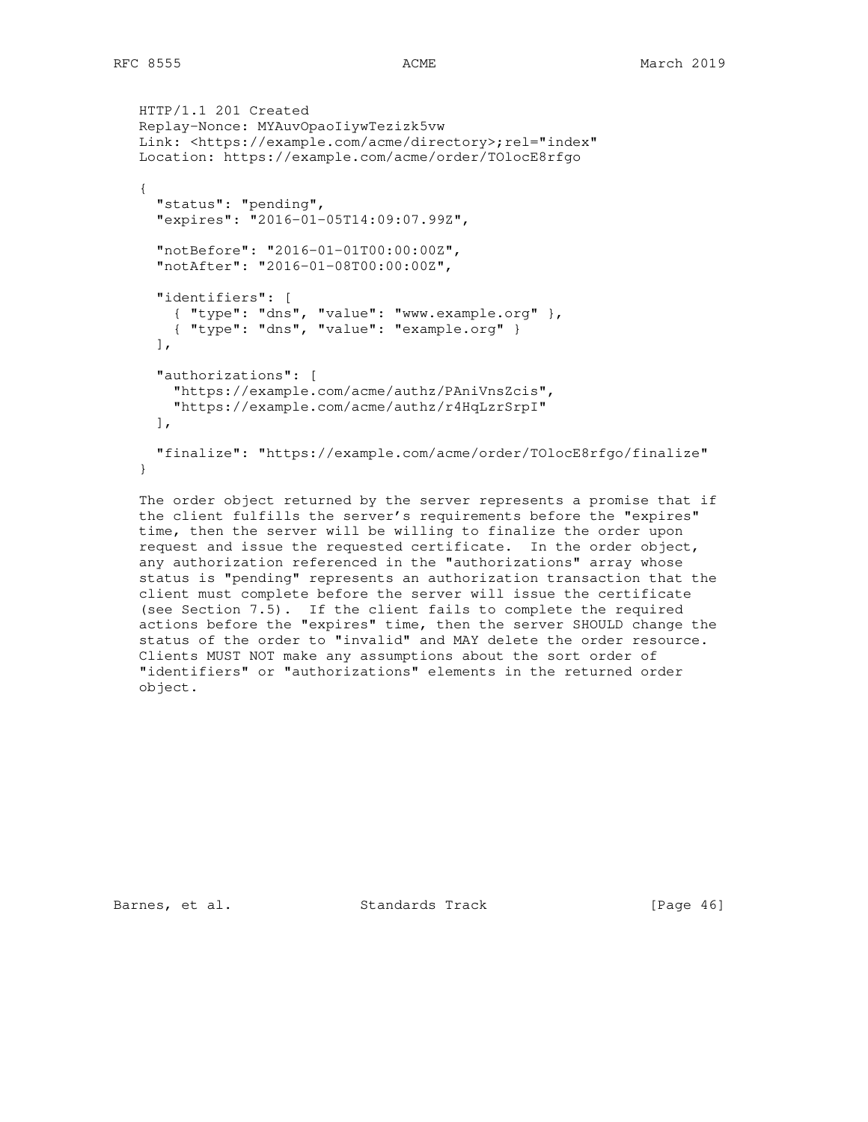```
 HTTP/1.1 201 Created
   Replay-Nonce: MYAuvOpaoIiywTezizk5vw
  Link: <https://example.com/acme/directory>;rel="index"
   Location: https://example.com/acme/order/TOlocE8rfgo
   {
      "status": "pending",
      "expires": "2016-01-05T14:09:07.99Z",
      "notBefore": "2016-01-01T00:00:00Z",
      "notAfter": "2016-01-08T00:00:00Z",
      "identifiers": [
 { "type": "dns", "value": "www.example.org" },
 { "type": "dns", "value": "example.org" }
    \cdot "authorizations": [
       "https://example.com/acme/authz/PAniVnsZcis",
        "https://example.com/acme/authz/r4HqLzrSrpI"
    \frac{1}{2} "finalize": "https://example.com/acme/order/TOlocE8rfgo/finalize"
   }
```
 The order object returned by the server represents a promise that if the client fulfills the server's requirements before the "expires" time, then the server will be willing to finalize the order upon request and issue the requested certificate. In the order object, any authorization referenced in the "authorizations" array whose status is "pending" represents an authorization transaction that the client must complete before the server will issue the certificate (see Section 7.5). If the client fails to complete the required actions before the "expires" time, then the server SHOULD change the status of the order to "invalid" and MAY delete the order resource. Clients MUST NOT make any assumptions about the sort order of "identifiers" or "authorizations" elements in the returned order object.

Barnes, et al. Standards Track [Page 46]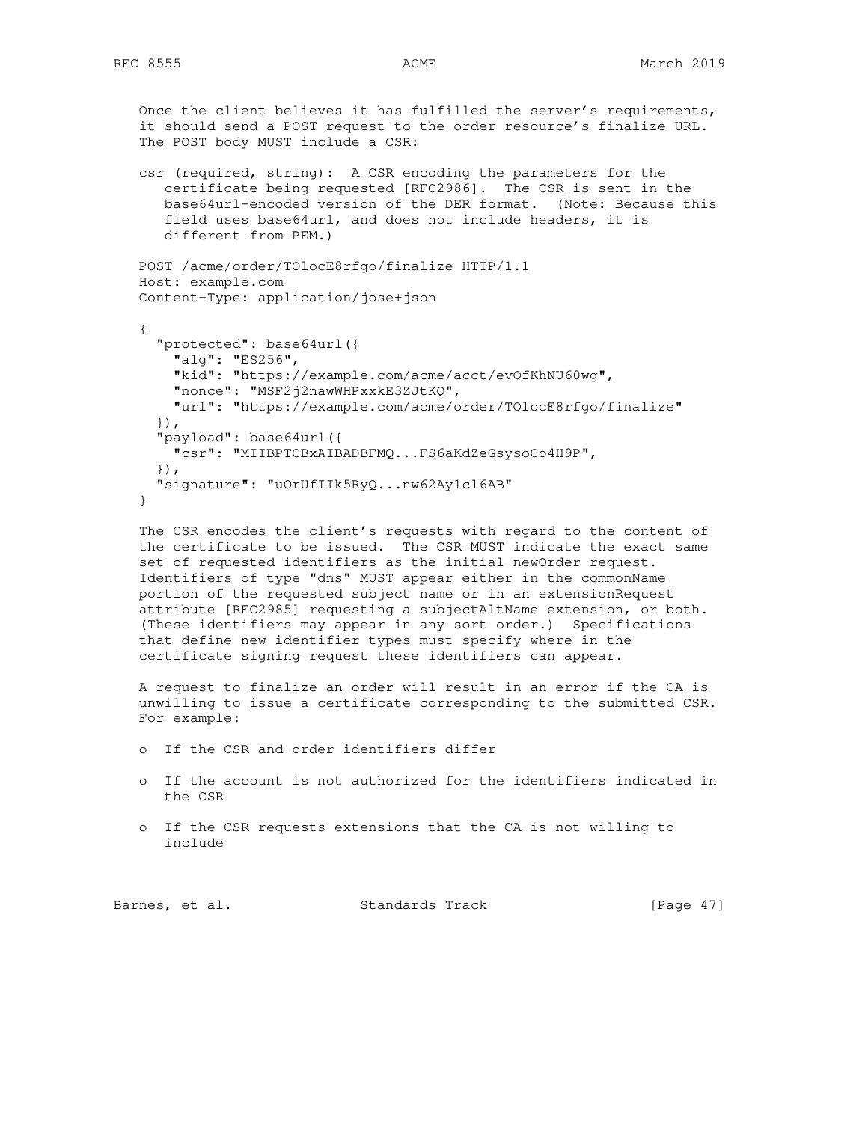Once the client believes it has fulfilled the server's requirements, it should send a POST request to the order resource's finalize URL. The POST body MUST include a CSR:

 csr (required, string): A CSR encoding the parameters for the certificate being requested [RFC2986]. The CSR is sent in the base64url-encoded version of the DER format. (Note: Because this field uses base64url, and does not include headers, it is different from PEM.)

```
 POST /acme/order/TOlocE8rfgo/finalize HTTP/1.1
 Host: example.com
 Content-Type: application/jose+json
```

```
 {
   "protected": base64url({
     "alg": "ES256",
     "kid": "https://example.com/acme/acct/evOfKhNU60wg",
     "nonce": "MSF2j2nawWHPxxkE3ZJtKQ",
     "url": "https://example.com/acme/order/TOlocE8rfgo/finalize"
   }),
   "payload": base64url({
     "csr": "MIIBPTCBxAIBADBFMQ...FS6aKdZeGsysoCo4H9P",
   }),
   "signature": "uOrUfIIk5RyQ...nw62Ay1cl6AB"
 }
```
 The CSR encodes the client's requests with regard to the content of the certificate to be issued. The CSR MUST indicate the exact same set of requested identifiers as the initial newOrder request. Identifiers of type "dns" MUST appear either in the commonName portion of the requested subject name or in an extensionRequest attribute [RFC2985] requesting a subjectAltName extension, or both. (These identifiers may appear in any sort order.) Specifications that define new identifier types must specify where in the certificate signing request these identifiers can appear.

 A request to finalize an order will result in an error if the CA is unwilling to issue a certificate corresponding to the submitted CSR. For example:

- o If the CSR and order identifiers differ
- o If the account is not authorized for the identifiers indicated in the CSR
- o If the CSR requests extensions that the CA is not willing to include

Barnes, et al. Standards Track [Page 47]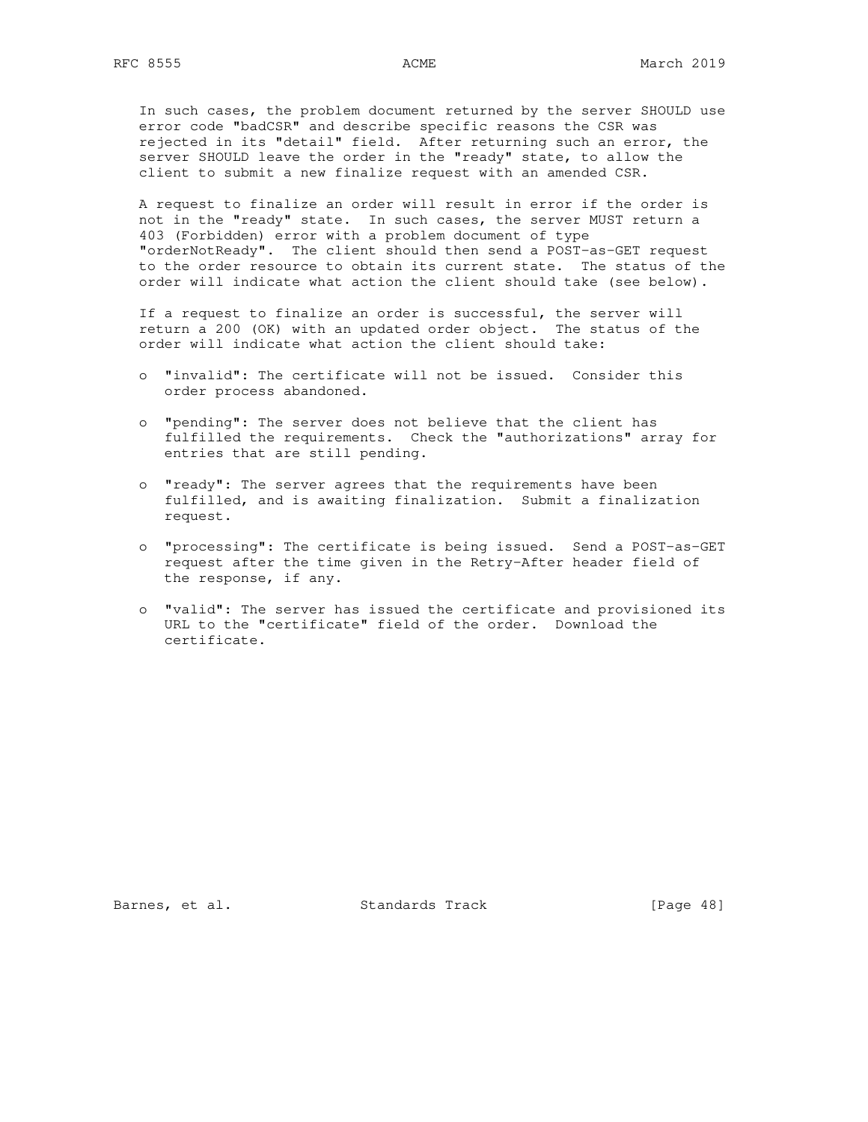In such cases, the problem document returned by the server SHOULD use error code "badCSR" and describe specific reasons the CSR was rejected in its "detail" field. After returning such an error, the server SHOULD leave the order in the "ready" state, to allow the client to submit a new finalize request with an amended CSR.

 A request to finalize an order will result in error if the order is not in the "ready" state. In such cases, the server MUST return a 403 (Forbidden) error with a problem document of type "orderNotReady". The client should then send a POST-as-GET request to the order resource to obtain its current state. The status of the order will indicate what action the client should take (see below).

 If a request to finalize an order is successful, the server will return a 200 (OK) with an updated order object. The status of the order will indicate what action the client should take:

- o "invalid": The certificate will not be issued. Consider this order process abandoned.
- o "pending": The server does not believe that the client has fulfilled the requirements. Check the "authorizations" array for entries that are still pending.
- o "ready": The server agrees that the requirements have been fulfilled, and is awaiting finalization. Submit a finalization request.
- o "processing": The certificate is being issued. Send a POST-as-GET request after the time given in the Retry-After header field of the response, if any.
- o "valid": The server has issued the certificate and provisioned its URL to the "certificate" field of the order. Download the certificate.

Barnes, et al. Standards Track [Page 48]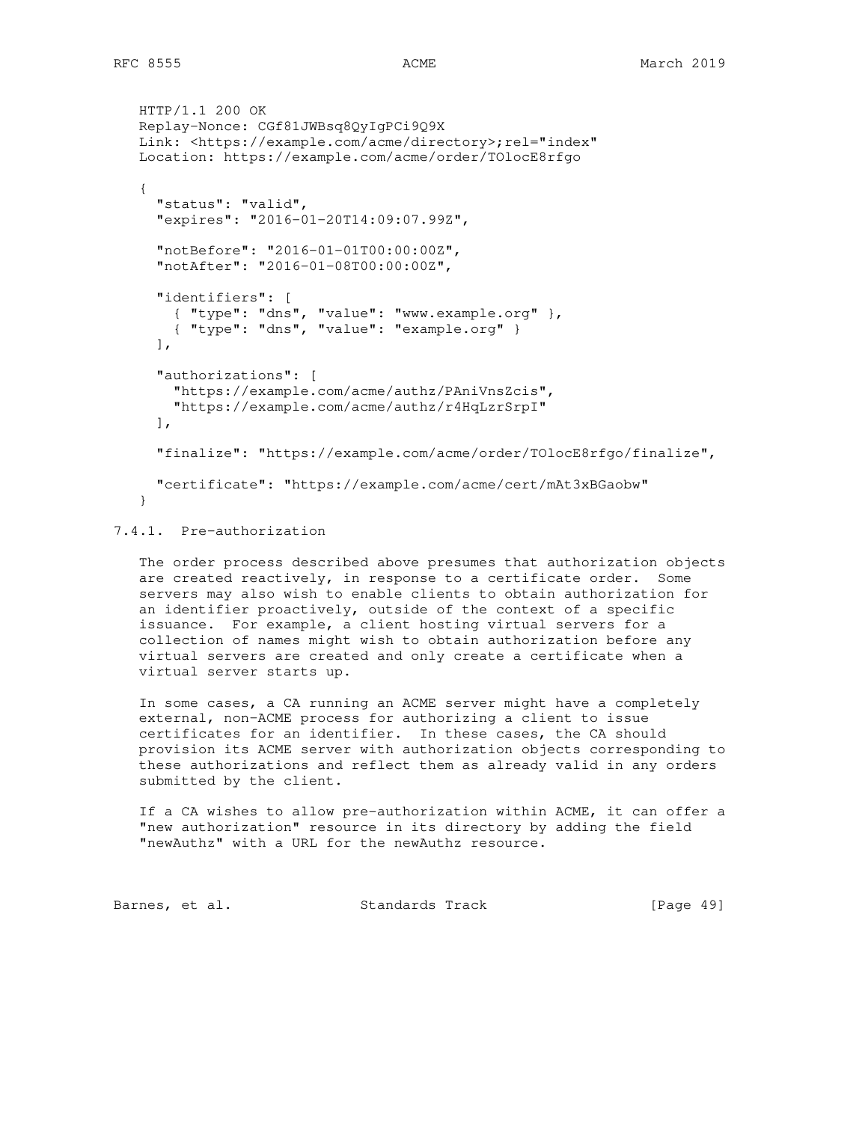```
 HTTP/1.1 200 OK
 Replay-Nonce: CGf81JWBsq8QyIgPCi9Q9X
Link: <https://example.com/acme/directory>;rel="index"
 Location: https://example.com/acme/order/TOlocE8rfgo
 {
   "status": "valid",
   "expires": "2016-01-20T14:09:07.99Z",
   "notBefore": "2016-01-01T00:00:00Z",
   "notAfter": "2016-01-08T00:00:00Z",
   "identifiers": [
    { "type": "dns", "value": "www.example.org" },
     { "type": "dns", "value": "example.org" }
 \cdot "authorizations": [
     "https://example.com/acme/authz/PAniVnsZcis",
     "https://example.com/acme/authz/r4HqLzrSrpI"
 \frac{1}{2} "finalize": "https://example.com/acme/order/TOlocE8rfgo/finalize",
   "certificate": "https://example.com/acme/cert/mAt3xBGaobw"
 }
```
# 7.4.1. Pre-authorization

 The order process described above presumes that authorization objects are created reactively, in response to a certificate order. Some servers may also wish to enable clients to obtain authorization for an identifier proactively, outside of the context of a specific issuance. For example, a client hosting virtual servers for a collection of names might wish to obtain authorization before any virtual servers are created and only create a certificate when a virtual server starts up.

 In some cases, a CA running an ACME server might have a completely external, non-ACME process for authorizing a client to issue certificates for an identifier. In these cases, the CA should provision its ACME server with authorization objects corresponding to these authorizations and reflect them as already valid in any orders submitted by the client.

 If a CA wishes to allow pre-authorization within ACME, it can offer a "new authorization" resource in its directory by adding the field "newAuthz" with a URL for the newAuthz resource.

Barnes, et al. Standards Track [Page 49]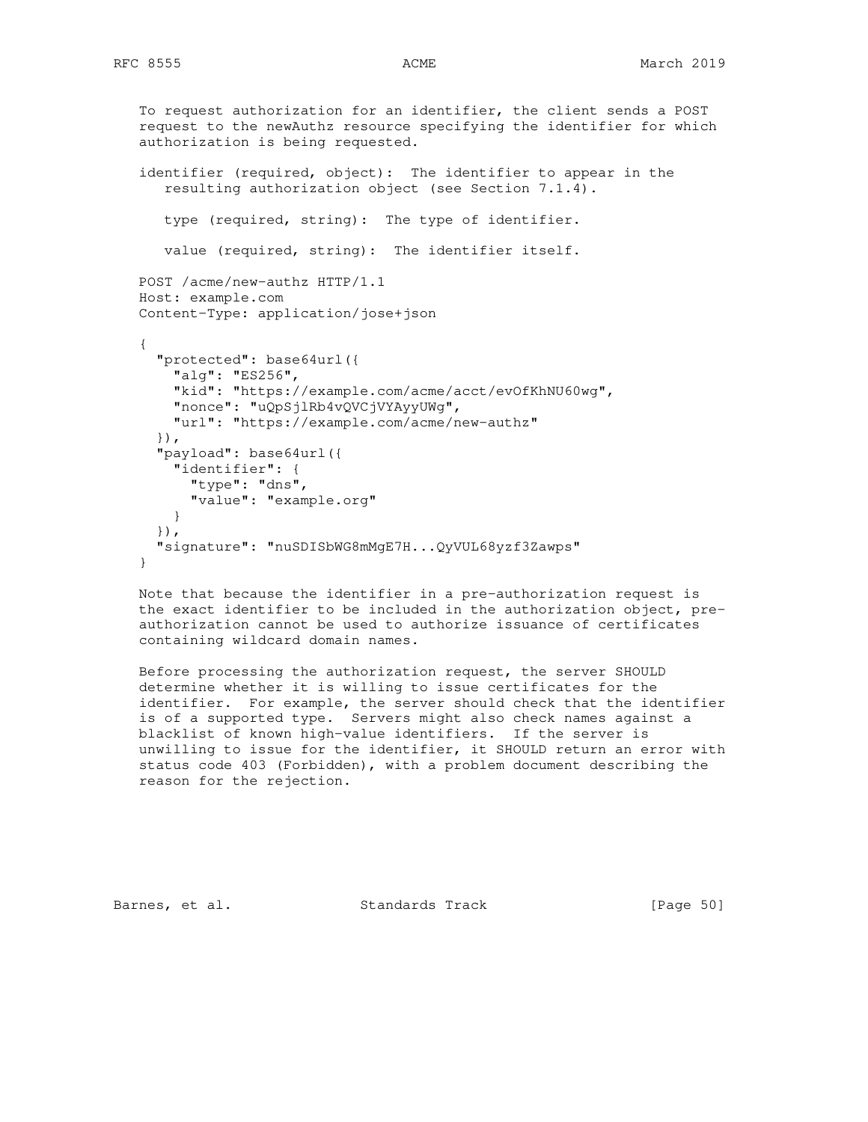```
 To request authorization for an identifier, the client sends a POST
 request to the newAuthz resource specifying the identifier for which
 authorization is being requested.
 identifier (required, object): The identifier to appear in the
    resulting authorization object (see Section 7.1.4).
    type (required, string): The type of identifier.
    value (required, string): The identifier itself.
 POST /acme/new-authz HTTP/1.1
 Host: example.com
 Content-Type: application/jose+json
 {
   "protected": base64url({
     "alg": "ES256",
     "kid": "https://example.com/acme/acct/evOfKhNU60wg",
     "nonce": "uQpSjlRb4vQVCjVYAyyUWg",
     "url": "https://example.com/acme/new-authz"
   }),
   "payload": base64url({
     "identifier": {
       "type": "dns",
       "value": "example.org"
     }
   }),
   "signature": "nuSDISbWG8mMgE7H...QyVUL68yzf3Zawps"
 }
 Note that because the identifier in a pre-authorization request is
```
 the exact identifier to be included in the authorization object, pre authorization cannot be used to authorize issuance of certificates containing wildcard domain names.

 Before processing the authorization request, the server SHOULD determine whether it is willing to issue certificates for the identifier. For example, the server should check that the identifier is of a supported type. Servers might also check names against a blacklist of known high-value identifiers. If the server is unwilling to issue for the identifier, it SHOULD return an error with status code 403 (Forbidden), with a problem document describing the reason for the rejection.

Barnes, et al. Standards Track [Page 50]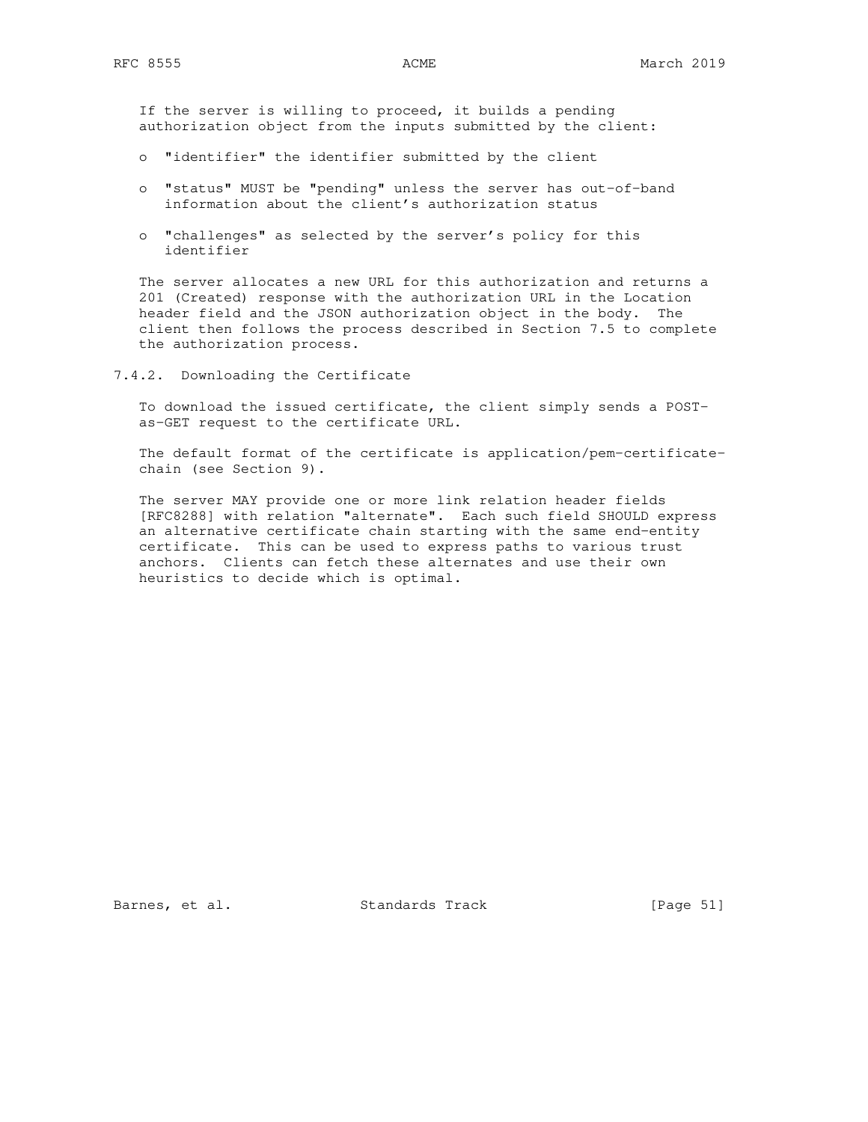If the server is willing to proceed, it builds a pending authorization object from the inputs submitted by the client:

- o "identifier" the identifier submitted by the client
- o "status" MUST be "pending" unless the server has out-of-band information about the client's authorization status
- o "challenges" as selected by the server's policy for this identifier

 The server allocates a new URL for this authorization and returns a 201 (Created) response with the authorization URL in the Location header field and the JSON authorization object in the body. The client then follows the process described in Section 7.5 to complete the authorization process.

7.4.2. Downloading the Certificate

 To download the issued certificate, the client simply sends a POST as-GET request to the certificate URL.

 The default format of the certificate is application/pem-certificate chain (see Section 9).

 The server MAY provide one or more link relation header fields [RFC8288] with relation "alternate". Each such field SHOULD express an alternative certificate chain starting with the same end-entity certificate. This can be used to express paths to various trust anchors. Clients can fetch these alternates and use their own heuristics to decide which is optimal.

Barnes, et al. Standards Track [Page 51]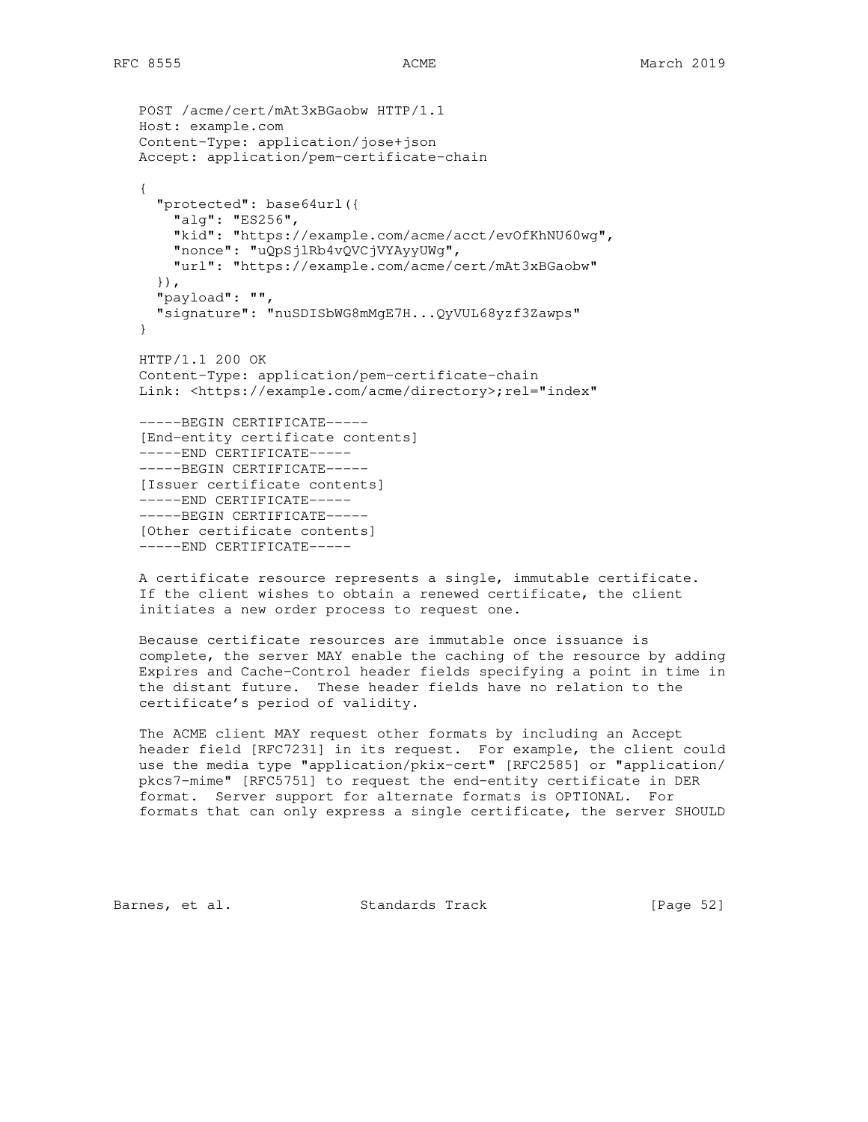```
 POST /acme/cert/mAt3xBGaobw HTTP/1.1
 Host: example.com
 Content-Type: application/jose+json
 Accept: application/pem-certificate-chain
 {
   "protected": base64url({
     "alg": "ES256",
     "kid": "https://example.com/acme/acct/evOfKhNU60wg",
     "nonce": "uQpSjlRb4vQVCjVYAyyUWg",
     "url": "https://example.com/acme/cert/mAt3xBGaobw"
   }),
   "payload": "",
   "signature": "nuSDISbWG8mMgE7H...QyVUL68yzf3Zawps"
 }
 HTTP/1.1 200 OK
 Content-Type: application/pem-certificate-chain
Link: <https://example.com/acme/directory>;rel="index"
 -----BEGIN CERTIFICATE-----
 [End-entity certificate contents]
 -----END CERTIFICATE-----
 -----BEGIN CERTIFICATE-----
 [Issuer certificate contents]
 -----END CERTIFICATE-----
 -----BEGIN CERTIFICATE-----
 [Other certificate contents]
 -----END CERTIFICATE-----
```
 A certificate resource represents a single, immutable certificate. If the client wishes to obtain a renewed certificate, the client initiates a new order process to request one.

 Because certificate resources are immutable once issuance is complete, the server MAY enable the caching of the resource by adding Expires and Cache-Control header fields specifying a point in time in the distant future. These header fields have no relation to the certificate's period of validity.

 The ACME client MAY request other formats by including an Accept header field [RFC7231] in its request. For example, the client could use the media type "application/pkix-cert" [RFC2585] or "application/ pkcs7-mime" [RFC5751] to request the end-entity certificate in DER format. Server support for alternate formats is OPTIONAL. For formats that can only express a single certificate, the server SHOULD

Barnes, et al. Standards Track [Page 52]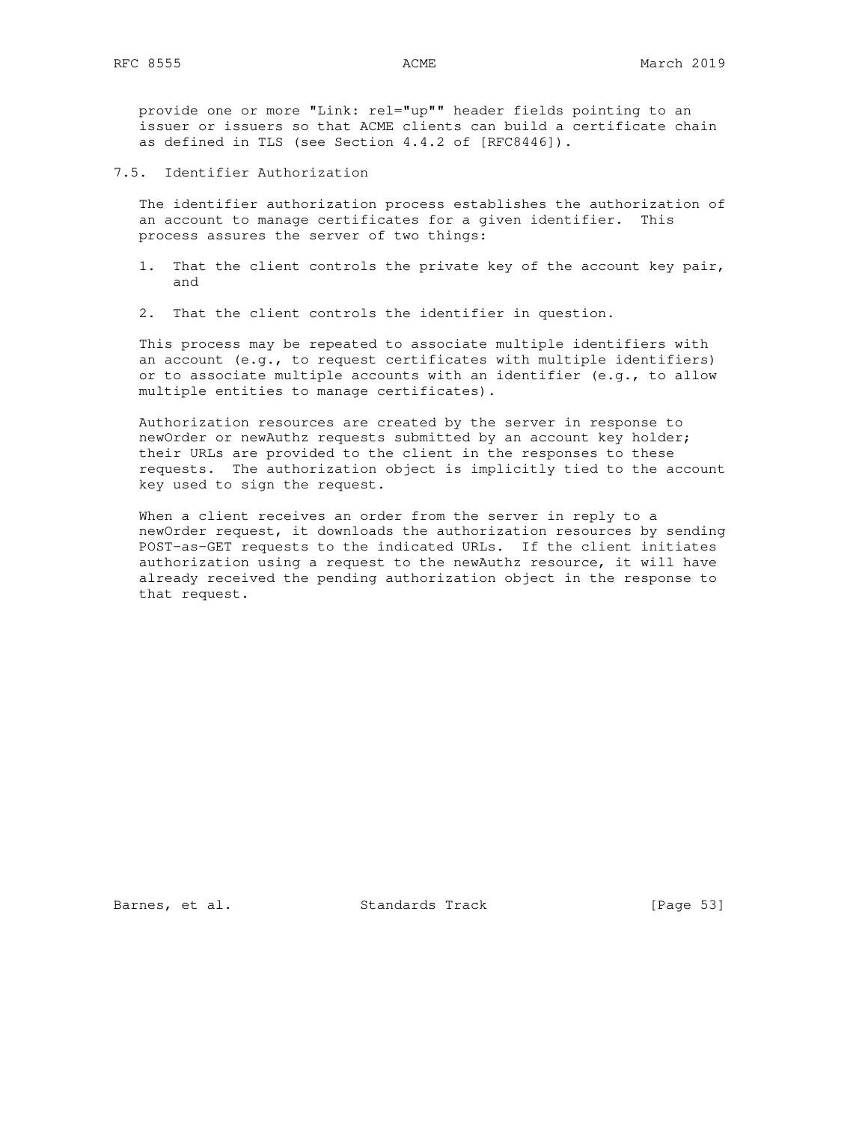provide one or more "Link: rel="up"" header fields pointing to an issuer or issuers so that ACME clients can build a certificate chain as defined in TLS (see Section 4.4.2 of [RFC8446]).

7.5. Identifier Authorization

 The identifier authorization process establishes the authorization of an account to manage certificates for a given identifier. This process assures the server of two things:

- 1. That the client controls the private key of the account key pair, and
- 2. That the client controls the identifier in question.

 This process may be repeated to associate multiple identifiers with an account (e.g., to request certificates with multiple identifiers) or to associate multiple accounts with an identifier (e.g., to allow multiple entities to manage certificates).

 Authorization resources are created by the server in response to newOrder or newAuthz requests submitted by an account key holder; their URLs are provided to the client in the responses to these requests. The authorization object is implicitly tied to the account key used to sign the request.

 When a client receives an order from the server in reply to a newOrder request, it downloads the authorization resources by sending POST-as-GET requests to the indicated URLs. If the client initiates authorization using a request to the newAuthz resource, it will have already received the pending authorization object in the response to that request.

Barnes, et al. Standards Track [Page 53]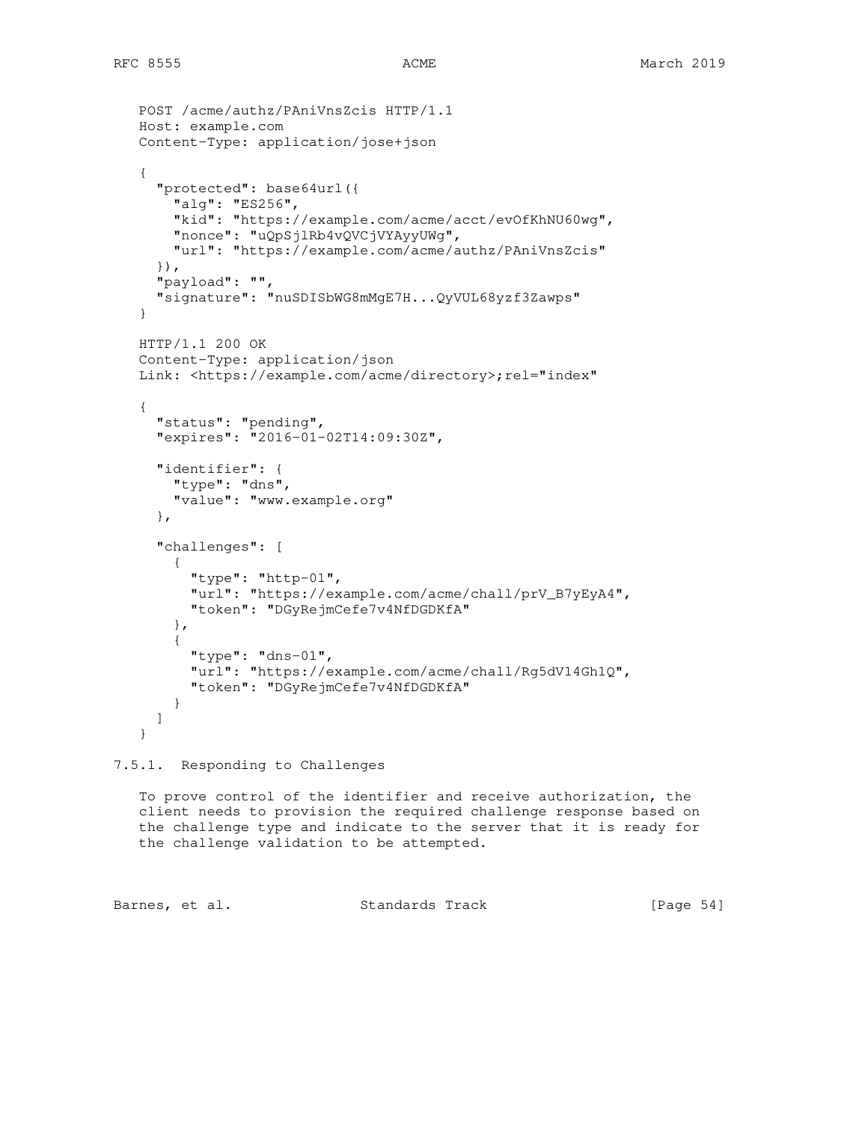```
 POST /acme/authz/PAniVnsZcis HTTP/1.1
 Host: example.com
 Content-Type: application/jose+json
 {
   "protected": base64url({
     "alg": "ES256",
     "kid": "https://example.com/acme/acct/evOfKhNU60wg",
     "nonce": "uQpSjlRb4vQVCjVYAyyUWg",
     "url": "https://example.com/acme/authz/PAniVnsZcis"
   }),
   "payload": "",
   "signature": "nuSDISbWG8mMgE7H...QyVUL68yzf3Zawps"
 }
 HTTP/1.1 200 OK
 Content-Type: application/json
Link: <https://example.com/acme/directory>;rel="index"
 {
   "status": "pending",
   "expires": "2016-01-02T14:09:30Z",
   "identifier": {
     "type": "dns",
     "value": "www.example.org"
   },
   "challenges": [
     {
       "type": "http-01",
       "url": "https://example.com/acme/chall/prV_B7yEyA4",
       "token": "DGyRejmCefe7v4NfDGDKfA"
     },
     {
       "type": "dns-01",
       "url": "https://example.com/acme/chall/Rg5dV14Gh1Q",
       "token": "DGyRejmCefe7v4NfDGDKfA"
     }
   ]
 }
```
# 7.5.1. Responding to Challenges

 To prove control of the identifier and receive authorization, the client needs to provision the required challenge response based on the challenge type and indicate to the server that it is ready for the challenge validation to be attempted.

Barnes, et al. Standards Track [Page 54]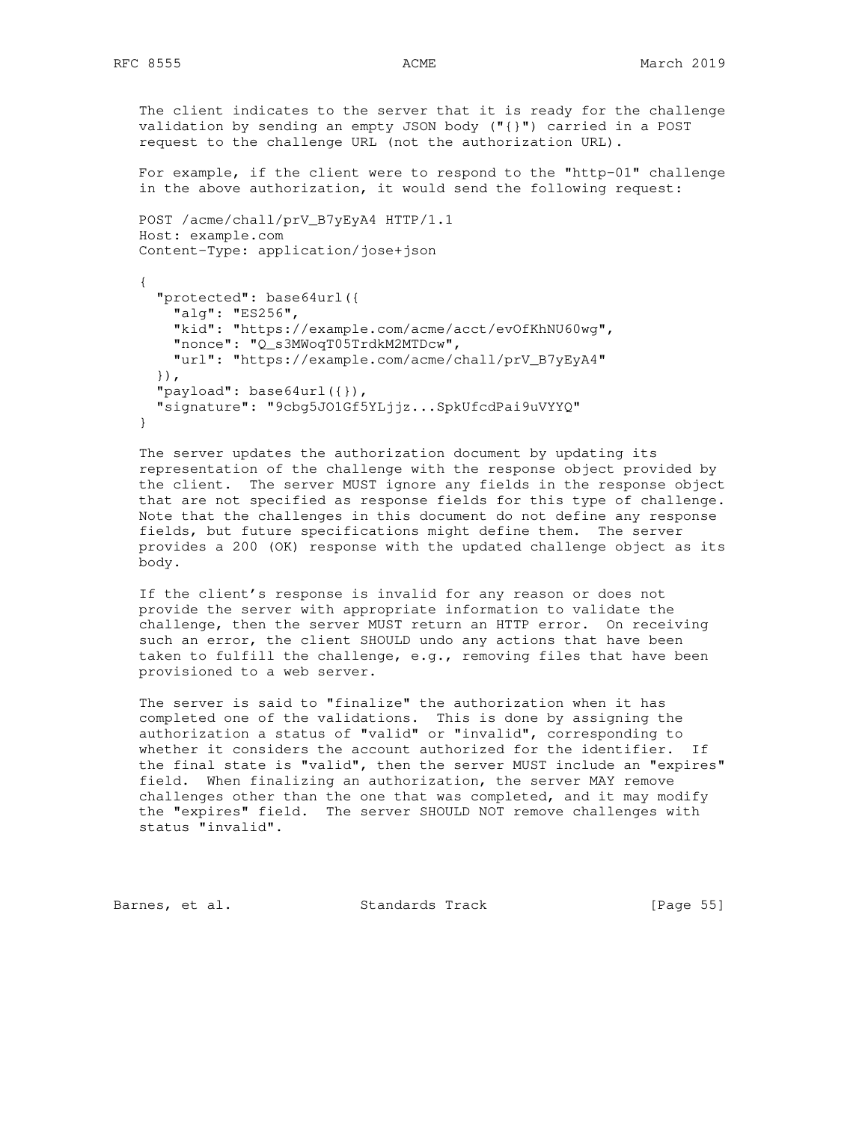The client indicates to the server that it is ready for the challenge validation by sending an empty JSON body ("{}") carried in a POST request to the challenge URL (not the authorization URL). For example, if the client were to respond to the "http-01" challenge in the above authorization, it would send the following request: POST /acme/chall/prV\_B7yEyA4 HTTP/1.1 Host: example.com Content-Type: application/jose+json { "protected": base64url({ "alg": "ES256", "kid": "https://example.com/acme/acct/evOfKhNU60wg", "nonce": "Q\_s3MWoqT05TrdkM2MTDcw", "url": "https://example.com/acme/chall/prV\_B7yEyA4" }), "payload": base64url({}), "signature": "9cbg5JO1Gf5YLjjz...SpkUfcdPai9uVYYQ" }

 The server updates the authorization document by updating its representation of the challenge with the response object provided by the client. The server MUST ignore any fields in the response object that are not specified as response fields for this type of challenge. Note that the challenges in this document do not define any response fields, but future specifications might define them. The server provides a 200 (OK) response with the updated challenge object as its body.

 If the client's response is invalid for any reason or does not provide the server with appropriate information to validate the challenge, then the server MUST return an HTTP error. On receiving such an error, the client SHOULD undo any actions that have been taken to fulfill the challenge, e.g., removing files that have been provisioned to a web server.

 The server is said to "finalize" the authorization when it has completed one of the validations. This is done by assigning the authorization a status of "valid" or "invalid", corresponding to whether it considers the account authorized for the identifier. If the final state is "valid", then the server MUST include an "expires" field. When finalizing an authorization, the server MAY remove challenges other than the one that was completed, and it may modify the "expires" field. The server SHOULD NOT remove challenges with status "invalid".

Barnes, et al. Standards Track [Page 55]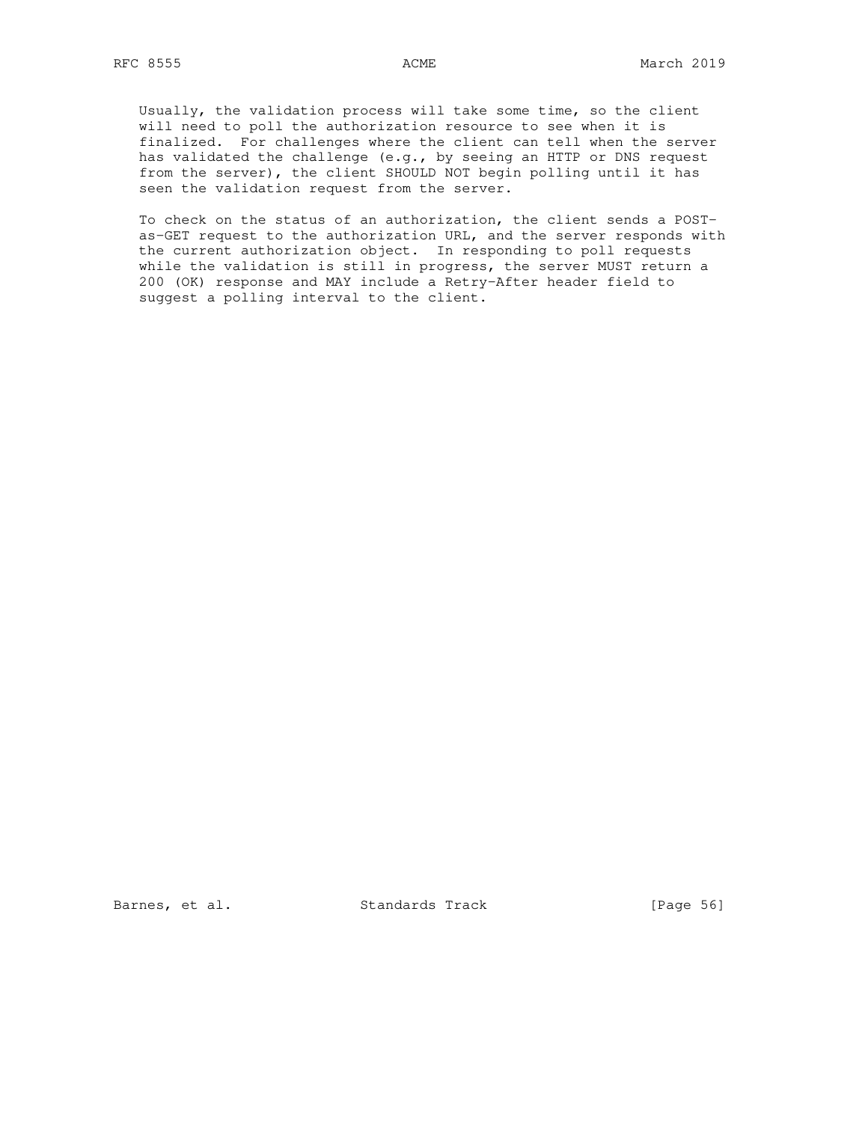Usually, the validation process will take some time, so the client will need to poll the authorization resource to see when it is finalized. For challenges where the client can tell when the server has validated the challenge (e.g., by seeing an HTTP or DNS request from the server), the client SHOULD NOT begin polling until it has seen the validation request from the server.

 To check on the status of an authorization, the client sends a POST as-GET request to the authorization URL, and the server responds with the current authorization object. In responding to poll requests while the validation is still in progress, the server MUST return a 200 (OK) response and MAY include a Retry-After header field to suggest a polling interval to the client.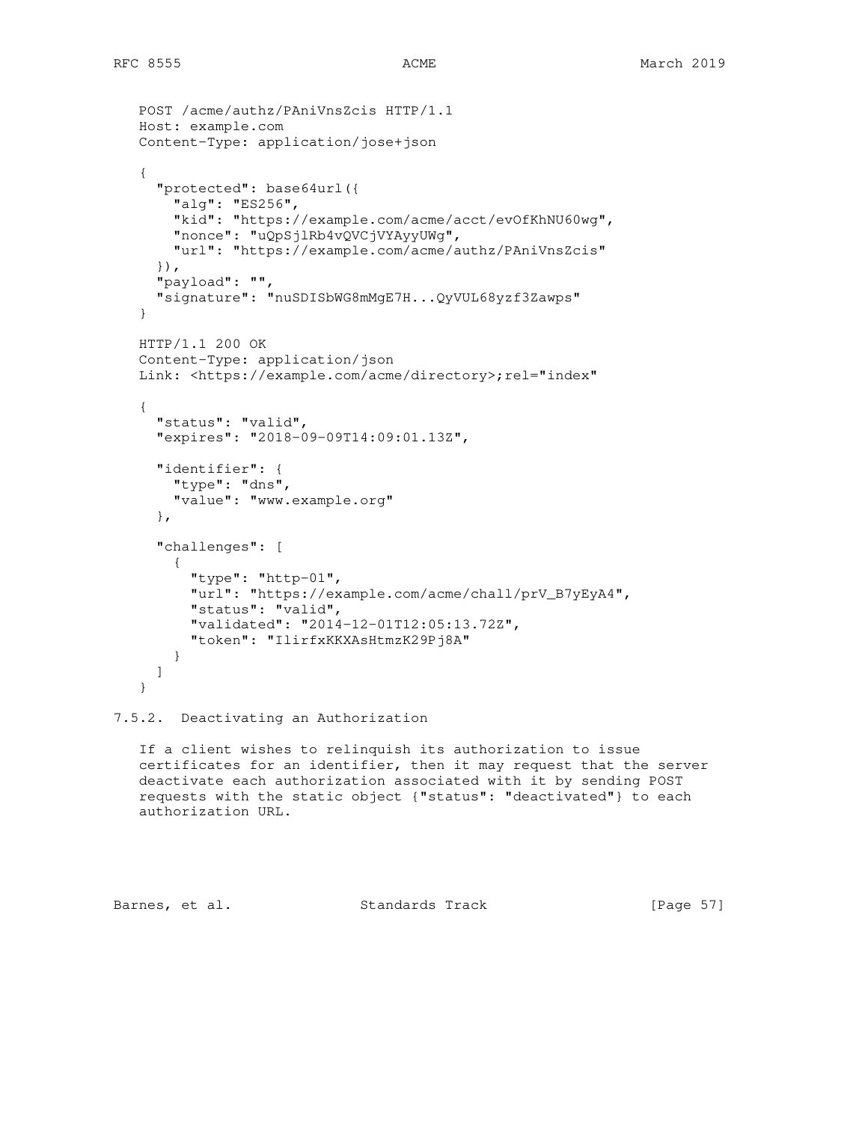```
 POST /acme/authz/PAniVnsZcis HTTP/1.1
 Host: example.com
 Content-Type: application/jose+json
 {
   "protected": base64url({
     "alg": "ES256",
     "kid": "https://example.com/acme/acct/evOfKhNU60wg",
     "nonce": "uQpSjlRb4vQVCjVYAyyUWg",
     "url": "https://example.com/acme/authz/PAniVnsZcis"
   }),
   "payload": "",
   "signature": "nuSDISbWG8mMgE7H...QyVUL68yzf3Zawps"
 }
 HTTP/1.1 200 OK
 Content-Type: application/json
Link: <https://example.com/acme/directory>;rel="index"
 {
   "status": "valid",
   "expires": "2018-09-09T14:09:01.13Z",
   "identifier": {
     "type": "dns",
     "value": "www.example.org"
   },
   "challenges": [
     {
       "type": "http-01",
       "url": "https://example.com/acme/chall/prV_B7yEyA4",
       "status": "valid",
       "validated": "2014-12-01T12:05:13.72Z",
       "token": "IlirfxKKXAsHtmzK29Pj8A"
     }
   ]
 }
```
7.5.2. Deactivating an Authorization

 If a client wishes to relinquish its authorization to issue certificates for an identifier, then it may request that the server deactivate each authorization associated with it by sending POST requests with the static object {"status": "deactivated"} to each authorization URL.

Barnes, et al. Standards Track [Page 57]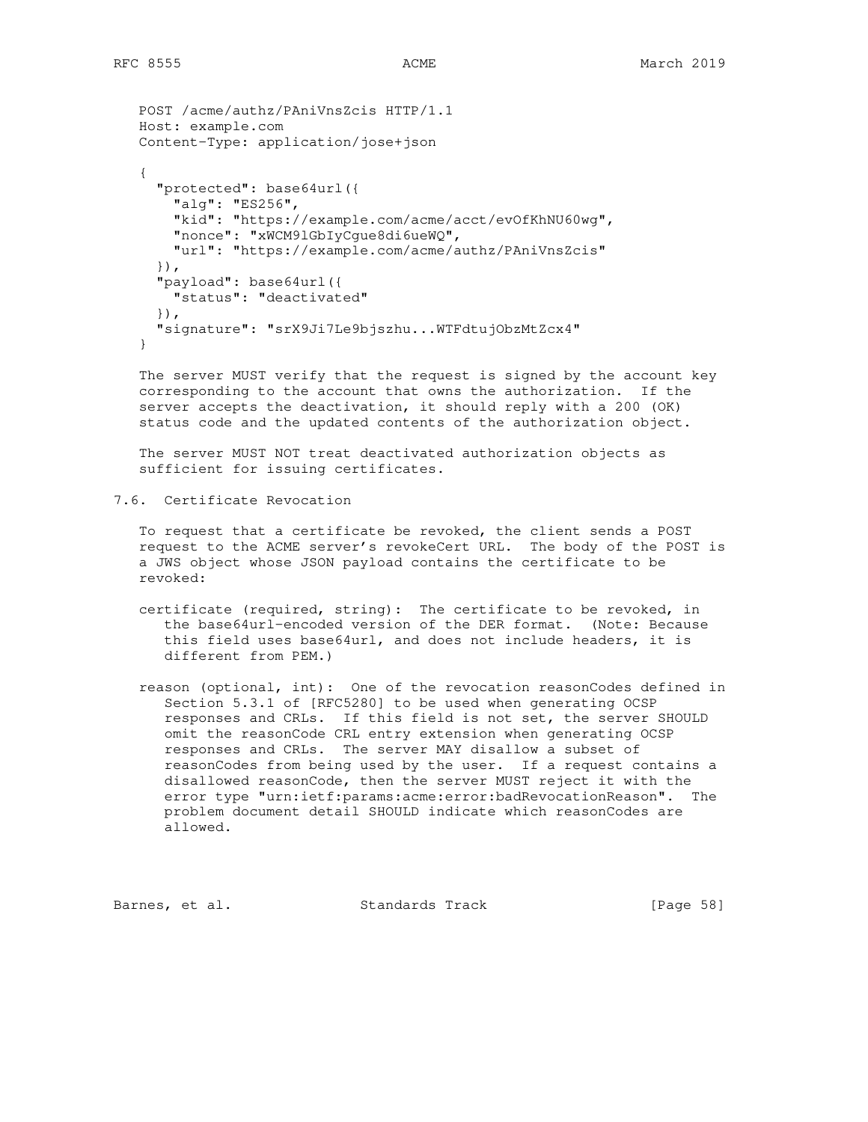```
 POST /acme/authz/PAniVnsZcis HTTP/1.1
   Host: example.com
   Content-Type: application/jose+json
 {
      "protected": base64url({
       "alg": "ES256",
       "kid": "https://example.com/acme/acct/evOfKhNU60wg",
       "nonce": "xWCM9lGbIyCgue8di6ueWQ",
       "url": "https://example.com/acme/authz/PAniVnsZcis"
      }),
      "payload": base64url({
       "status": "deactivated"
      }),
      "signature": "srX9Ji7Le9bjszhu...WTFdtujObzMtZcx4"
   }
```
 The server MUST verify that the request is signed by the account key corresponding to the account that owns the authorization. If the server accepts the deactivation, it should reply with a 200 (OK) status code and the updated contents of the authorization object.

 The server MUST NOT treat deactivated authorization objects as sufficient for issuing certificates.

7.6. Certificate Revocation

 To request that a certificate be revoked, the client sends a POST request to the ACME server's revokeCert URL. The body of the POST is a JWS object whose JSON payload contains the certificate to be revoked:

- certificate (required, string): The certificate to be revoked, in the base64url-encoded version of the DER format. (Note: Because this field uses base64url, and does not include headers, it is different from PEM.)
- reason (optional, int): One of the revocation reasonCodes defined in Section 5.3.1 of [RFC5280] to be used when generating OCSP responses and CRLs. If this field is not set, the server SHOULD omit the reasonCode CRL entry extension when generating OCSP responses and CRLs. The server MAY disallow a subset of reasonCodes from being used by the user. If a request contains a disallowed reasonCode, then the server MUST reject it with the error type "urn:ietf:params:acme:error:badRevocationReason". The problem document detail SHOULD indicate which reasonCodes are allowed.

Barnes, et al. Standards Track [Page 58]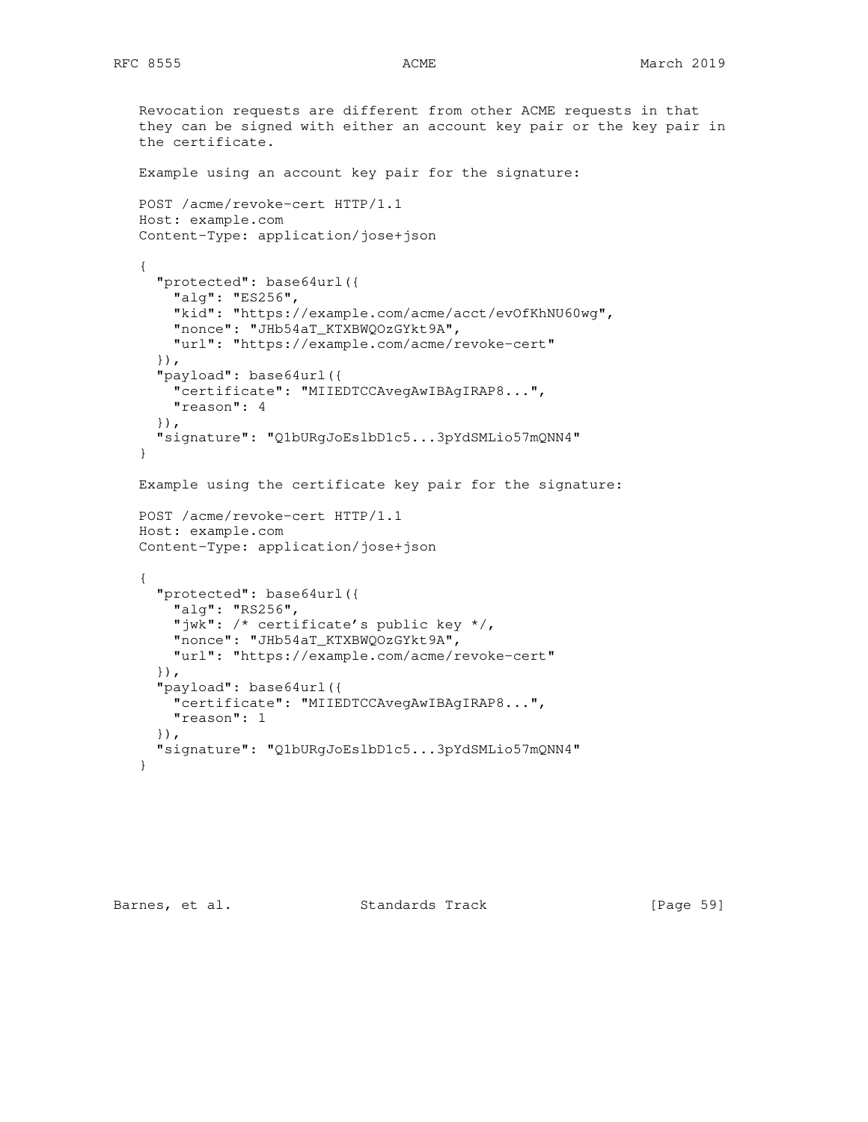```
 Revocation requests are different from other ACME requests in that
 they can be signed with either an account key pair or the key pair in
 the certificate.
 Example using an account key pair for the signature:
 POST /acme/revoke-cert HTTP/1.1
 Host: example.com
 Content-Type: application/jose+json
 {
   "protected": base64url({
     "alg": "ES256",
     "kid": "https://example.com/acme/acct/evOfKhNU60wg",
     "nonce": "JHb54aT_KTXBWQOzGYkt9A",
     "url": "https://example.com/acme/revoke-cert"
   }),
   "payload": base64url({
     "certificate": "MIIEDTCCAvegAwIBAgIRAP8...",
     "reason": 4
   }),
   "signature": "Q1bURgJoEslbD1c5...3pYdSMLio57mQNN4"
 }
 Example using the certificate key pair for the signature:
 POST /acme/revoke-cert HTTP/1.1
 Host: example.com
 Content-Type: application/jose+json
 {
   "protected": base64url({
     "alg": "RS256",
     "jwk": /* certificate's public key */,
     "nonce": "JHb54aT_KTXBWQOzGYkt9A",
     "url": "https://example.com/acme/revoke-cert"
   }),
   "payload": base64url({
     "certificate": "MIIEDTCCAvegAwIBAgIRAP8...",
    "reason": 1
   }),
   "signature": "Q1bURgJoEslbD1c5...3pYdSMLio57mQNN4"
 }
```
Barnes, et al. Standards Track [Page 59]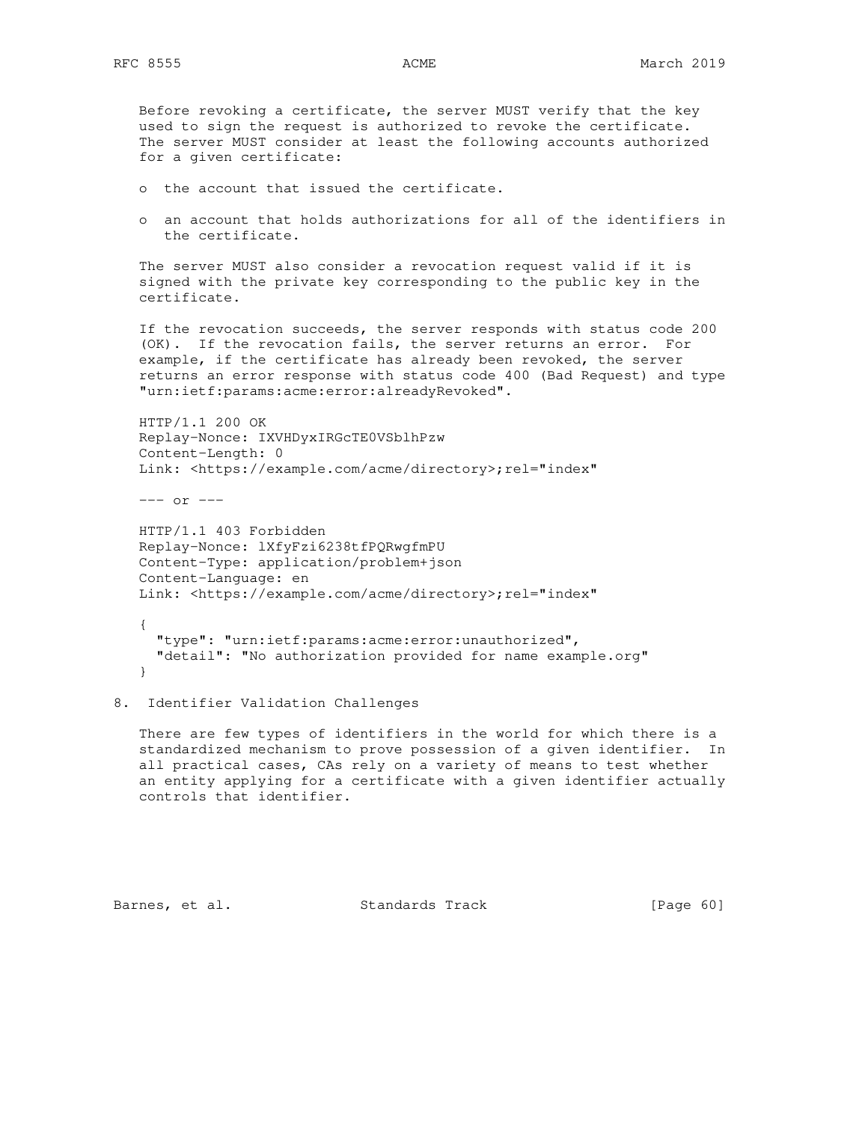Before revoking a certificate, the server MUST verify that the key used to sign the request is authorized to revoke the certificate. The server MUST consider at least the following accounts authorized for a given certificate:

- o the account that issued the certificate.
- o an account that holds authorizations for all of the identifiers in the certificate.

 The server MUST also consider a revocation request valid if it is signed with the private key corresponding to the public key in the certificate.

 If the revocation succeeds, the server responds with status code 200 (OK). If the revocation fails, the server returns an error. For example, if the certificate has already been revoked, the server returns an error response with status code 400 (Bad Request) and type "urn:ietf:params:acme:error:alreadyRevoked".

 HTTP/1.1 200 OK Replay-Nonce: IXVHDyxIRGcTE0VSblhPzw Content-Length: 0 Link: <https://example.com/acme/directory>;rel="index"

--- or ---

 HTTP/1.1 403 Forbidden Replay-Nonce: lXfyFzi6238tfPQRwgfmPU Content-Type: application/problem+json Content-Language: en Link: <https://example.com/acme/directory>;rel="index"

{

 "type": "urn:ietf:params:acme:error:unauthorized", "detail": "No authorization provided for name example.org" }

8. Identifier Validation Challenges

 There are few types of identifiers in the world for which there is a standardized mechanism to prove possession of a given identifier. In all practical cases, CAs rely on a variety of means to test whether an entity applying for a certificate with a given identifier actually controls that identifier.

Barnes, et al. Standards Track [Page 60]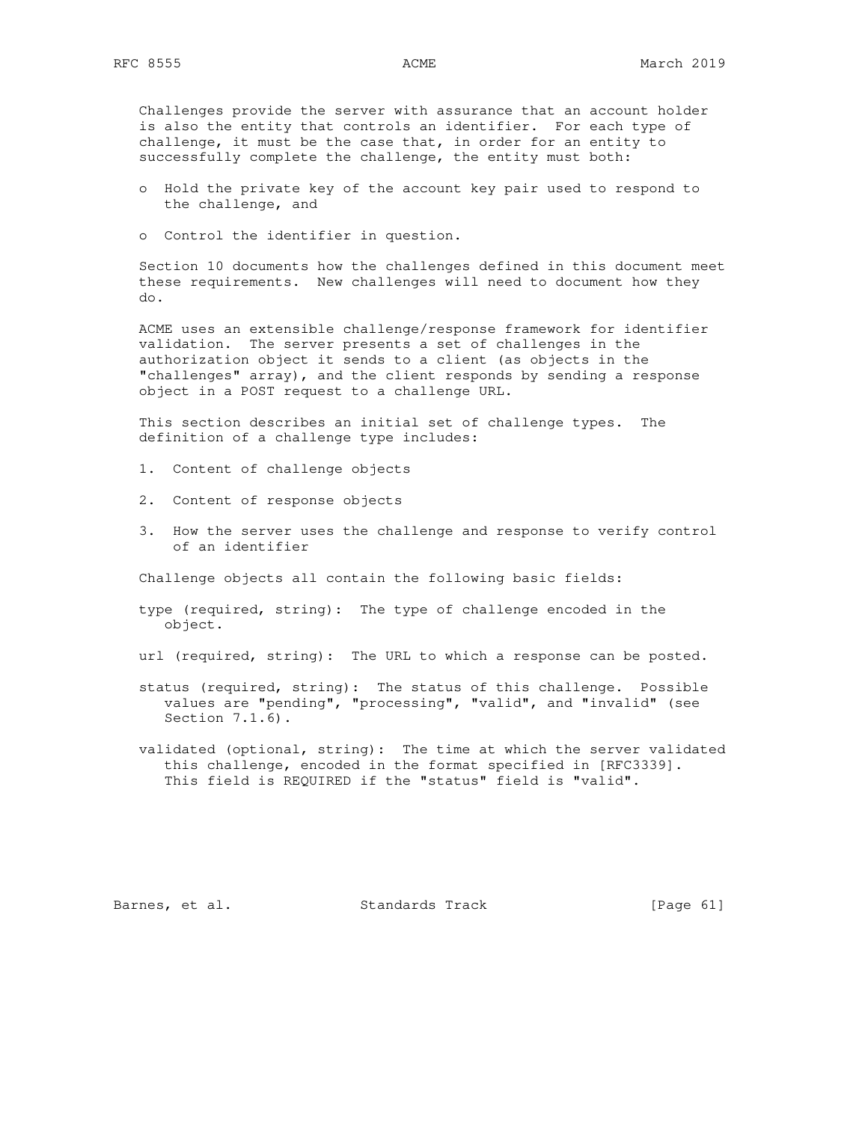Challenges provide the server with assurance that an account holder is also the entity that controls an identifier. For each type of challenge, it must be the case that, in order for an entity to successfully complete the challenge, the entity must both:

- o Hold the private key of the account key pair used to respond to the challenge, and
- o Control the identifier in question.

 Section 10 documents how the challenges defined in this document meet these requirements. New challenges will need to document how they do.

 ACME uses an extensible challenge/response framework for identifier validation. The server presents a set of challenges in the authorization object it sends to a client (as objects in the "challenges" array), and the client responds by sending a response object in a POST request to a challenge URL.

 This section describes an initial set of challenge types. The definition of a challenge type includes:

- 1. Content of challenge objects
- 2. Content of response objects
- 3. How the server uses the challenge and response to verify control of an identifier

Challenge objects all contain the following basic fields:

 type (required, string): The type of challenge encoded in the object.

url (required, string): The URL to which a response can be posted.

- status (required, string): The status of this challenge. Possible values are "pending", "processing", "valid", and "invalid" (see Section 7.1.6).
- validated (optional, string): The time at which the server validated this challenge, encoded in the format specified in [RFC3339]. This field is REQUIRED if the "status" field is "valid".

Barnes, et al. Standards Track [Page 61]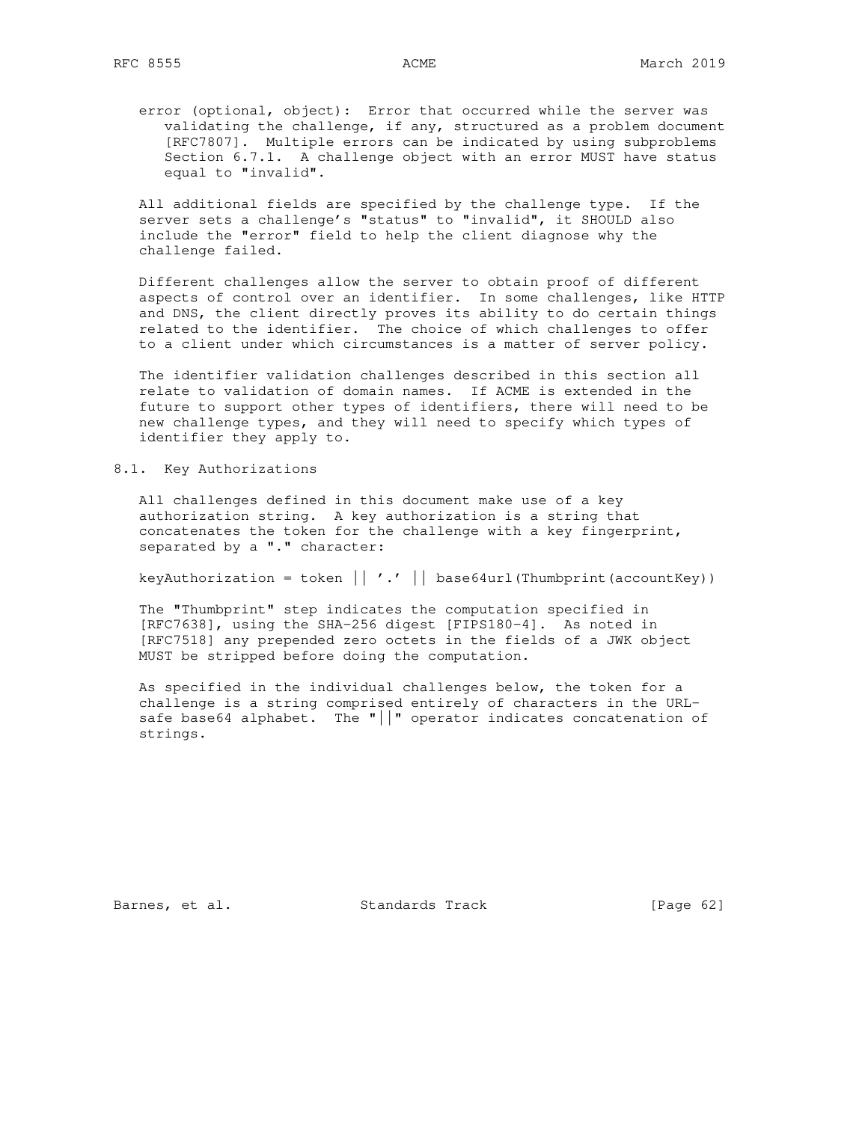error (optional, object): Error that occurred while the server was validating the challenge, if any, structured as a problem document [RFC7807]. Multiple errors can be indicated by using subproblems Section 6.7.1. A challenge object with an error MUST have status equal to "invalid".

 All additional fields are specified by the challenge type. If the server sets a challenge's "status" to "invalid", it SHOULD also include the "error" field to help the client diagnose why the challenge failed.

 Different challenges allow the server to obtain proof of different aspects of control over an identifier. In some challenges, like HTTP and DNS, the client directly proves its ability to do certain things related to the identifier. The choice of which challenges to offer to a client under which circumstances is a matter of server policy.

 The identifier validation challenges described in this section all relate to validation of domain names. If ACME is extended in the future to support other types of identifiers, there will need to be new challenge types, and they will need to specify which types of identifier they apply to.

# 8.1. Key Authorizations

 All challenges defined in this document make use of a key authorization string. A key authorization is a string that concatenates the token for the challenge with a key fingerprint, separated by a "." character:

keyAuthorization = token  $|| \cdot \cdot ||$  base64url(Thumbprint(accountKey))

 The "Thumbprint" step indicates the computation specified in [RFC7638], using the SHA-256 digest [FIPS180-4]. As noted in [RFC7518] any prepended zero octets in the fields of a JWK object MUST be stripped before doing the computation.

 As specified in the individual challenges below, the token for a challenge is a string comprised entirely of characters in the URL safe base64 alphabet. The "||" operator indicates concatenation of strings.

Barnes, et al. Standards Track [Page 62]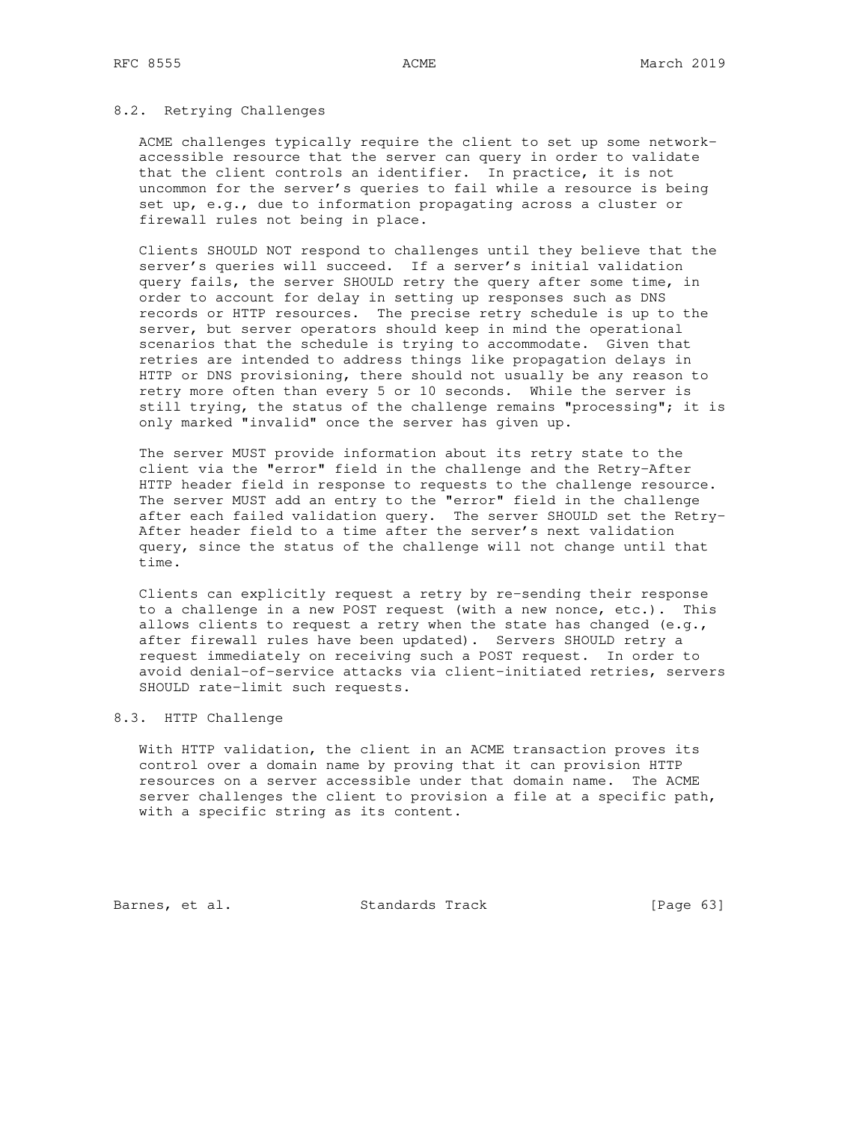## 8.2. Retrying Challenges

 ACME challenges typically require the client to set up some network accessible resource that the server can query in order to validate that the client controls an identifier. In practice, it is not uncommon for the server's queries to fail while a resource is being set up, e.g., due to information propagating across a cluster or firewall rules not being in place.

 Clients SHOULD NOT respond to challenges until they believe that the server's queries will succeed. If a server's initial validation query fails, the server SHOULD retry the query after some time, in order to account for delay in setting up responses such as DNS records or HTTP resources. The precise retry schedule is up to the server, but server operators should keep in mind the operational scenarios that the schedule is trying to accommodate. Given that retries are intended to address things like propagation delays in HTTP or DNS provisioning, there should not usually be any reason to retry more often than every 5 or 10 seconds. While the server is still trying, the status of the challenge remains "processing"; it is only marked "invalid" once the server has given up.

 The server MUST provide information about its retry state to the client via the "error" field in the challenge and the Retry-After HTTP header field in response to requests to the challenge resource. The server MUST add an entry to the "error" field in the challenge after each failed validation query. The server SHOULD set the Retry- After header field to a time after the server's next validation query, since the status of the challenge will not change until that time.

 Clients can explicitly request a retry by re-sending their response to a challenge in a new POST request (with a new nonce, etc.). This allows clients to request a retry when the state has changed  $(e,q, r)$  after firewall rules have been updated). Servers SHOULD retry a request immediately on receiving such a POST request. In order to avoid denial-of-service attacks via client-initiated retries, servers SHOULD rate-limit such requests.

# 8.3. HTTP Challenge

 With HTTP validation, the client in an ACME transaction proves its control over a domain name by proving that it can provision HTTP resources on a server accessible under that domain name. The ACME server challenges the client to provision a file at a specific path, with a specific string as its content.

Barnes, et al. Standards Track [Page 63]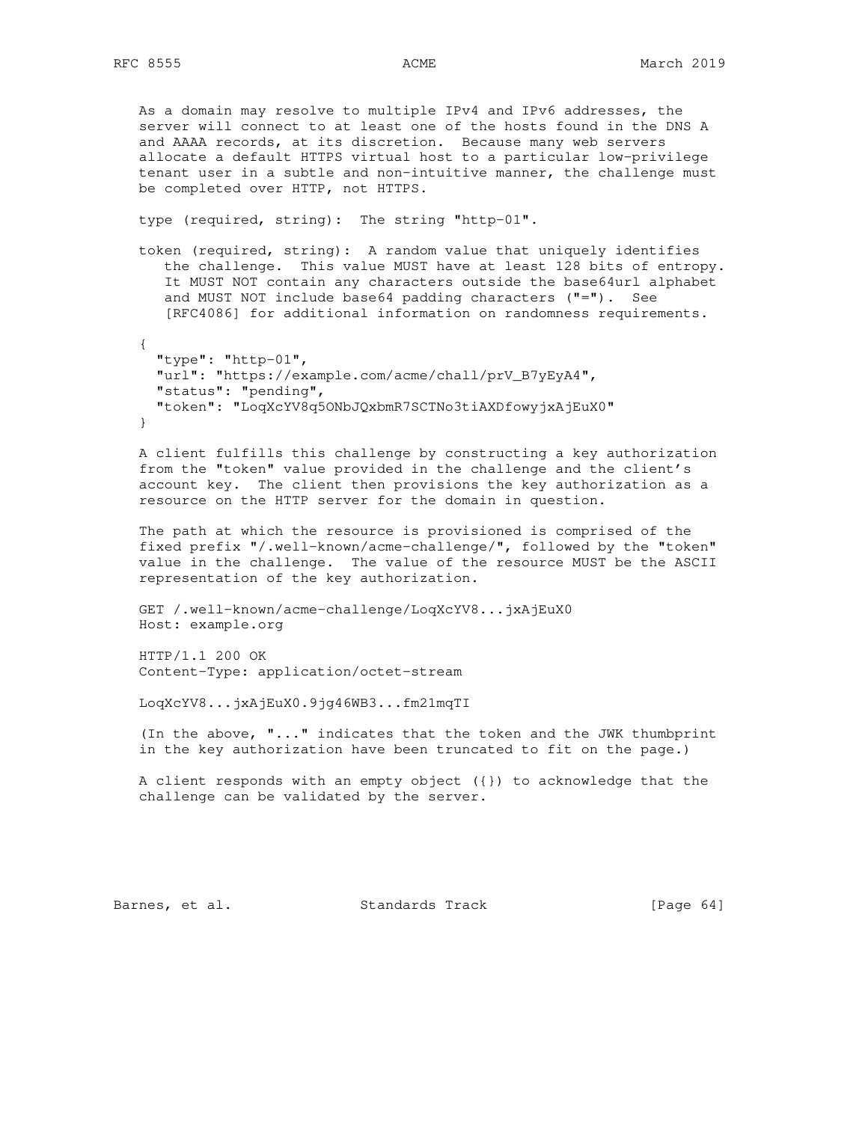As a domain may resolve to multiple IPv4 and IPv6 addresses, the server will connect to at least one of the hosts found in the DNS A and AAAA records, at its discretion. Because many web servers allocate a default HTTPS virtual host to a particular low-privilege tenant user in a subtle and non-intuitive manner, the challenge must be completed over HTTP, not HTTPS.

type (required, string): The string "http-01".

 token (required, string): A random value that uniquely identifies the challenge. This value MUST have at least 128 bits of entropy. It MUST NOT contain any characters outside the base64url alphabet and MUST NOT include base64 padding characters ("="). See [RFC4086] for additional information on randomness requirements.

 { "type": "http-01", "url": "https://example.com/acme/chall/prV\_B7yEyA4", "status": "pending", "token": "LoqXcYV8q5ONbJQxbmR7SCTNo3tiAXDfowyjxAjEuX0" }

 A client fulfills this challenge by constructing a key authorization from the "token" value provided in the challenge and the client's account key. The client then provisions the key authorization as a resource on the HTTP server for the domain in question.

 The path at which the resource is provisioned is comprised of the fixed prefix "/.well-known/acme-challenge/", followed by the "token" value in the challenge. The value of the resource MUST be the ASCII representation of the key authorization.

```
 GET /.well-known/acme-challenge/LoqXcYV8...jxAjEuX0
 Host: example.org
```
 HTTP/1.1 200 OK Content-Type: application/octet-stream

LoqXcYV8...jxAjEuX0.9jg46WB3...fm21mqTI

 (In the above, "..." indicates that the token and the JWK thumbprint in the key authorization have been truncated to fit on the page.)

 A client responds with an empty object ({}) to acknowledge that the challenge can be validated by the server.

Barnes, et al. Standards Track [Page 64]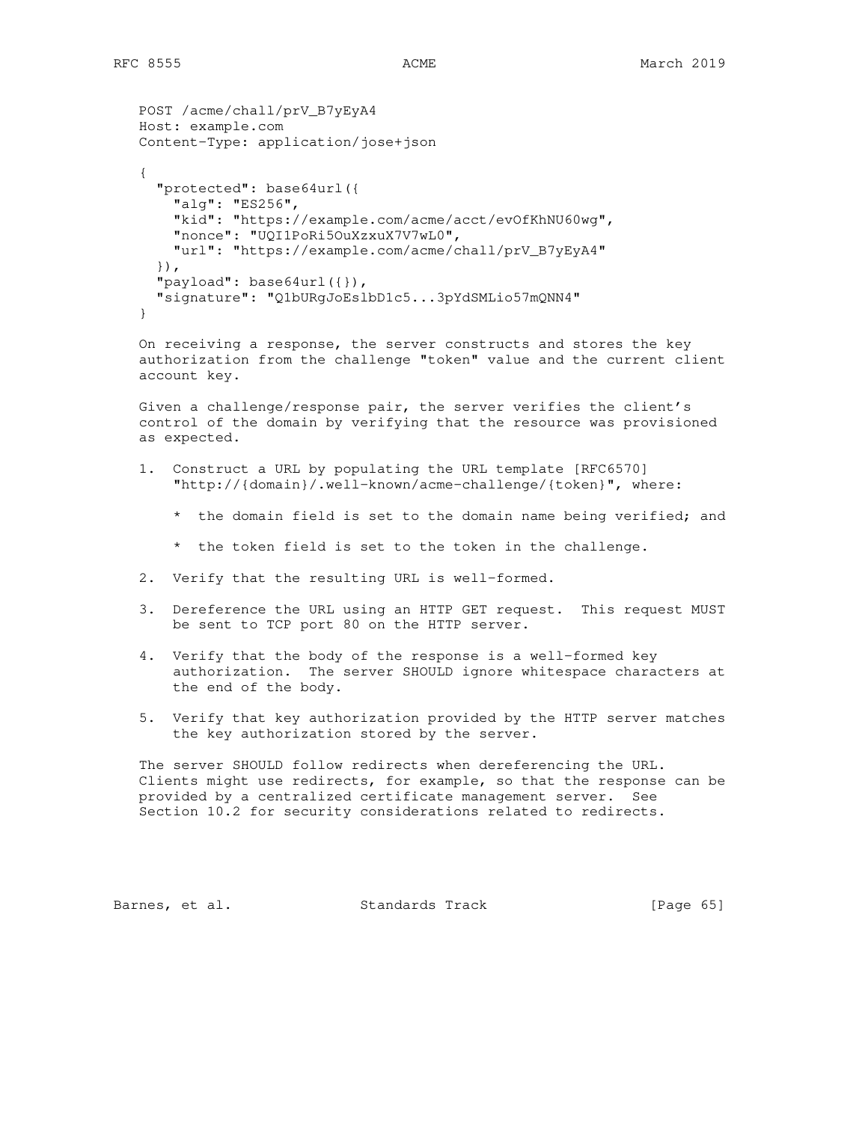```
 POST /acme/chall/prV_B7yEyA4
   Host: example.com
   Content-Type: application/jose+json
 {
      "protected": base64url({
       "alg": "ES256",
       "kid": "https://example.com/acme/acct/evOfKhNU60wg",
       "nonce": "UQI1PoRi5OuXzxuX7V7wL0",
       "url": "https://example.com/acme/chall/prV_B7yEyA4"
      }),
      "payload": base64url({}),
      "signature": "Q1bURgJoEslbD1c5...3pYdSMLio57mQNN4"
   }
   On receiving a response, the server constructs and stores the key
```
 authorization from the challenge "token" value and the current client account key.

 Given a challenge/response pair, the server verifies the client's control of the domain by verifying that the resource was provisioned as expected.

- 1. Construct a URL by populating the URL template [RFC6570] "http://{domain}/.well-known/acme-challenge/{token}", where:
	- \* the domain field is set to the domain name being verified; and
	- \* the token field is set to the token in the challenge.
- 2. Verify that the resulting URL is well-formed.
- 3. Dereference the URL using an HTTP GET request. This request MUST be sent to TCP port 80 on the HTTP server.
- 4. Verify that the body of the response is a well-formed key authorization. The server SHOULD ignore whitespace characters at the end of the body.
- 5. Verify that key authorization provided by the HTTP server matches the key authorization stored by the server.

 The server SHOULD follow redirects when dereferencing the URL. Clients might use redirects, for example, so that the response can be provided by a centralized certificate management server. See Section 10.2 for security considerations related to redirects.

Barnes, et al. Standards Track [Page 65]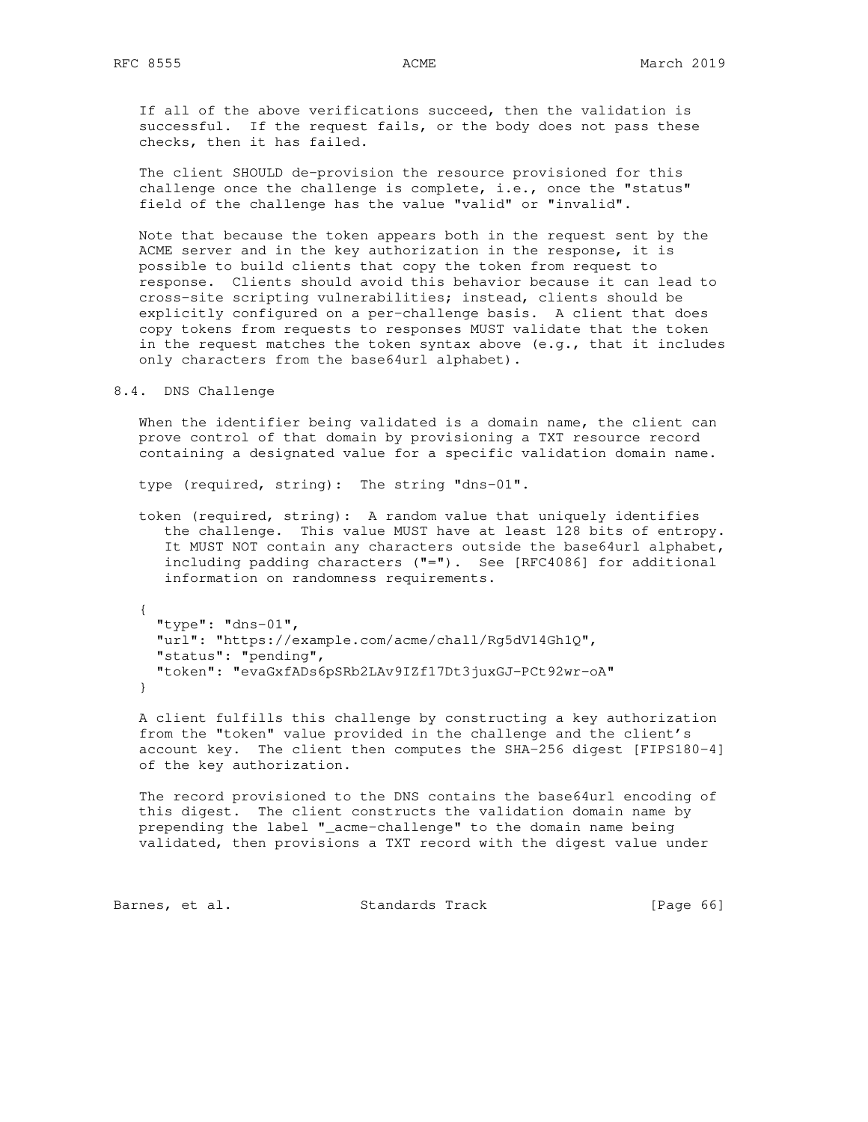If all of the above verifications succeed, then the validation is successful. If the request fails, or the body does not pass these checks, then it has failed.

 The client SHOULD de-provision the resource provisioned for this challenge once the challenge is complete, i.e., once the "status" field of the challenge has the value "valid" or "invalid".

 Note that because the token appears both in the request sent by the ACME server and in the key authorization in the response, it is possible to build clients that copy the token from request to response. Clients should avoid this behavior because it can lead to cross-site scripting vulnerabilities; instead, clients should be explicitly configured on a per-challenge basis. A client that does copy tokens from requests to responses MUST validate that the token in the request matches the token syntax above (e.g., that it includes only characters from the base64url alphabet).

# 8.4. DNS Challenge

 When the identifier being validated is a domain name, the client can prove control of that domain by provisioning a TXT resource record containing a designated value for a specific validation domain name.

type (required, string): The string "dns-01".

 token (required, string): A random value that uniquely identifies the challenge. This value MUST have at least 128 bits of entropy. It MUST NOT contain any characters outside the base64url alphabet, including padding characters ("="). See [RFC4086] for additional information on randomness requirements.

 { "type": "dns-01", "url": "https://example.com/acme/chall/Rg5dV14Gh1Q", "status": "pending", "token": "evaGxfADs6pSRb2LAv9IZf17Dt3juxGJ-PCt92wr-oA" }

 A client fulfills this challenge by constructing a key authorization from the "token" value provided in the challenge and the client's account key. The client then computes the SHA-256 digest [FIPS180-4] of the key authorization.

 The record provisioned to the DNS contains the base64url encoding of this digest. The client constructs the validation domain name by prepending the label "\_acme-challenge" to the domain name being validated, then provisions a TXT record with the digest value under

Barnes, et al. Standards Track [Page 66]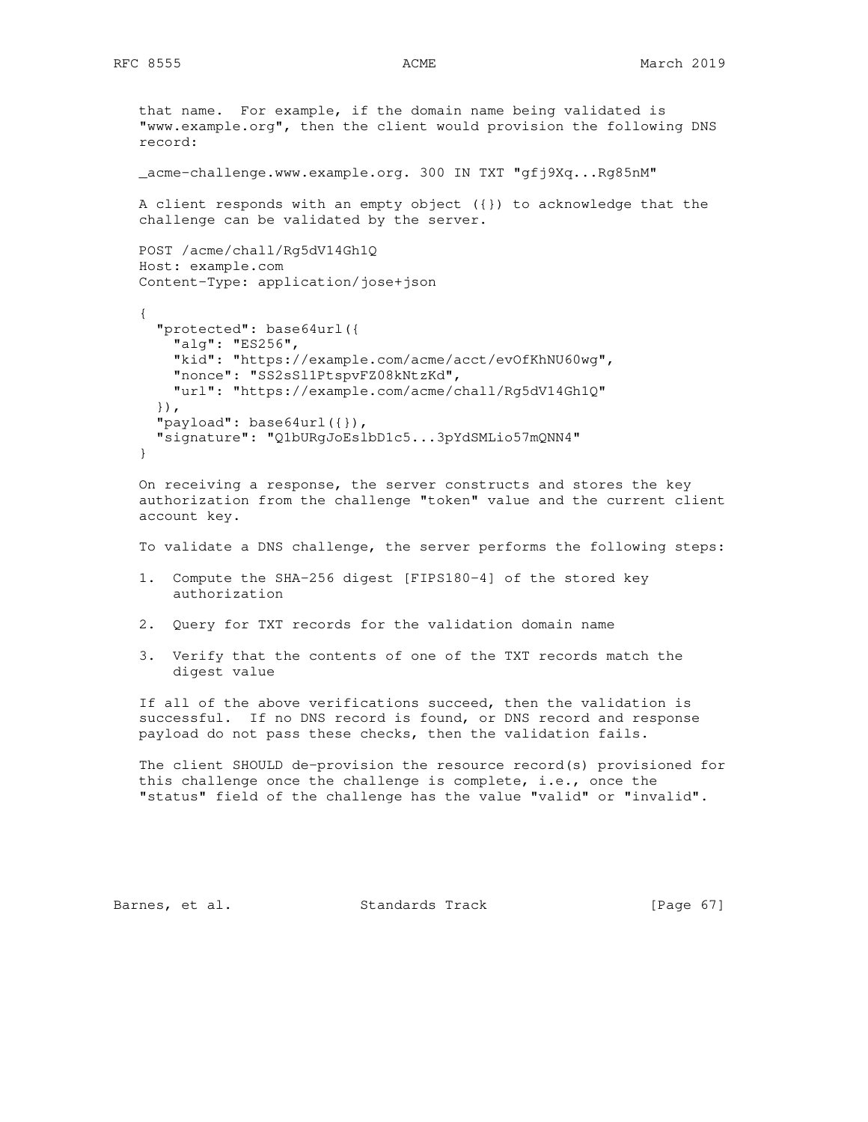```
 that name. For example, if the domain name being validated is
 "www.example.org", then the client would provision the following DNS
 record:
 _acme-challenge.www.example.org. 300 IN TXT "gfj9Xq...Rg85nM"
 A client responds with an empty object ({}) to acknowledge that the
 challenge can be validated by the server.
 POST /acme/chall/Rg5dV14Gh1Q
 Host: example.com
 Content-Type: application/jose+json
 {
   "protected": base64url({
     "alg": "ES256",
     "kid": "https://example.com/acme/acct/evOfKhNU60wg",
     "nonce": "SS2sSl1PtspvFZ08kNtzKd",
     "url": "https://example.com/acme/chall/Rg5dV14Gh1Q"
   }),
   "payload": base64url({}),
   "signature": "Q1bURgJoEslbD1c5...3pYdSMLio57mQNN4"
 }
 On receiving a response, the server constructs and stores the key
 authorization from the challenge "token" value and the current client
 account key.
 To validate a DNS challenge, the server performs the following steps:
 1. Compute the SHA-256 digest [FIPS180-4] of the stored key
     authorization
 2. Query for TXT records for the validation domain name
```
 3. Verify that the contents of one of the TXT records match the digest value

 If all of the above verifications succeed, then the validation is successful. If no DNS record is found, or DNS record and response payload do not pass these checks, then the validation fails.

 The client SHOULD de-provision the resource record(s) provisioned for this challenge once the challenge is complete, i.e., once the "status" field of the challenge has the value "valid" or "invalid".

Barnes, et al. Standards Track [Page 67]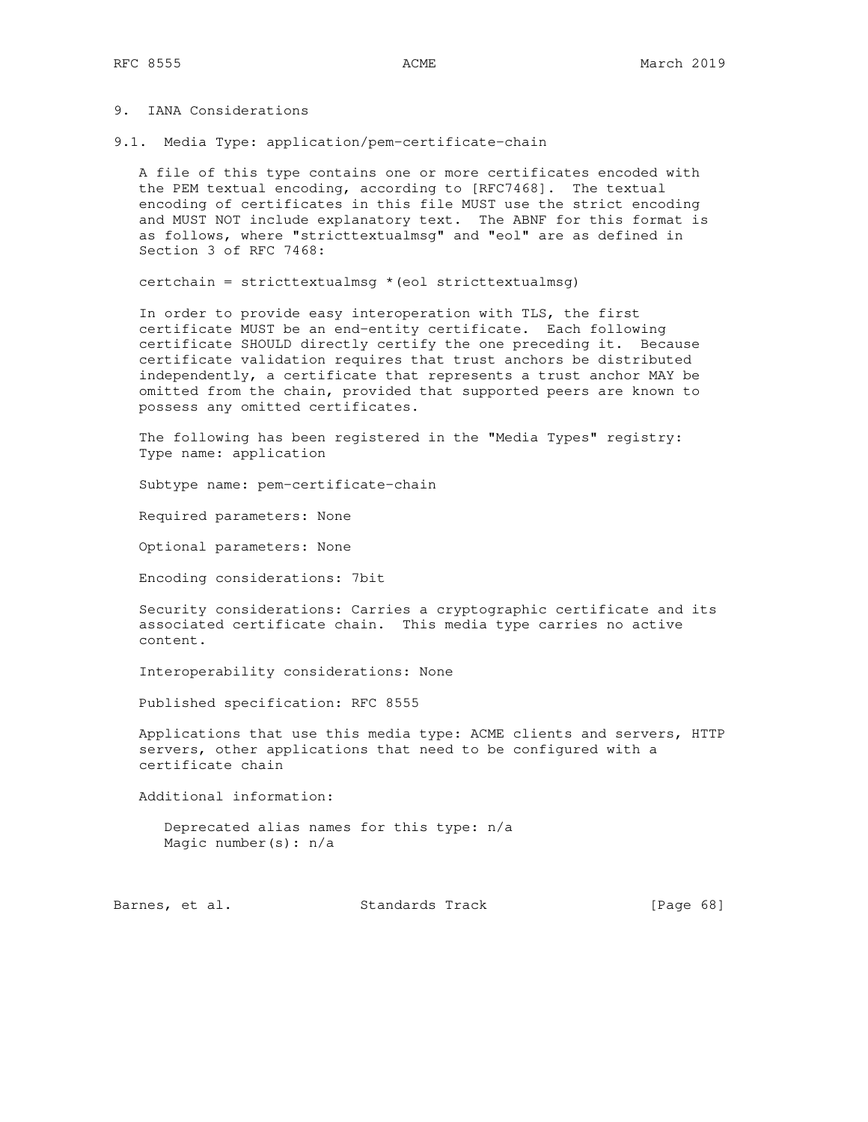# 9. IANA Considerations

9.1. Media Type: application/pem-certificate-chain

 A file of this type contains one or more certificates encoded with the PEM textual encoding, according to [RFC7468]. The textual encoding of certificates in this file MUST use the strict encoding and MUST NOT include explanatory text. The ABNF for this format is as follows, where "stricttextualmsg" and "eol" are as defined in Section 3 of RFC 7468:

certchain = stricttextualmsg  $*(e_{01}$  stricttextualmsg)

 In order to provide easy interoperation with TLS, the first certificate MUST be an end-entity certificate. Each following certificate SHOULD directly certify the one preceding it. Because certificate validation requires that trust anchors be distributed independently, a certificate that represents a trust anchor MAY be omitted from the chain, provided that supported peers are known to possess any omitted certificates.

 The following has been registered in the "Media Types" registry: Type name: application

Subtype name: pem-certificate-chain

Required parameters: None

Optional parameters: None

Encoding considerations: 7bit

 Security considerations: Carries a cryptographic certificate and its associated certificate chain. This media type carries no active content.

Interoperability considerations: None

Published specification: RFC 8555

 Applications that use this media type: ACME clients and servers, HTTP servers, other applications that need to be configured with a certificate chain

Additional information:

 Deprecated alias names for this type: n/a Magic number(s): n/a

Barnes, et al. Standards Track [Page 68]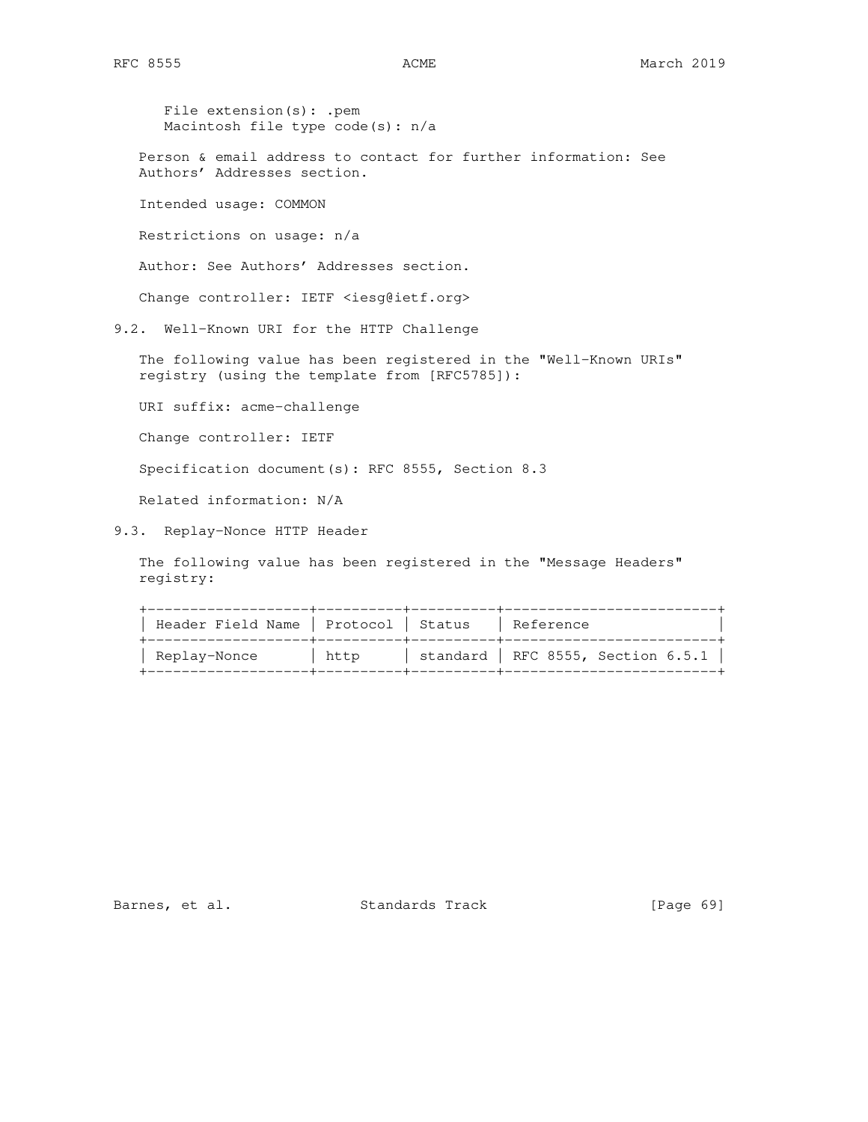File extension(s): .pem Macintosh file type code(s): n/a

 Person & email address to contact for further information: See Authors' Addresses section.

Intended usage: COMMON

Restrictions on usage: n/a

Author: See Authors' Addresses section.

Change controller: IETF <iesg@ietf.org>

9.2. Well-Known URI for the HTTP Challenge

 The following value has been registered in the "Well-Known URIs" registry (using the template from [RFC5785]):

URI suffix: acme-challenge

Change controller: IETF

Specification document(s): RFC 8555, Section 8.3

Related information: N/A

9.3. Replay-Nonce HTTP Header

 The following value has been registered in the "Message Headers" registry:

 +-------------------+----------+----------+-------------------------+ | Header Field Name | Protocol | Status | Reference +-------------------+----------+----------+-------------------------+ | Replay-Nonce | http | standard | RFC 8555, Section 6.5.1 | +-------------------+----------+----------+-------------------------+

Barnes, et al. Standards Track [Page 69]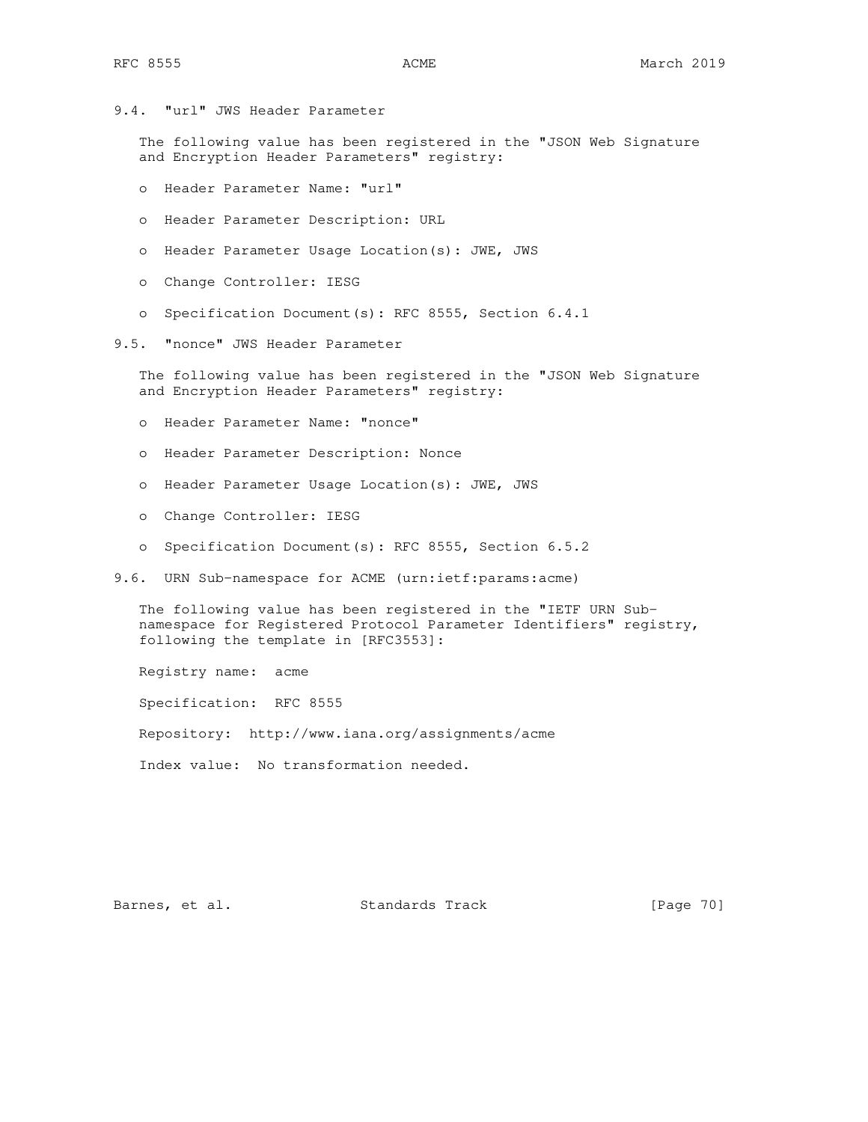9.4. "url" JWS Header Parameter

 The following value has been registered in the "JSON Web Signature and Encryption Header Parameters" registry:

- o Header Parameter Name: "url"
- o Header Parameter Description: URL
- o Header Parameter Usage Location(s): JWE, JWS
- o Change Controller: IESG
- o Specification Document(s): RFC 8555, Section 6.4.1
- 9.5. "nonce" JWS Header Parameter

 The following value has been registered in the "JSON Web Signature and Encryption Header Parameters" registry:

- o Header Parameter Name: "nonce"
- o Header Parameter Description: Nonce
- o Header Parameter Usage Location(s): JWE, JWS
- o Change Controller: IESG
- o Specification Document(s): RFC 8555, Section 6.5.2
- 9.6. URN Sub-namespace for ACME (urn:ietf:params:acme)

 The following value has been registered in the "IETF URN Sub namespace for Registered Protocol Parameter Identifiers" registry, following the template in [RFC3553]:

Registry name: acme

Specification: RFC 8555

Repository: http://www.iana.org/assignments/acme

Index value: No transformation needed.

Barnes, et al. Standards Track [Page 70]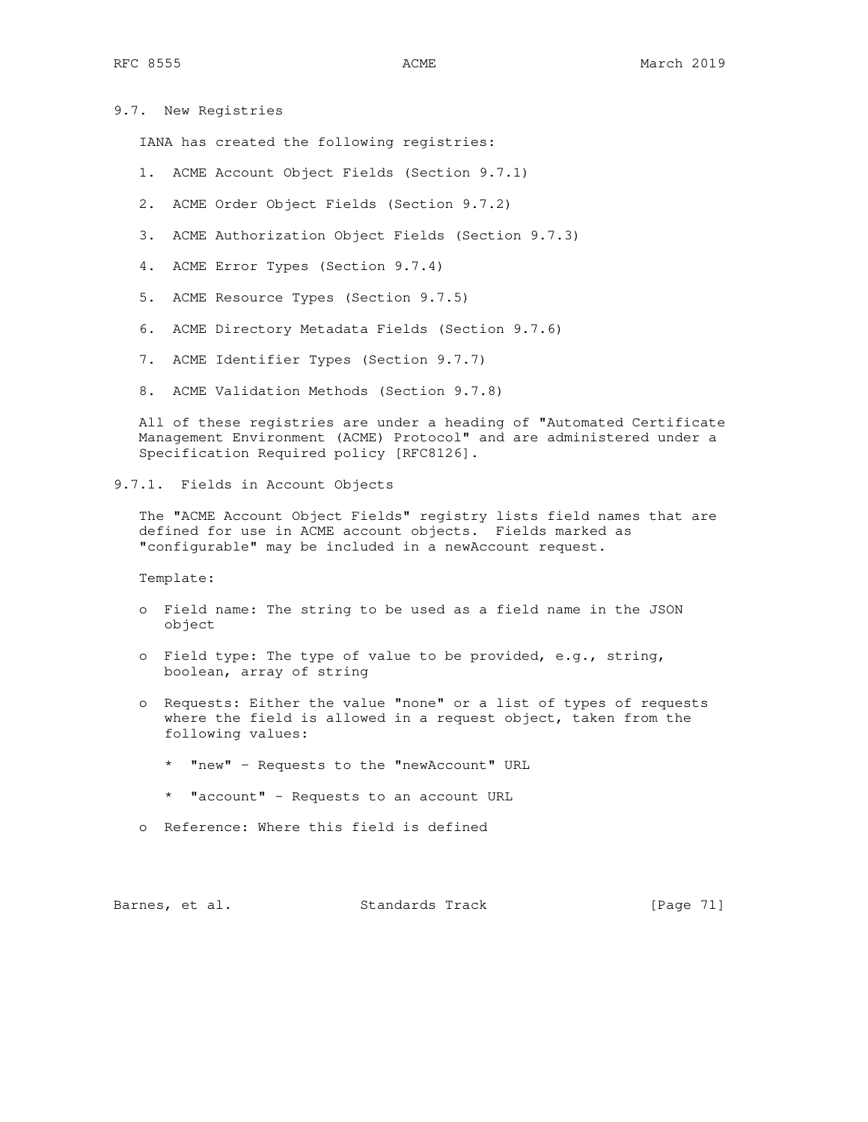9.7. New Registries

IANA has created the following registries:

- 1. ACME Account Object Fields (Section 9.7.1)
- 2. ACME Order Object Fields (Section 9.7.2)
- 3. ACME Authorization Object Fields (Section 9.7.3)
- 4. ACME Error Types (Section 9.7.4)
- 5. ACME Resource Types (Section 9.7.5)
- 6. ACME Directory Metadata Fields (Section 9.7.6)
- 7. ACME Identifier Types (Section 9.7.7)
- 8. ACME Validation Methods (Section 9.7.8)

 All of these registries are under a heading of "Automated Certificate Management Environment (ACME) Protocol" and are administered under a Specification Required policy [RFC8126].

9.7.1. Fields in Account Objects

 The "ACME Account Object Fields" registry lists field names that are defined for use in ACME account objects. Fields marked as "configurable" may be included in a newAccount request.

Template:

- o Field name: The string to be used as a field name in the JSON object
- o Field type: The type of value to be provided, e.g., string, boolean, array of string
- o Requests: Either the value "none" or a list of types of requests where the field is allowed in a request object, taken from the following values:
	- \* "new" Requests to the "newAccount" URL
	- \* "account" Requests to an account URL
- o Reference: Where this field is defined

Barnes, et al. Standards Track [Page 71]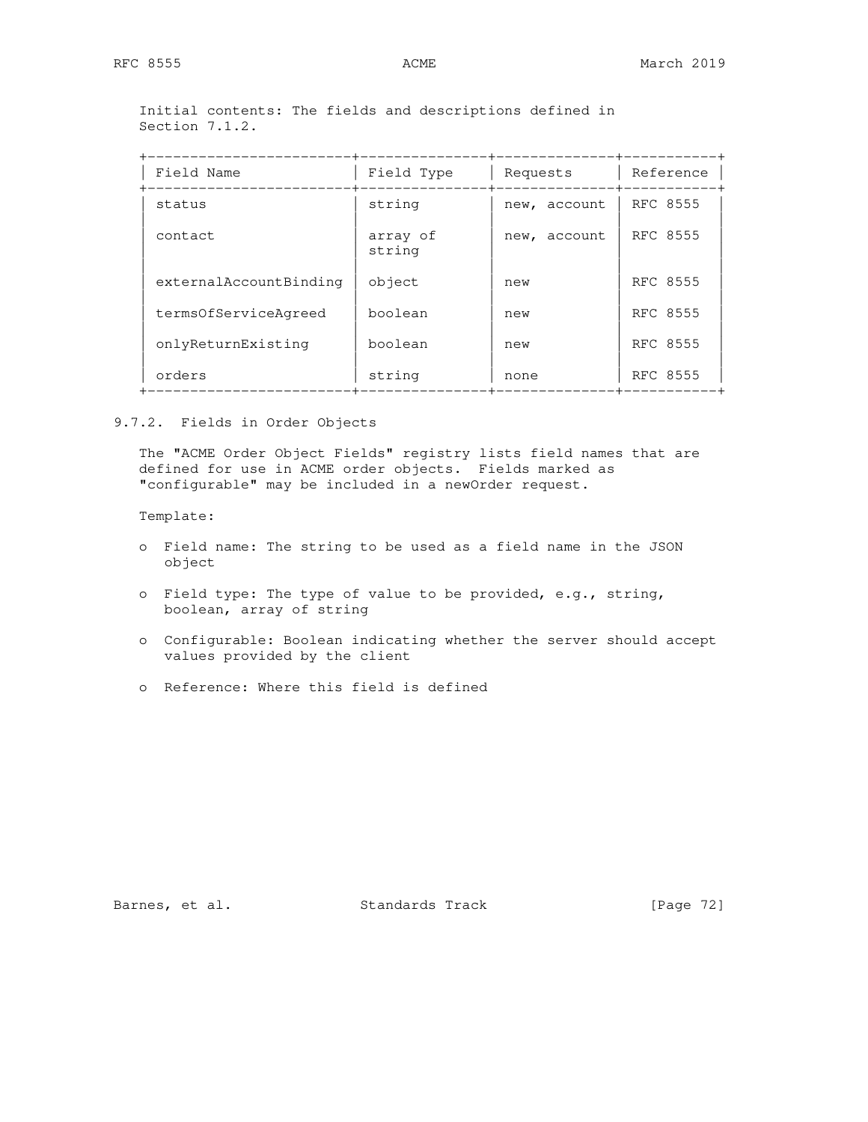Initial contents: The fields and descriptions defined in Section 7.1.2.

| Field Name             | Field Type         | Requests     | Reference |
|------------------------|--------------------|--------------|-----------|
| status                 | string             | new, account | RFC 8555  |
| contact                | array of<br>string | new, account | RFC 8555  |
| externalAccountBinding | object             | new          | RFC 8555  |
| termsOfServiceAgreed   | boolean            | new          | RFC 8555  |
| onlyReturnExisting     | boolean            | new          | RFC 8555  |
| orders                 | string             | none         | RFC 8555  |

# 9.7.2. Fields in Order Objects

 The "ACME Order Object Fields" registry lists field names that are defined for use in ACME order objects. Fields marked as "configurable" may be included in a newOrder request.

Template:

- o Field name: The string to be used as a field name in the JSON object
- o Field type: The type of value to be provided, e.g., string, boolean, array of string
- o Configurable: Boolean indicating whether the server should accept values provided by the client
- o Reference: Where this field is defined

Barnes, et al. Standards Track [Page 72]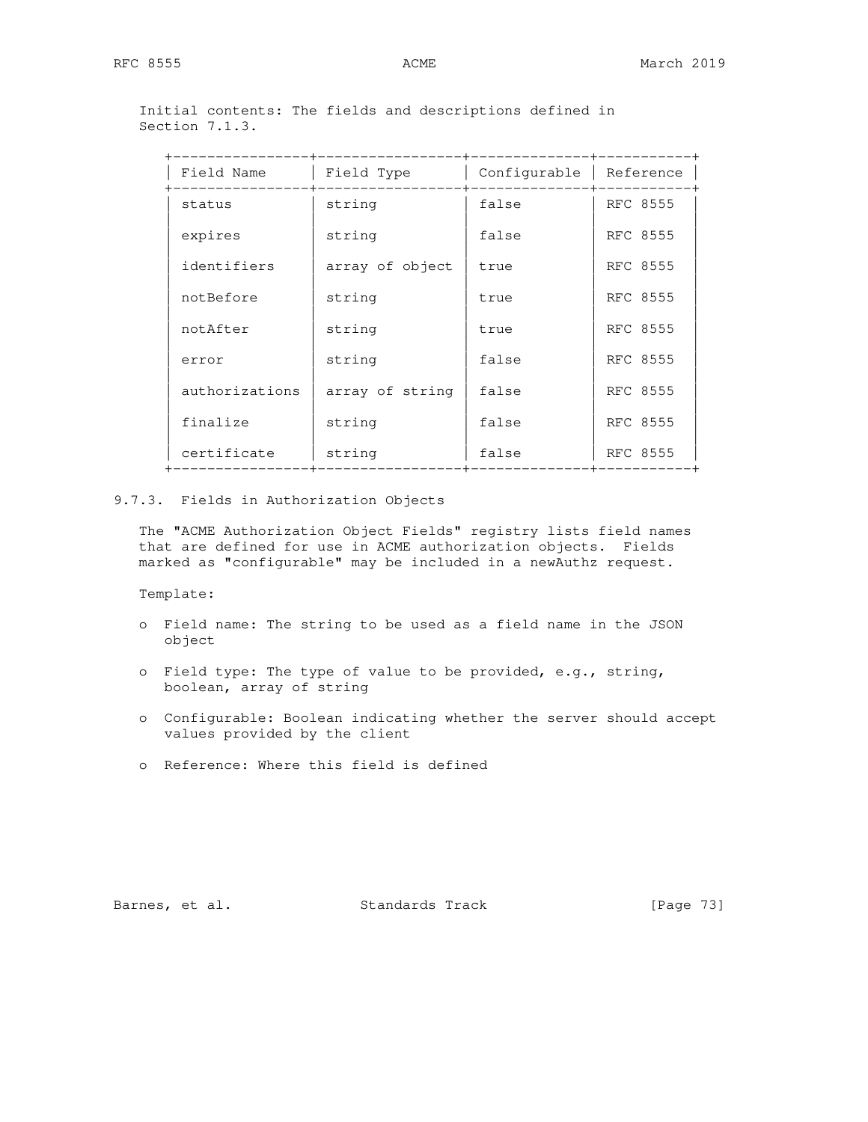Initial contents: The fields and descriptions defined in Section 7.1.3.

| Field Name     | Field Type      | Configurable | Reference |
|----------------|-----------------|--------------|-----------|
| status         | string          | false        | RFC 8555  |
| expires        | string          | false        | RFC 8555  |
| identifiers    | array of object | true         | RFC 8555  |
| notBefore      | string          | true         | RFC 8555  |
| notAfter       | string          | true         | RFC 8555  |
| error          | string          | false        | RFC 8555  |
| authorizations | array of string | false        | RFC 8555  |
| finalize       | string          | false        | RFC 8555  |
| certificate    | string          | false        | RFC 8555  |
|                |                 |              |           |

### 9.7.3. Fields in Authorization Objects

 The "ACME Authorization Object Fields" registry lists field names that are defined for use in ACME authorization objects. Fields marked as "configurable" may be included in a newAuthz request.

Template:

- o Field name: The string to be used as a field name in the JSON object
- o Field type: The type of value to be provided, e.g., string, boolean, array of string
- o Configurable: Boolean indicating whether the server should accept values provided by the client
- o Reference: Where this field is defined

Barnes, et al. Standards Track [Page 73]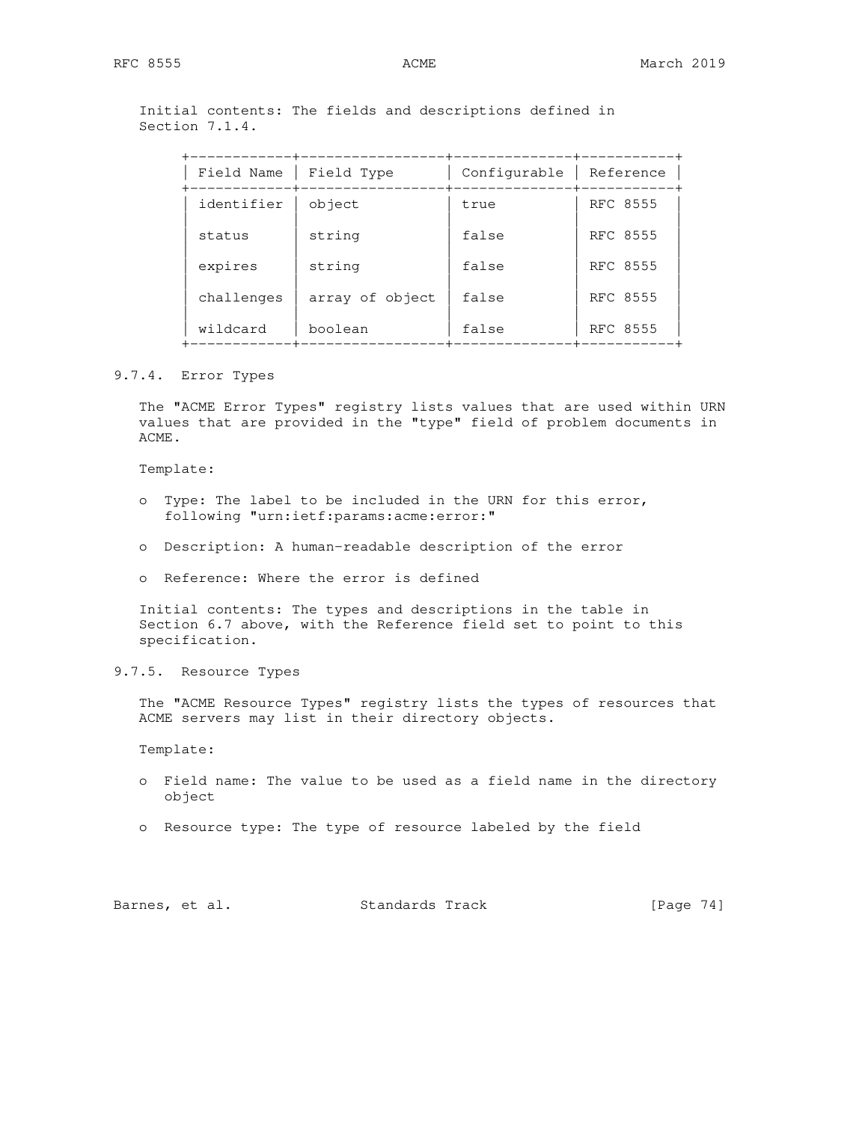# Initial contents: The fields and descriptions defined in Section 7.1.4.

| Field Name | Field Type      | Configurable | Reference |
|------------|-----------------|--------------|-----------|
| identifier | object          | true         | RFC 8555  |
| status     | string          | false        | RFC 8555  |
| expires    | string          | false        | RFC 8555  |
| challenges | array of object | false        | RFC 8555  |
| wildcard   | boolean         | false        | RFC 8555  |

# 9.7.4. Error Types

 The "ACME Error Types" registry lists values that are used within URN values that are provided in the "type" field of problem documents in ACME.

Template:

- o Type: The label to be included in the URN for this error, following "urn:ietf:params:acme:error:"
- o Description: A human-readable description of the error
- o Reference: Where the error is defined

 Initial contents: The types and descriptions in the table in Section 6.7 above, with the Reference field set to point to this specification.

9.7.5. Resource Types

 The "ACME Resource Types" registry lists the types of resources that ACME servers may list in their directory objects.

Template:

- o Field name: The value to be used as a field name in the directory object
- o Resource type: The type of resource labeled by the field

| Barnes, et al. |  | Standards Track | [Page 74] |  |
|----------------|--|-----------------|-----------|--|
|----------------|--|-----------------|-----------|--|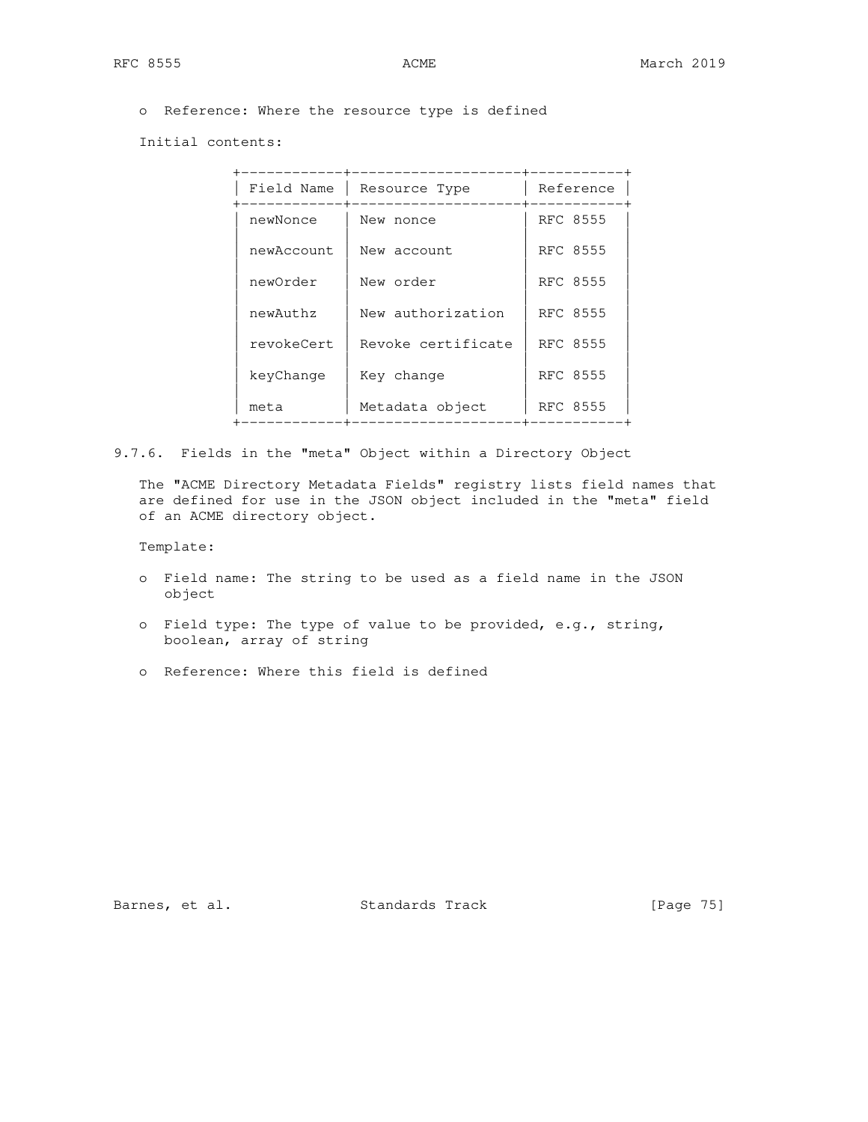o Reference: Where the resource type is defined

Initial contents:

| Field Name | Resource Type      | Reference |
|------------|--------------------|-----------|
| newNonce   | New nonce          | RFC 8555  |
| newAccount | New account        | RFC 8555  |
| newOrder   | New order          | RFC 8555  |
| newAuthz   | New authorization  | RFC 8555  |
| revokeCert | Revoke certificate | RFC 8555  |
| keyChange  | Key change         | RFC 8555  |
| meta       | Metadata object    | RFC 8555  |
|            |                    |           |

9.7.6. Fields in the "meta" Object within a Directory Object

 The "ACME Directory Metadata Fields" registry lists field names that are defined for use in the JSON object included in the "meta" field of an ACME directory object.

Template:

- o Field name: The string to be used as a field name in the JSON object
- o Field type: The type of value to be provided, e.g., string, boolean, array of string
- o Reference: Where this field is defined

Barnes, et al. Standards Track [Page 75]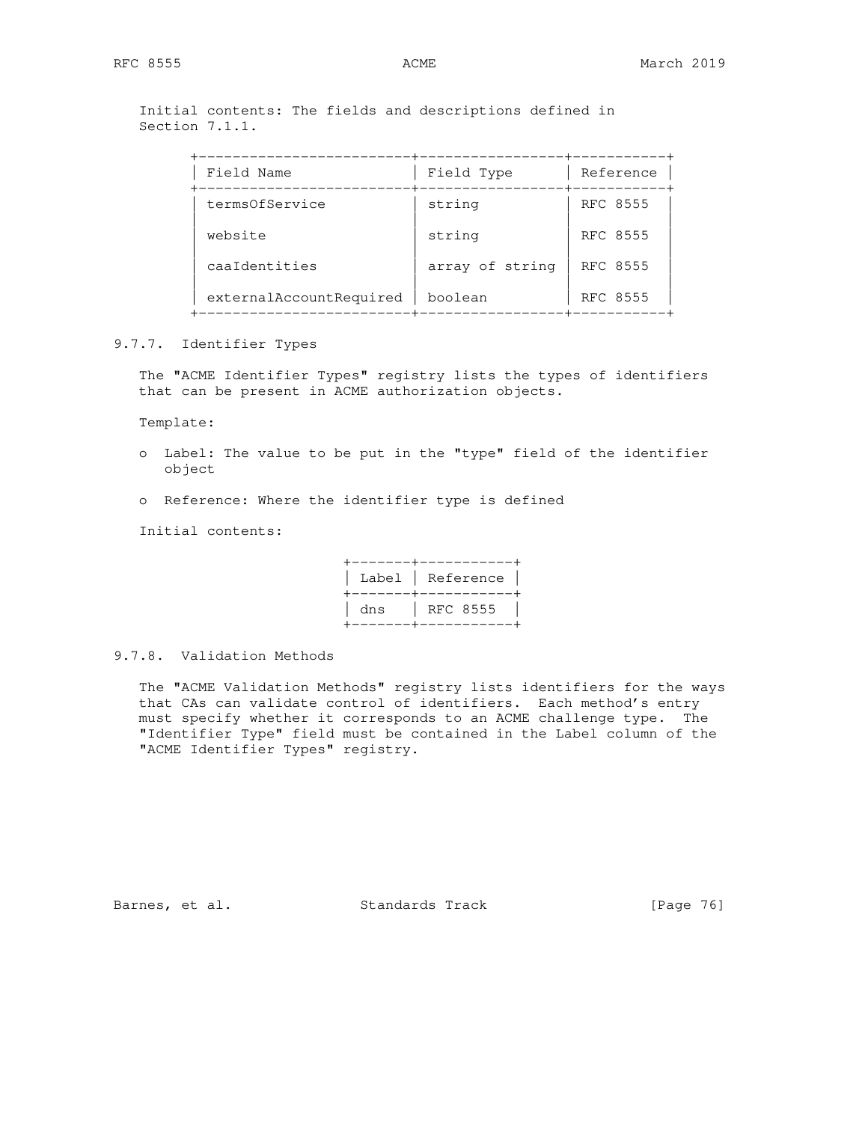Initial contents: The fields and descriptions defined in Section 7.1.1.

| Field Type                                                                          | Reference |
|-------------------------------------------------------------------------------------|-----------|
| string                                                                              | RFC 8555  |
| string                                                                              | RFC 8555  |
| array of string                                                                     | RFC 8555  |
| boolean                                                                             | RFC 8555  |
| Field Name<br>termsOfService<br>website<br>caaIdentities<br>externalAccountRequired |           |

## 9.7.7. Identifier Types

 The "ACME Identifier Types" registry lists the types of identifiers that can be present in ACME authorization objects.

Template:

- o Label: The value to be put in the "type" field of the identifier object
- o Reference: Where the identifier type is defined

Initial contents:

9.7.8. Validation Methods

 The "ACME Validation Methods" registry lists identifiers for the ways that CAs can validate control of identifiers. Each method's entry must specify whether it corresponds to an ACME challenge type. The "Identifier Type" field must be contained in the Label column of the "ACME Identifier Types" registry.

Barnes, et al. Standards Track [Page 76]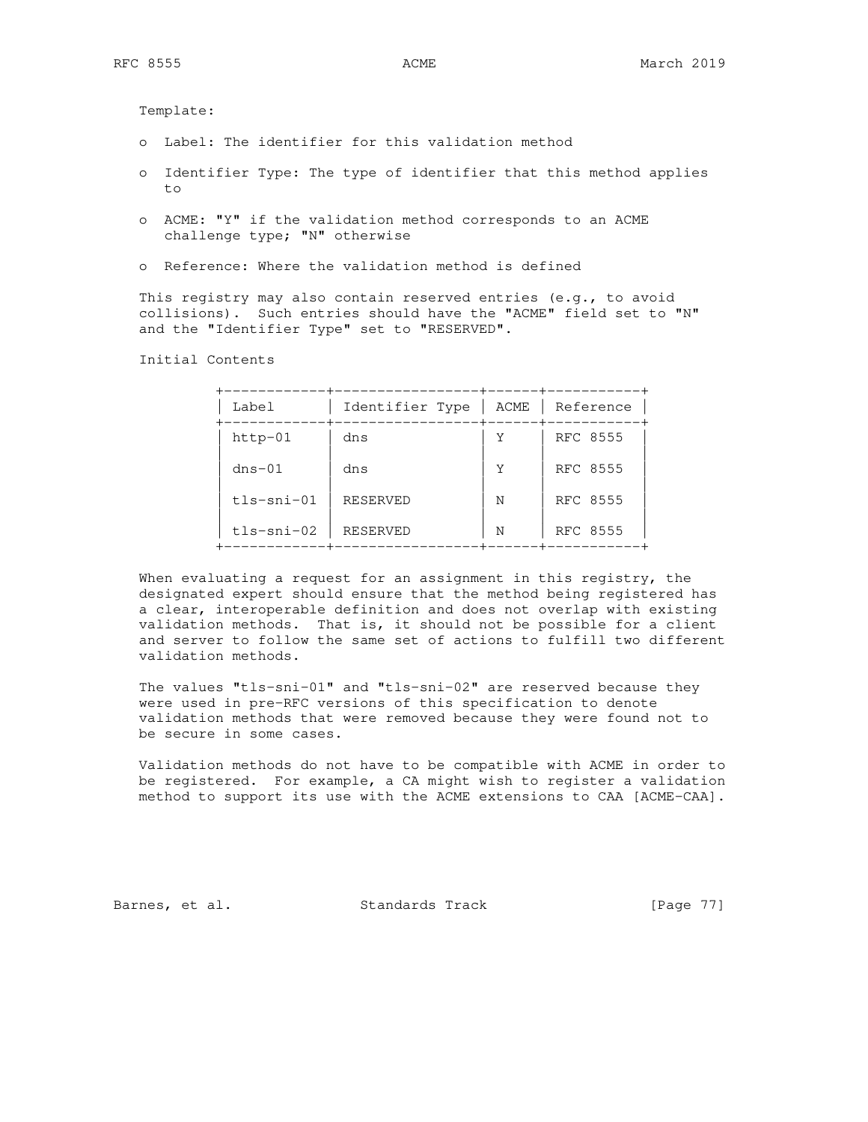Template:

- o Label: The identifier for this validation method
- o Identifier Type: The type of identifier that this method applies to
- o ACME: "Y" if the validation method corresponds to an ACME challenge type; "N" otherwise
- o Reference: Where the validation method is defined

 This registry may also contain reserved entries (e.g., to avoid collisions). Such entries should have the "ACME" field set to "N" and the "Identifier Type" set to "RESERVED".

Initial Contents

| Label        | Identifier Type | ACME | Reference |
|--------------|-----------------|------|-----------|
| $http-01$    | dns             | Y    | RFC 8555  |
| $dns-01$     | dns             | Y    | RFC 8555  |
| $tls-sni-01$ | RESERVED        | N    | RFC 8555  |
| tls-sni-02   | <b>RESERVED</b> | N    | RFC 8555  |

 When evaluating a request for an assignment in this registry, the designated expert should ensure that the method being registered has a clear, interoperable definition and does not overlap with existing validation methods. That is, it should not be possible for a client and server to follow the same set of actions to fulfill two different validation methods.

 The values "tls-sni-01" and "tls-sni-02" are reserved because they were used in pre-RFC versions of this specification to denote validation methods that were removed because they were found not to be secure in some cases.

 Validation methods do not have to be compatible with ACME in order to be registered. For example, a CA might wish to register a validation method to support its use with the ACME extensions to CAA [ACME-CAA].

Barnes, et al. Standards Track [Page 77]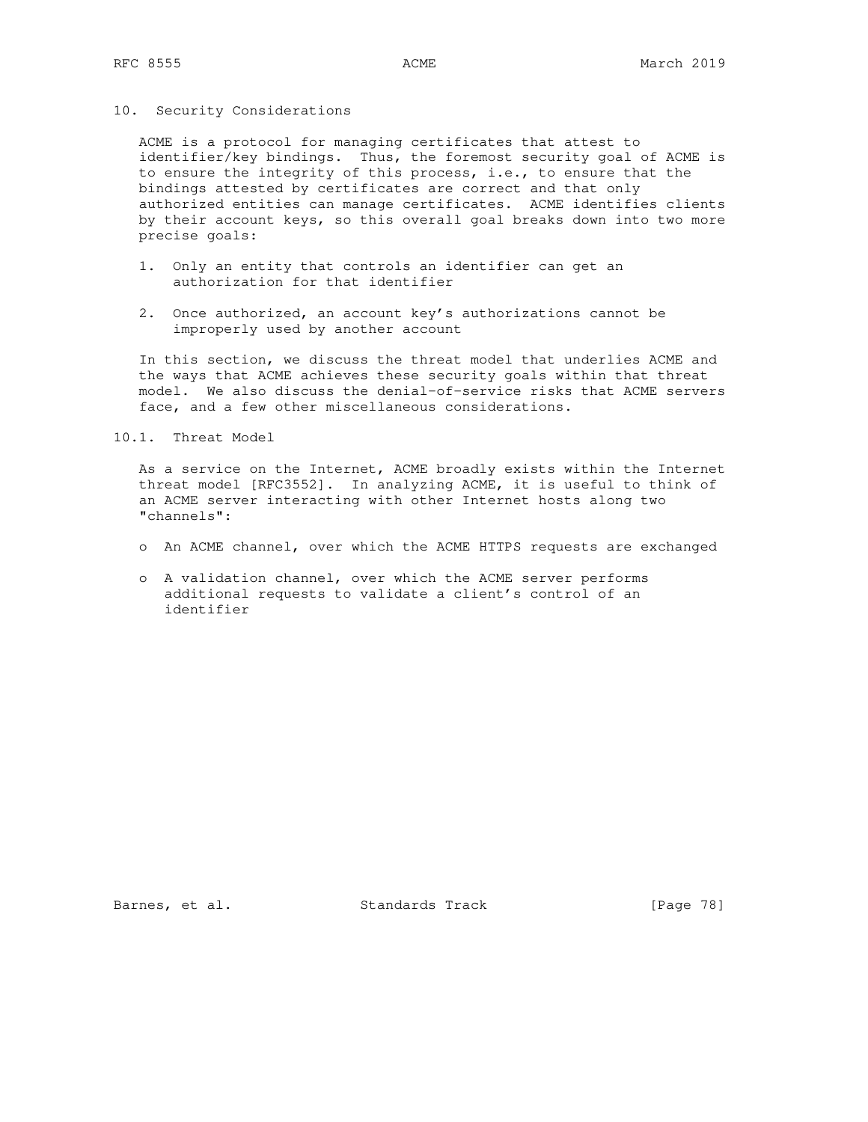### 10. Security Considerations

 ACME is a protocol for managing certificates that attest to identifier/key bindings. Thus, the foremost security goal of ACME is to ensure the integrity of this process, i.e., to ensure that the bindings attested by certificates are correct and that only authorized entities can manage certificates. ACME identifies clients by their account keys, so this overall goal breaks down into two more precise goals:

- 1. Only an entity that controls an identifier can get an authorization for that identifier
- 2. Once authorized, an account key's authorizations cannot be improperly used by another account

 In this section, we discuss the threat model that underlies ACME and the ways that ACME achieves these security goals within that threat model. We also discuss the denial-of-service risks that ACME servers face, and a few other miscellaneous considerations.

10.1. Threat Model

 As a service on the Internet, ACME broadly exists within the Internet threat model [RFC3552]. In analyzing ACME, it is useful to think of an ACME server interacting with other Internet hosts along two "channels":

- o An ACME channel, over which the ACME HTTPS requests are exchanged
- o A validation channel, over which the ACME server performs additional requests to validate a client's control of an identifier

Barnes, et al. Standards Track [Page 78]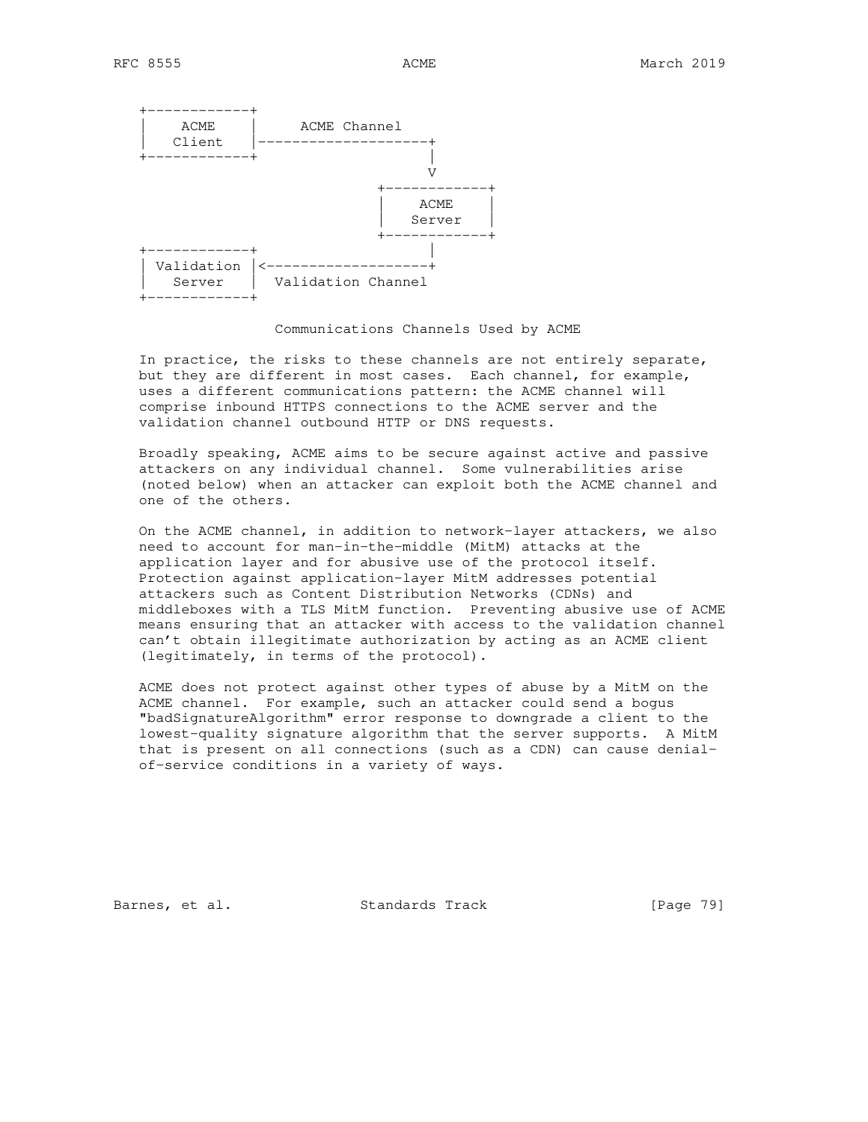

#### Communications Channels Used by ACME

 In practice, the risks to these channels are not entirely separate, but they are different in most cases. Each channel, for example, uses a different communications pattern: the ACME channel will comprise inbound HTTPS connections to the ACME server and the validation channel outbound HTTP or DNS requests.

 Broadly speaking, ACME aims to be secure against active and passive attackers on any individual channel. Some vulnerabilities arise (noted below) when an attacker can exploit both the ACME channel and one of the others.

 On the ACME channel, in addition to network-layer attackers, we also need to account for man-in-the-middle (MitM) attacks at the application layer and for abusive use of the protocol itself. Protection against application-layer MitM addresses potential attackers such as Content Distribution Networks (CDNs) and middleboxes with a TLS MitM function. Preventing abusive use of ACME means ensuring that an attacker with access to the validation channel can't obtain illegitimate authorization by acting as an ACME client (legitimately, in terms of the protocol).

 ACME does not protect against other types of abuse by a MitM on the ACME channel. For example, such an attacker could send a bogus "badSignatureAlgorithm" error response to downgrade a client to the lowest-quality signature algorithm that the server supports. A MitM that is present on all connections (such as a CDN) can cause denial of-service conditions in a variety of ways.

Barnes, et al. Standards Track [Page 79]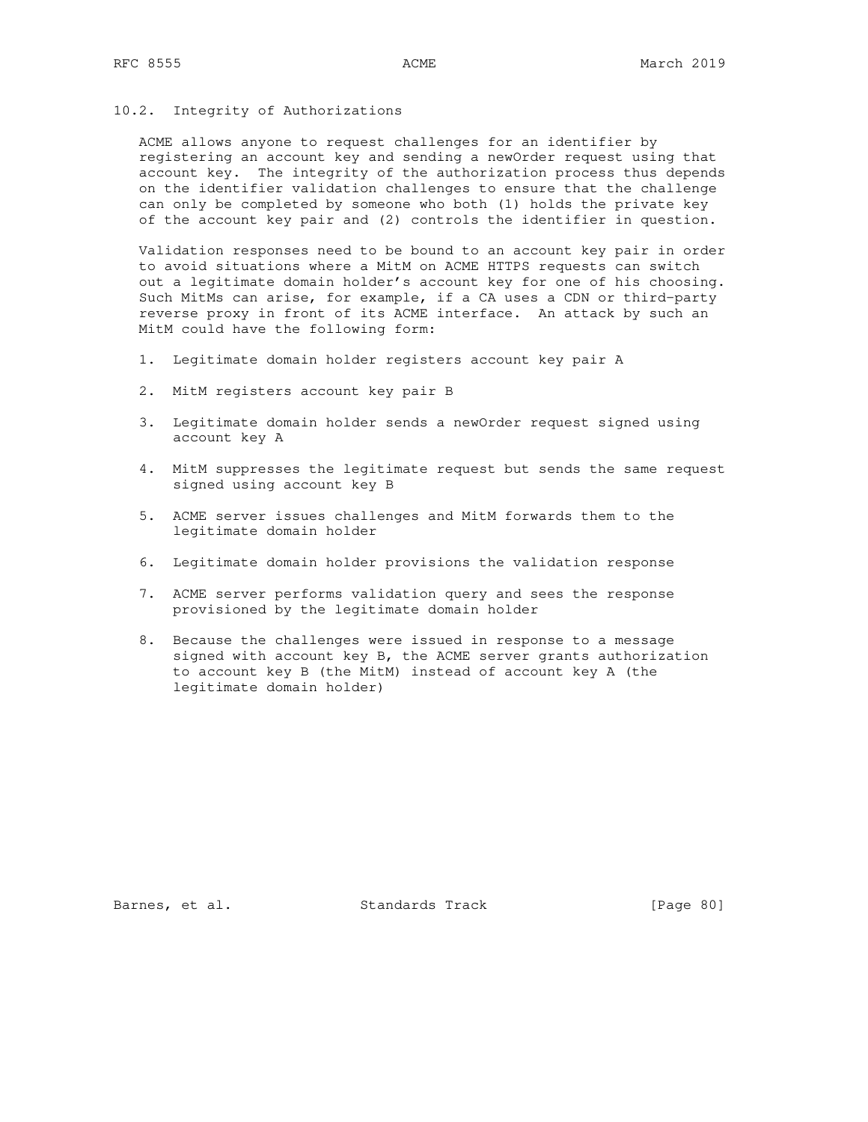## 10.2. Integrity of Authorizations

 ACME allows anyone to request challenges for an identifier by registering an account key and sending a newOrder request using that account key. The integrity of the authorization process thus depends on the identifier validation challenges to ensure that the challenge can only be completed by someone who both (1) holds the private key of the account key pair and (2) controls the identifier in question.

 Validation responses need to be bound to an account key pair in order to avoid situations where a MitM on ACME HTTPS requests can switch out a legitimate domain holder's account key for one of his choosing. Such MitMs can arise, for example, if a CA uses a CDN or third-party reverse proxy in front of its ACME interface. An attack by such an MitM could have the following form:

- 1. Legitimate domain holder registers account key pair A
- 2. MitM registers account key pair B
- 3. Legitimate domain holder sends a newOrder request signed using account key A
- 4. MitM suppresses the legitimate request but sends the same request signed using account key B
- 5. ACME server issues challenges and MitM forwards them to the legitimate domain holder
- 6. Legitimate domain holder provisions the validation response
- 7. ACME server performs validation query and sees the response provisioned by the legitimate domain holder
- 8. Because the challenges were issued in response to a message signed with account key B, the ACME server grants authorization to account key B (the MitM) instead of account key A (the legitimate domain holder)

Barnes, et al. Standards Track [Page 80]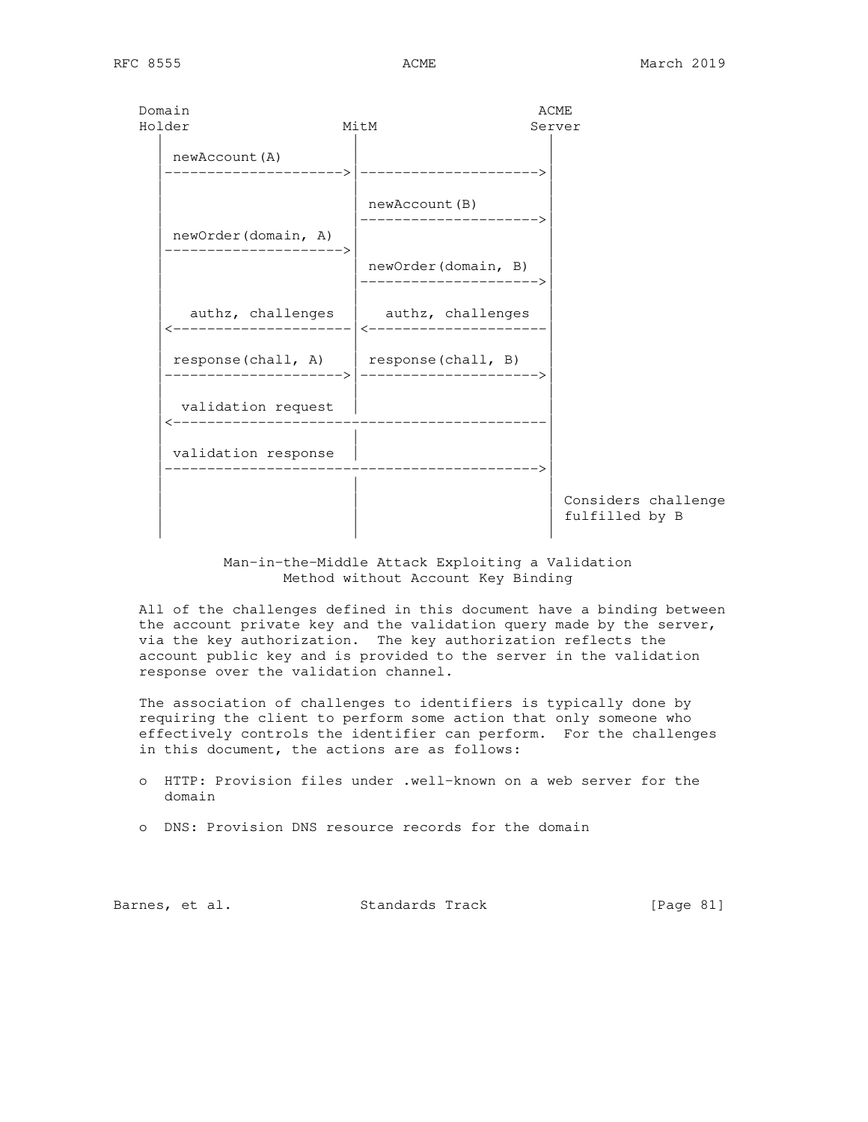| Domain<br>Holder    | MitM                                        | ACME<br>Server                        |
|---------------------|---------------------------------------------|---------------------------------------|
| newAccount (A)      |                                             |                                       |
| newOrder(domain, A) | newAccount (B)                              |                                       |
|                     | newOrder(domain, B)<br>------------------   |                                       |
|                     | authz, challenges   authz, challenges       |                                       |
|                     | $response$ (chall, A)   response (chall, B) |                                       |
| validation request  |                                             |                                       |
| validation response |                                             |                                       |
|                     |                                             | Considers challenge<br>fulfilled by B |

## Man-in-the-Middle Attack Exploiting a Validation Method without Account Key Binding

 All of the challenges defined in this document have a binding between the account private key and the validation query made by the server, via the key authorization. The key authorization reflects the account public key and is provided to the server in the validation response over the validation channel.

 The association of challenges to identifiers is typically done by requiring the client to perform some action that only someone who effectively controls the identifier can perform. For the challenges in this document, the actions are as follows:

- o HTTP: Provision files under .well-known on a web server for the domain
- o DNS: Provision DNS resource records for the domain

Barnes, et al. Standards Track [Page 81]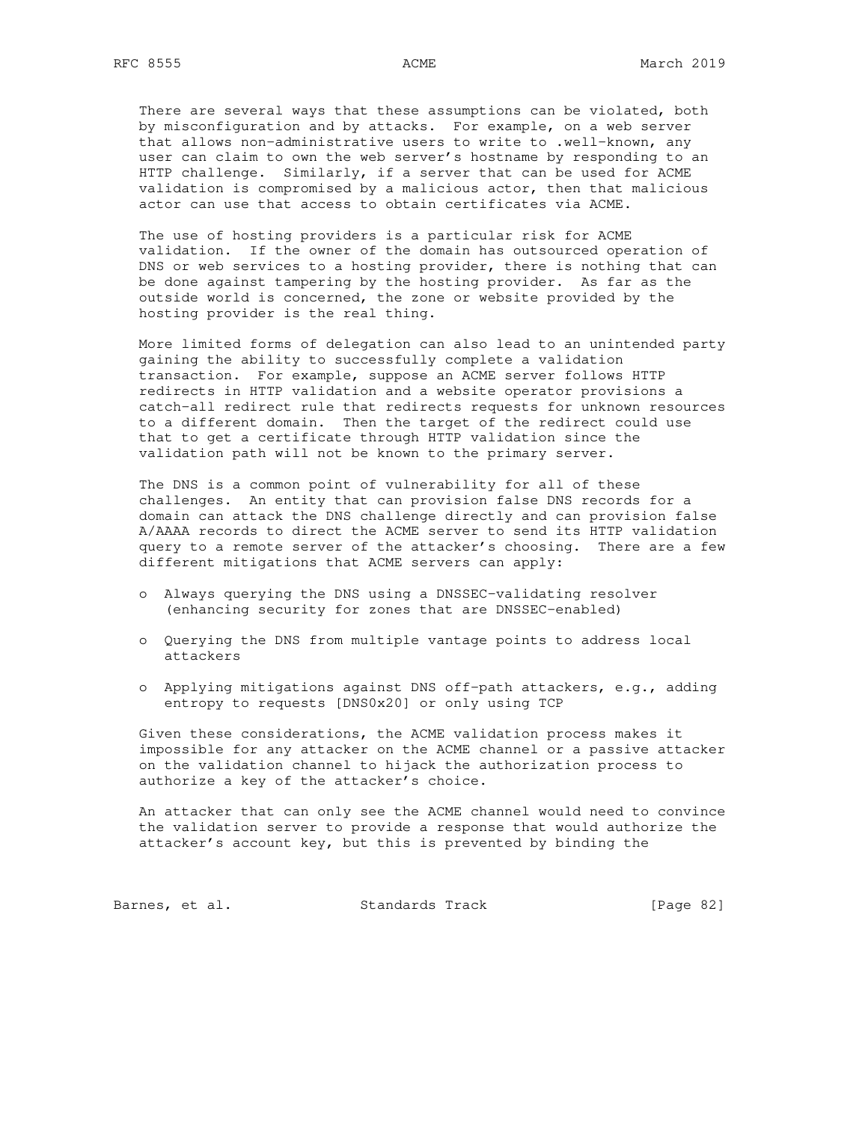There are several ways that these assumptions can be violated, both by misconfiguration and by attacks. For example, on a web server that allows non-administrative users to write to .well-known, any user can claim to own the web server's hostname by responding to an HTTP challenge. Similarly, if a server that can be used for ACME validation is compromised by a malicious actor, then that malicious actor can use that access to obtain certificates via ACME.

 The use of hosting providers is a particular risk for ACME validation. If the owner of the domain has outsourced operation of DNS or web services to a hosting provider, there is nothing that can be done against tampering by the hosting provider. As far as the outside world is concerned, the zone or website provided by the hosting provider is the real thing.

 More limited forms of delegation can also lead to an unintended party gaining the ability to successfully complete a validation transaction. For example, suppose an ACME server follows HTTP redirects in HTTP validation and a website operator provisions a catch-all redirect rule that redirects requests for unknown resources to a different domain. Then the target of the redirect could use that to get a certificate through HTTP validation since the validation path will not be known to the primary server.

 The DNS is a common point of vulnerability for all of these challenges. An entity that can provision false DNS records for a domain can attack the DNS challenge directly and can provision false A/AAAA records to direct the ACME server to send its HTTP validation query to a remote server of the attacker's choosing. There are a few different mitigations that ACME servers can apply:

- o Always querying the DNS using a DNSSEC-validating resolver (enhancing security for zones that are DNSSEC-enabled)
- o Querying the DNS from multiple vantage points to address local attackers
- o Applying mitigations against DNS off-path attackers, e.g., adding entropy to requests [DNS0x20] or only using TCP

 Given these considerations, the ACME validation process makes it impossible for any attacker on the ACME channel or a passive attacker on the validation channel to hijack the authorization process to authorize a key of the attacker's choice.

 An attacker that can only see the ACME channel would need to convince the validation server to provide a response that would authorize the attacker's account key, but this is prevented by binding the

Barnes, et al. Standards Track [Page 82]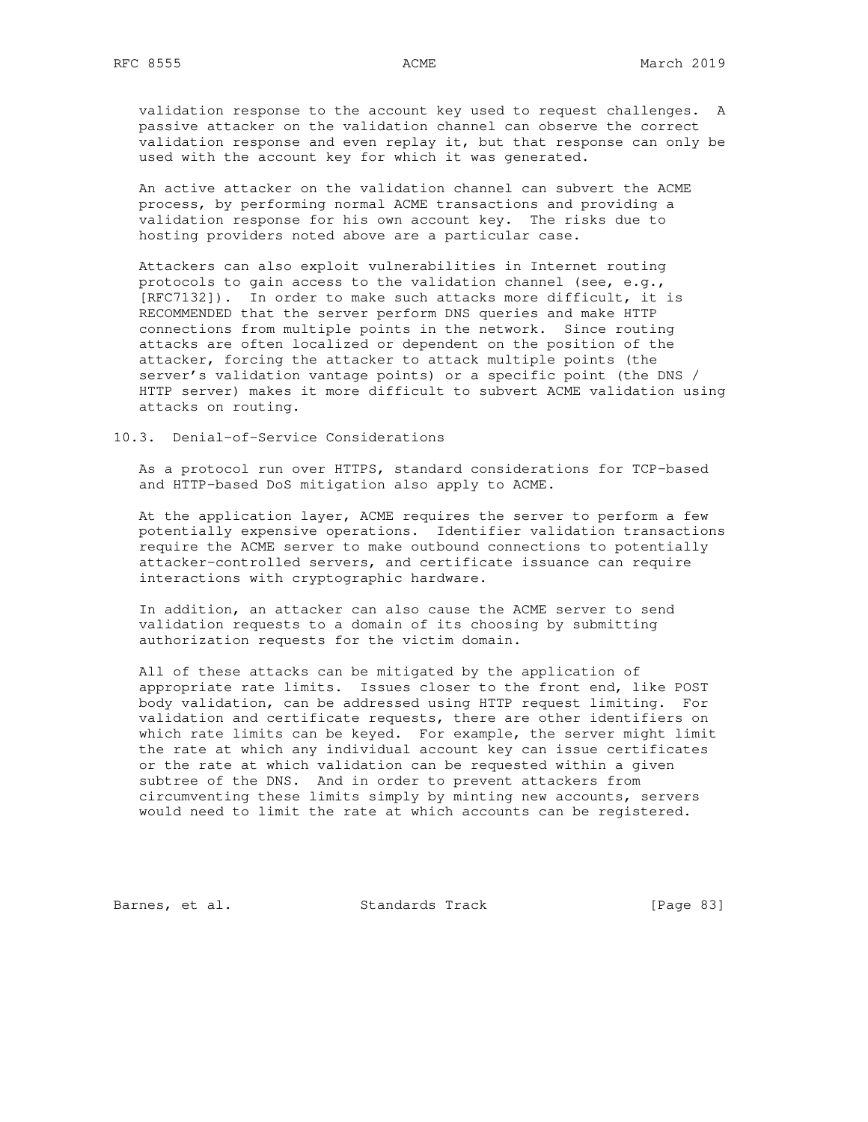validation response to the account key used to request challenges. A passive attacker on the validation channel can observe the correct validation response and even replay it, but that response can only be used with the account key for which it was generated.

 An active attacker on the validation channel can subvert the ACME process, by performing normal ACME transactions and providing a validation response for his own account key. The risks due to hosting providers noted above are a particular case.

 Attackers can also exploit vulnerabilities in Internet routing protocols to gain access to the validation channel (see, e.g., [RFC7132]). In order to make such attacks more difficult, it is RECOMMENDED that the server perform DNS queries and make HTTP connections from multiple points in the network. Since routing attacks are often localized or dependent on the position of the attacker, forcing the attacker to attack multiple points (the server's validation vantage points) or a specific point (the DNS / HTTP server) makes it more difficult to subvert ACME validation using attacks on routing.

### 10.3. Denial-of-Service Considerations

 As a protocol run over HTTPS, standard considerations for TCP-based and HTTP-based DoS mitigation also apply to ACME.

 At the application layer, ACME requires the server to perform a few potentially expensive operations. Identifier validation transactions require the ACME server to make outbound connections to potentially attacker-controlled servers, and certificate issuance can require interactions with cryptographic hardware.

 In addition, an attacker can also cause the ACME server to send validation requests to a domain of its choosing by submitting authorization requests for the victim domain.

 All of these attacks can be mitigated by the application of appropriate rate limits. Issues closer to the front end, like POST body validation, can be addressed using HTTP request limiting. For validation and certificate requests, there are other identifiers on which rate limits can be keyed. For example, the server might limit the rate at which any individual account key can issue certificates or the rate at which validation can be requested within a given subtree of the DNS. And in order to prevent attackers from circumventing these limits simply by minting new accounts, servers would need to limit the rate at which accounts can be registered.

Barnes, et al. Standards Track [Page 83]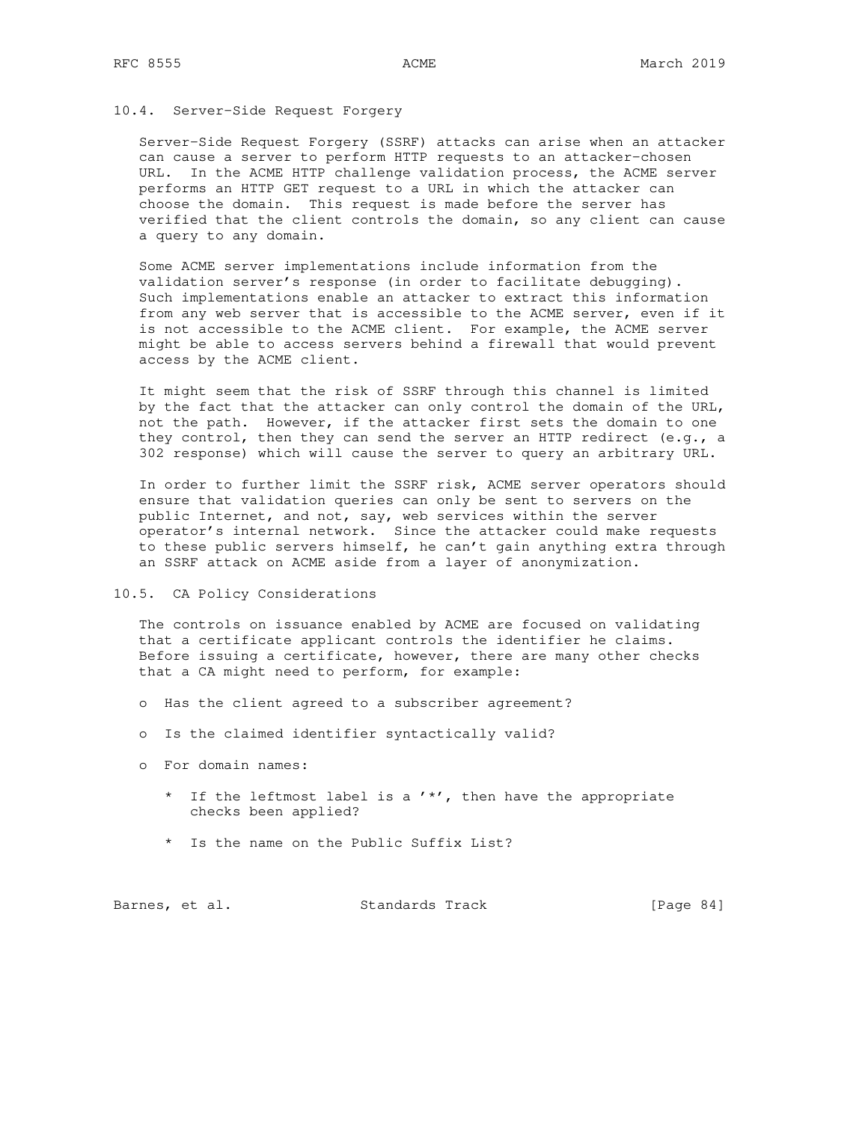## 10.4. Server-Side Request Forgery

 Server-Side Request Forgery (SSRF) attacks can arise when an attacker can cause a server to perform HTTP requests to an attacker-chosen URL. In the ACME HTTP challenge validation process, the ACME server performs an HTTP GET request to a URL in which the attacker can choose the domain. This request is made before the server has verified that the client controls the domain, so any client can cause a query to any domain.

 Some ACME server implementations include information from the validation server's response (in order to facilitate debugging). Such implementations enable an attacker to extract this information from any web server that is accessible to the ACME server, even if it is not accessible to the ACME client. For example, the ACME server might be able to access servers behind a firewall that would prevent access by the ACME client.

 It might seem that the risk of SSRF through this channel is limited by the fact that the attacker can only control the domain of the URL, not the path. However, if the attacker first sets the domain to one they control, then they can send the server an HTTP redirect (e.g., a 302 response) which will cause the server to query an arbitrary URL.

 In order to further limit the SSRF risk, ACME server operators should ensure that validation queries can only be sent to servers on the public Internet, and not, say, web services within the server operator's internal network. Since the attacker could make requests to these public servers himself, he can't gain anything extra through an SSRF attack on ACME aside from a layer of anonymization.

#### 10.5. CA Policy Considerations

 The controls on issuance enabled by ACME are focused on validating that a certificate applicant controls the identifier he claims. Before issuing a certificate, however, there are many other checks that a CA might need to perform, for example:

- o Has the client agreed to a subscriber agreement?
- o Is the claimed identifier syntactically valid?
- o For domain names:
	- \* If the leftmost label is a '\*', then have the appropriate checks been applied?
	- \* Is the name on the Public Suffix List?

| Barnes, et al. |  |  | Standards Track |  | [Page $84$ ] |  |
|----------------|--|--|-----------------|--|--------------|--|
|----------------|--|--|-----------------|--|--------------|--|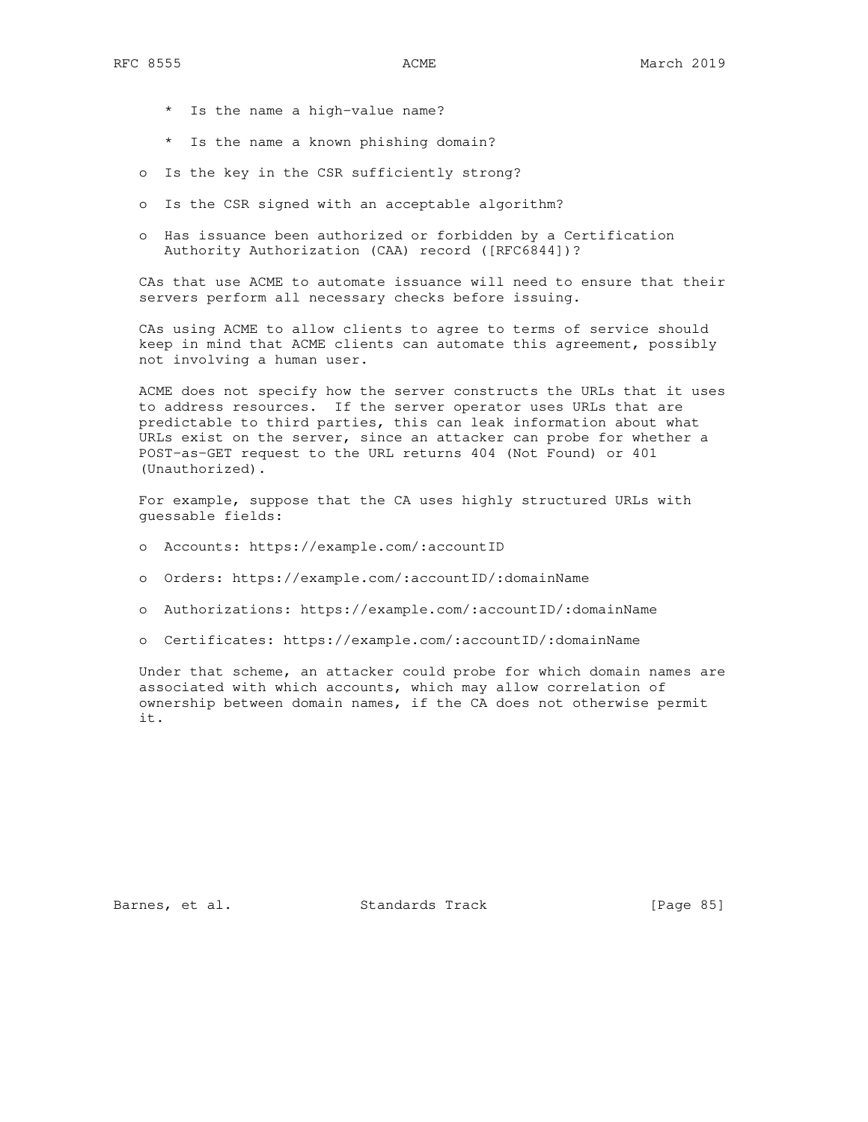- \* Is the name a high-value name?
- \* Is the name a known phishing domain?
- o Is the key in the CSR sufficiently strong?
- o Is the CSR signed with an acceptable algorithm?
- o Has issuance been authorized or forbidden by a Certification Authority Authorization (CAA) record ([RFC6844])?

 CAs that use ACME to automate issuance will need to ensure that their servers perform all necessary checks before issuing.

 CAs using ACME to allow clients to agree to terms of service should keep in mind that ACME clients can automate this agreement, possibly not involving a human user.

 ACME does not specify how the server constructs the URLs that it uses to address resources. If the server operator uses URLs that are predictable to third parties, this can leak information about what URLs exist on the server, since an attacker can probe for whether a POST-as-GET request to the URL returns 404 (Not Found) or 401 (Unauthorized).

 For example, suppose that the CA uses highly structured URLs with guessable fields:

- o Accounts: https://example.com/:accountID
- o Orders: https://example.com/:accountID/:domainName
- o Authorizations: https://example.com/:accountID/:domainName
- o Certificates: https://example.com/:accountID/:domainName

 Under that scheme, an attacker could probe for which domain names are associated with which accounts, which may allow correlation of ownership between domain names, if the CA does not otherwise permit it.

Barnes, et al. Standards Track [Page 85]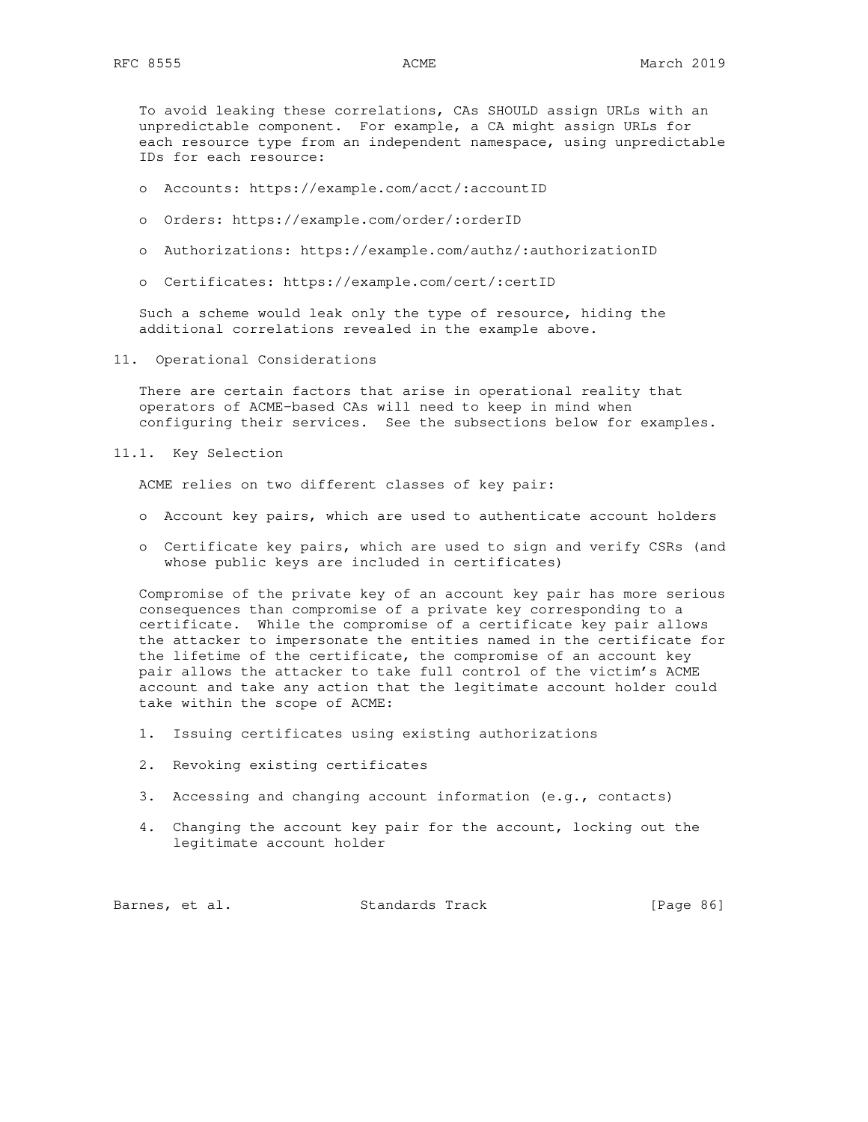To avoid leaking these correlations, CAs SHOULD assign URLs with an unpredictable component. For example, a CA might assign URLs for each resource type from an independent namespace, using unpredictable IDs for each resource:

- o Accounts: https://example.com/acct/:accountID
- o Orders: https://example.com/order/:orderID
- o Authorizations: https://example.com/authz/:authorizationID
- o Certificates: https://example.com/cert/:certID

 Such a scheme would leak only the type of resource, hiding the additional correlations revealed in the example above.

11. Operational Considerations

 There are certain factors that arise in operational reality that operators of ACME-based CAs will need to keep in mind when configuring their services. See the subsections below for examples.

11.1. Key Selection

ACME relies on two different classes of key pair:

- o Account key pairs, which are used to authenticate account holders
- o Certificate key pairs, which are used to sign and verify CSRs (and whose public keys are included in certificates)

 Compromise of the private key of an account key pair has more serious consequences than compromise of a private key corresponding to a certificate. While the compromise of a certificate key pair allows the attacker to impersonate the entities named in the certificate for the lifetime of the certificate, the compromise of an account key pair allows the attacker to take full control of the victim's ACME account and take any action that the legitimate account holder could take within the scope of ACME:

- 1. Issuing certificates using existing authorizations
- 2. Revoking existing certificates
- 3. Accessing and changing account information (e.g., contacts)
- 4. Changing the account key pair for the account, locking out the legitimate account holder

Barnes, et al. Standards Track [Page 86]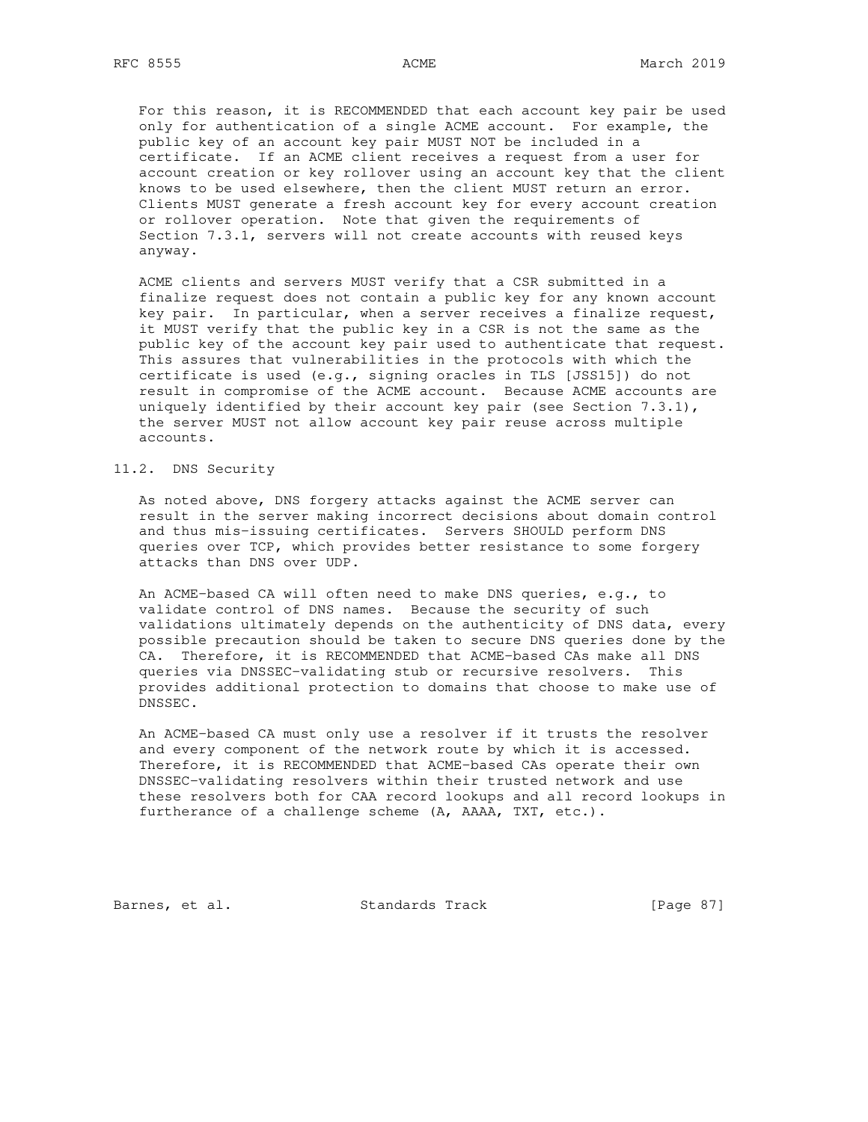For this reason, it is RECOMMENDED that each account key pair be used only for authentication of a single ACME account. For example, the public key of an account key pair MUST NOT be included in a certificate. If an ACME client receives a request from a user for account creation or key rollover using an account key that the client knows to be used elsewhere, then the client MUST return an error. Clients MUST generate a fresh account key for every account creation or rollover operation. Note that given the requirements of Section 7.3.1, servers will not create accounts with reused keys anyway.

 ACME clients and servers MUST verify that a CSR submitted in a finalize request does not contain a public key for any known account key pair. In particular, when a server receives a finalize request, it MUST verify that the public key in a CSR is not the same as the public key of the account key pair used to authenticate that request. This assures that vulnerabilities in the protocols with which the certificate is used (e.g., signing oracles in TLS [JSS15]) do not result in compromise of the ACME account. Because ACME accounts are uniquely identified by their account key pair (see Section  $7.3.1$ ), the server MUST not allow account key pair reuse across multiple accounts.

# 11.2. DNS Security

 As noted above, DNS forgery attacks against the ACME server can result in the server making incorrect decisions about domain control and thus mis-issuing certificates. Servers SHOULD perform DNS queries over TCP, which provides better resistance to some forgery attacks than DNS over UDP.

 An ACME-based CA will often need to make DNS queries, e.g., to validate control of DNS names. Because the security of such validations ultimately depends on the authenticity of DNS data, every possible precaution should be taken to secure DNS queries done by the CA. Therefore, it is RECOMMENDED that ACME-based CAs make all DNS queries via DNSSEC-validating stub or recursive resolvers. This provides additional protection to domains that choose to make use of DNSSEC.

 An ACME-based CA must only use a resolver if it trusts the resolver and every component of the network route by which it is accessed. Therefore, it is RECOMMENDED that ACME-based CAs operate their own DNSSEC-validating resolvers within their trusted network and use these resolvers both for CAA record lookups and all record lookups in furtherance of a challenge scheme (A, AAAA, TXT, etc.).

Barnes, et al. Standards Track [Page 87]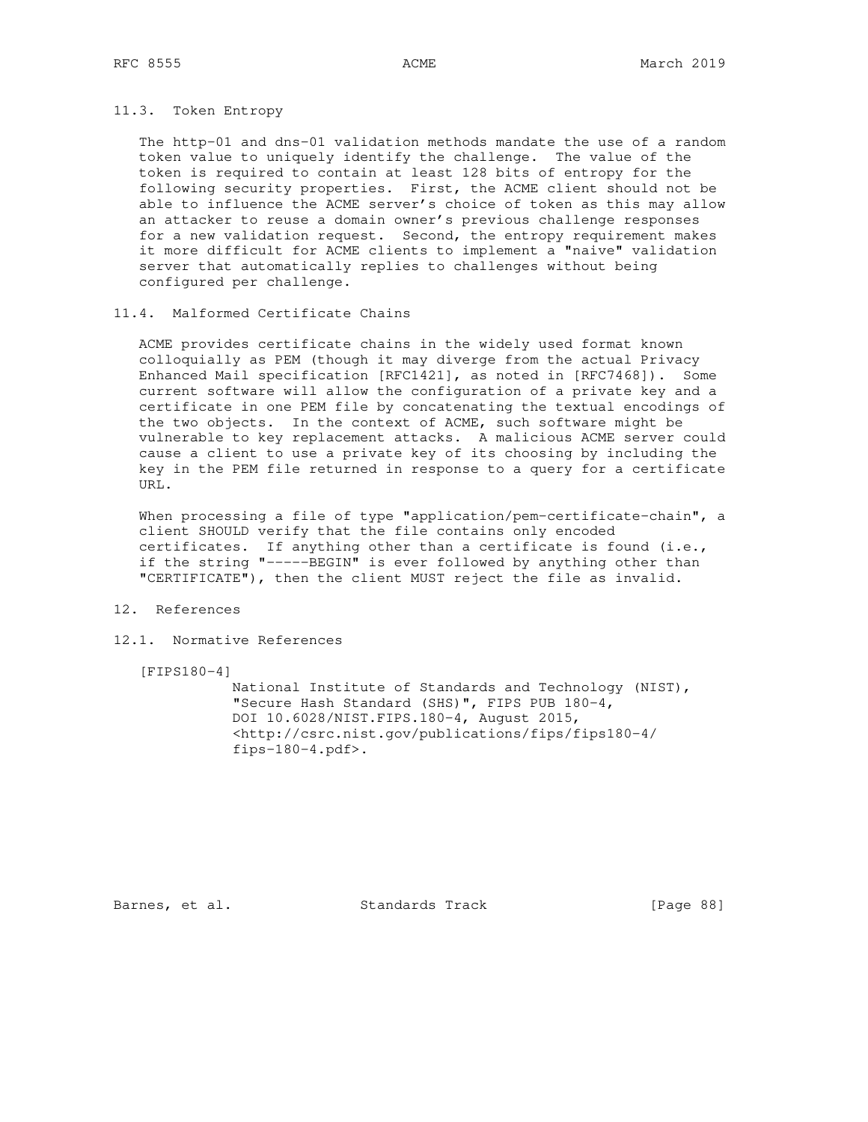## 11.3. Token Entropy

 The http-01 and dns-01 validation methods mandate the use of a random token value to uniquely identify the challenge. The value of the token is required to contain at least 128 bits of entropy for the following security properties. First, the ACME client should not be able to influence the ACME server's choice of token as this may allow an attacker to reuse a domain owner's previous challenge responses for a new validation request. Second, the entropy requirement makes it more difficult for ACME clients to implement a "naive" validation server that automatically replies to challenges without being configured per challenge.

## 11.4. Malformed Certificate Chains

 ACME provides certificate chains in the widely used format known colloquially as PEM (though it may diverge from the actual Privacy Enhanced Mail specification [RFC1421], as noted in [RFC7468]). Some current software will allow the configuration of a private key and a certificate in one PEM file by concatenating the textual encodings of the two objects. In the context of ACME, such software might be vulnerable to key replacement attacks. A malicious ACME server could cause a client to use a private key of its choosing by including the key in the PEM file returned in response to a query for a certificate URL.

When processing a file of type "application/pem-certificate-chain", a client SHOULD verify that the file contains only encoded certificates. If anything other than a certificate is found (i.e., if the string "-----BEGIN" is ever followed by anything other than "CERTIFICATE"), then the client MUST reject the file as invalid.

## 12. References

## 12.1. Normative References

[FIPS180-4]

 National Institute of Standards and Technology (NIST), "Secure Hash Standard (SHS)", FIPS PUB 180-4, DOI 10.6028/NIST.FIPS.180-4, August 2015, <http://csrc.nist.gov/publications/fips/fips180-4/ fips-180-4.pdf>.

Barnes, et al. Standards Track [Page 88]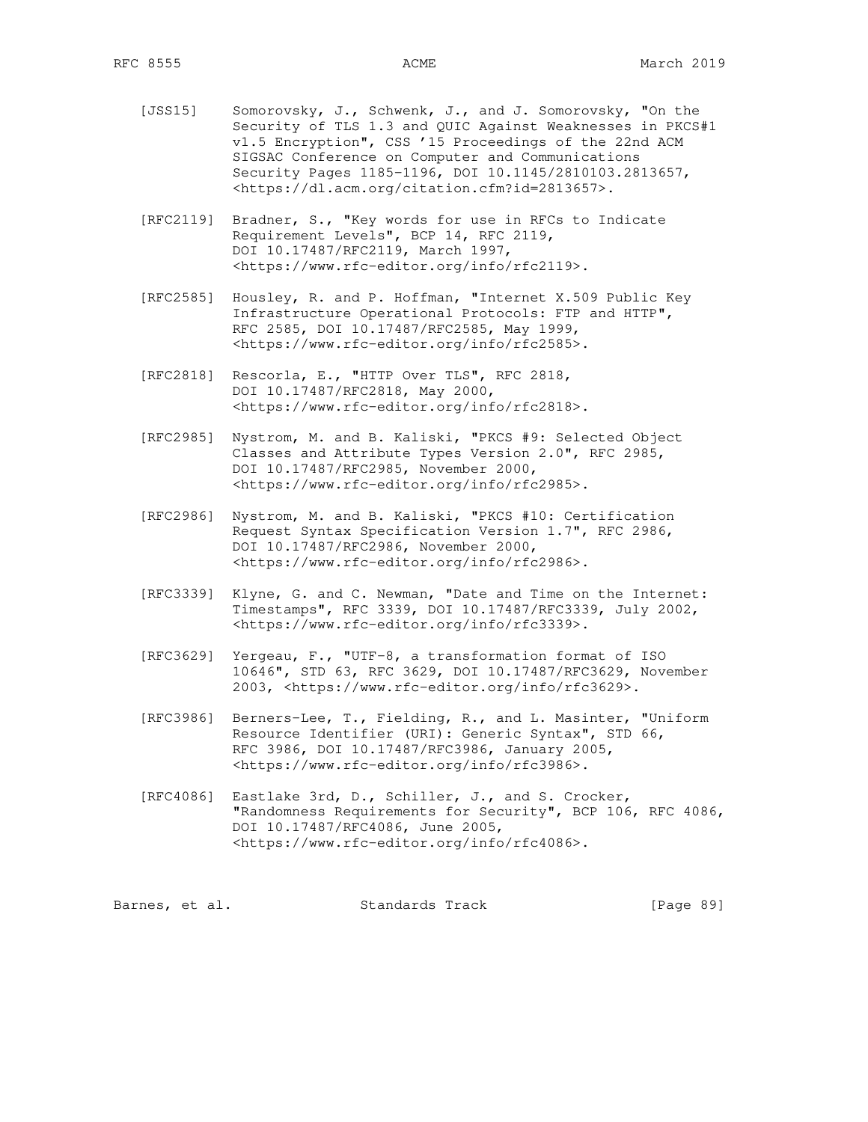- [JSS15] Somorovsky, J., Schwenk, J., and J. Somorovsky, "On the Security of TLS 1.3 and QUIC Against Weaknesses in PKCS#1 v1.5 Encryption", CSS '15 Proceedings of the 22nd ACM SIGSAC Conference on Computer and Communications Security Pages 1185-1196, DOI 10.1145/2810103.2813657, <https://dl.acm.org/citation.cfm?id=2813657>.
- [RFC2119] Bradner, S., "Key words for use in RFCs to Indicate Requirement Levels", BCP 14, RFC 2119, DOI 10.17487/RFC2119, March 1997, <https://www.rfc-editor.org/info/rfc2119>.
- [RFC2585] Housley, R. and P. Hoffman, "Internet X.509 Public Key Infrastructure Operational Protocols: FTP and HTTP", RFC 2585, DOI 10.17487/RFC2585, May 1999, <https://www.rfc-editor.org/info/rfc2585>.
- [RFC2818] Rescorla, E., "HTTP Over TLS", RFC 2818, DOI 10.17487/RFC2818, May 2000, <https://www.rfc-editor.org/info/rfc2818>.
- [RFC2985] Nystrom, M. and B. Kaliski, "PKCS #9: Selected Object Classes and Attribute Types Version 2.0", RFC 2985, DOI 10.17487/RFC2985, November 2000, <https://www.rfc-editor.org/info/rfc2985>.
- [RFC2986] Nystrom, M. and B. Kaliski, "PKCS #10: Certification Request Syntax Specification Version 1.7", RFC 2986, DOI 10.17487/RFC2986, November 2000, <https://www.rfc-editor.org/info/rfc2986>.
- [RFC3339] Klyne, G. and C. Newman, "Date and Time on the Internet: Timestamps", RFC 3339, DOI 10.17487/RFC3339, July 2002, <https://www.rfc-editor.org/info/rfc3339>.
- [RFC3629] Yergeau, F., "UTF-8, a transformation format of ISO 10646", STD 63, RFC 3629, DOI 10.17487/RFC3629, November 2003, <https://www.rfc-editor.org/info/rfc3629>.
- [RFC3986] Berners-Lee, T., Fielding, R., and L. Masinter, "Uniform Resource Identifier (URI): Generic Syntax", STD 66, RFC 3986, DOI 10.17487/RFC3986, January 2005, <https://www.rfc-editor.org/info/rfc3986>.
- [RFC4086] Eastlake 3rd, D., Schiller, J., and S. Crocker, "Randomness Requirements for Security", BCP 106, RFC 4086, DOI 10.17487/RFC4086, June 2005, <https://www.rfc-editor.org/info/rfc4086>.

Barnes, et al. Standards Track [Page 89]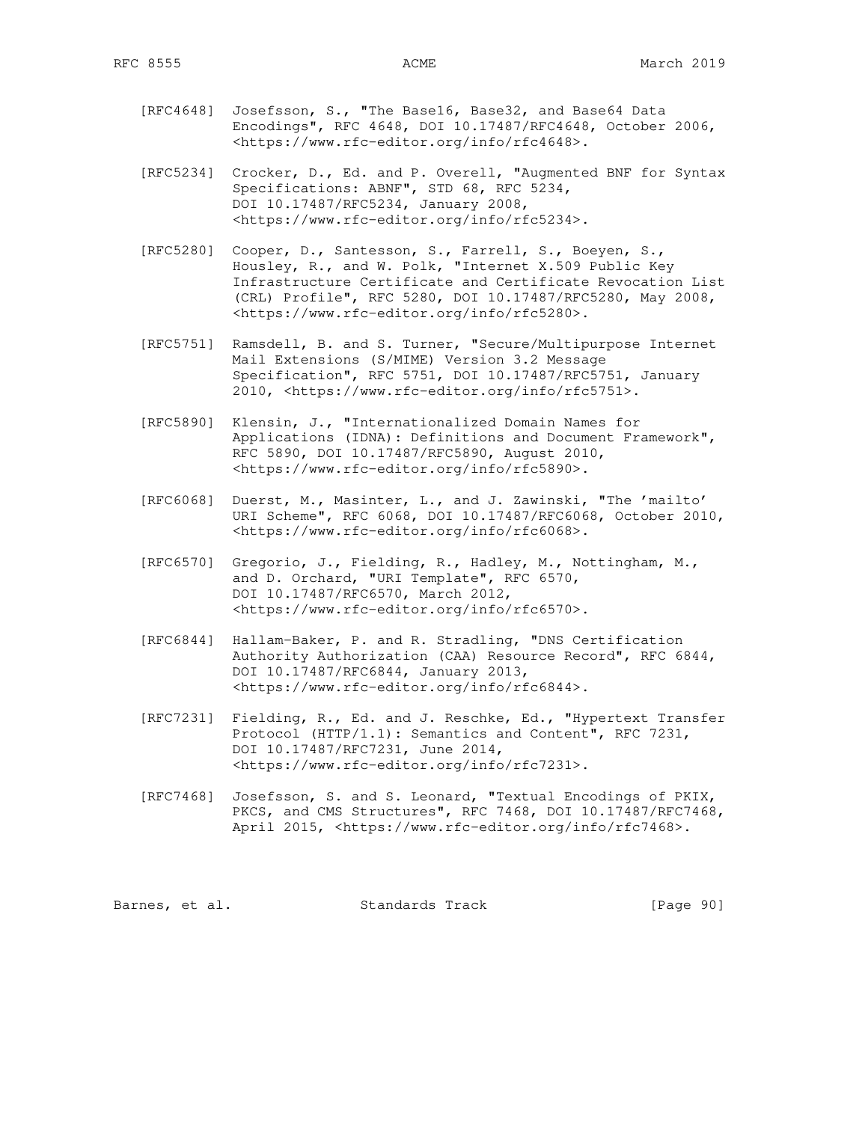- [RFC4648] Josefsson, S., "The Base16, Base32, and Base64 Data Encodings", RFC 4648, DOI 10.17487/RFC4648, October 2006, <https://www.rfc-editor.org/info/rfc4648>.
- [RFC5234] Crocker, D., Ed. and P. Overell, "Augmented BNF for Syntax Specifications: ABNF", STD 68, RFC 5234, DOI 10.17487/RFC5234, January 2008, <https://www.rfc-editor.org/info/rfc5234>.
- [RFC5280] Cooper, D., Santesson, S., Farrell, S., Boeyen, S., Housley, R., and W. Polk, "Internet X.509 Public Key Infrastructure Certificate and Certificate Revocation List (CRL) Profile", RFC 5280, DOI 10.17487/RFC5280, May 2008, <https://www.rfc-editor.org/info/rfc5280>.
- [RFC5751] Ramsdell, B. and S. Turner, "Secure/Multipurpose Internet Mail Extensions (S/MIME) Version 3.2 Message Specification", RFC 5751, DOI 10.17487/RFC5751, January 2010, <https://www.rfc-editor.org/info/rfc5751>.
- [RFC5890] Klensin, J., "Internationalized Domain Names for Applications (IDNA): Definitions and Document Framework", RFC 5890, DOI 10.17487/RFC5890, August 2010, <https://www.rfc-editor.org/info/rfc5890>.
- [RFC6068] Duerst, M., Masinter, L., and J. Zawinski, "The 'mailto' URI Scheme", RFC 6068, DOI 10.17487/RFC6068, October 2010, <https://www.rfc-editor.org/info/rfc6068>.
- [RFC6570] Gregorio, J., Fielding, R., Hadley, M., Nottingham, M., and D. Orchard, "URI Template", RFC 6570, DOI 10.17487/RFC6570, March 2012, <https://www.rfc-editor.org/info/rfc6570>.
- [RFC6844] Hallam-Baker, P. and R. Stradling, "DNS Certification Authority Authorization (CAA) Resource Record", RFC 6844, DOI 10.17487/RFC6844, January 2013, <https://www.rfc-editor.org/info/rfc6844>.
- [RFC7231] Fielding, R., Ed. and J. Reschke, Ed., "Hypertext Transfer Protocol (HTTP/1.1): Semantics and Content", RFC 7231, DOI 10.17487/RFC7231, June 2014, <https://www.rfc-editor.org/info/rfc7231>.
- [RFC7468] Josefsson, S. and S. Leonard, "Textual Encodings of PKIX, PKCS, and CMS Structures", RFC 7468, DOI 10.17487/RFC7468, April 2015, <https://www.rfc-editor.org/info/rfc7468>.

| Barnes, et al. |  |  | Standards Track |  | [Page 90] |  |
|----------------|--|--|-----------------|--|-----------|--|
|----------------|--|--|-----------------|--|-----------|--|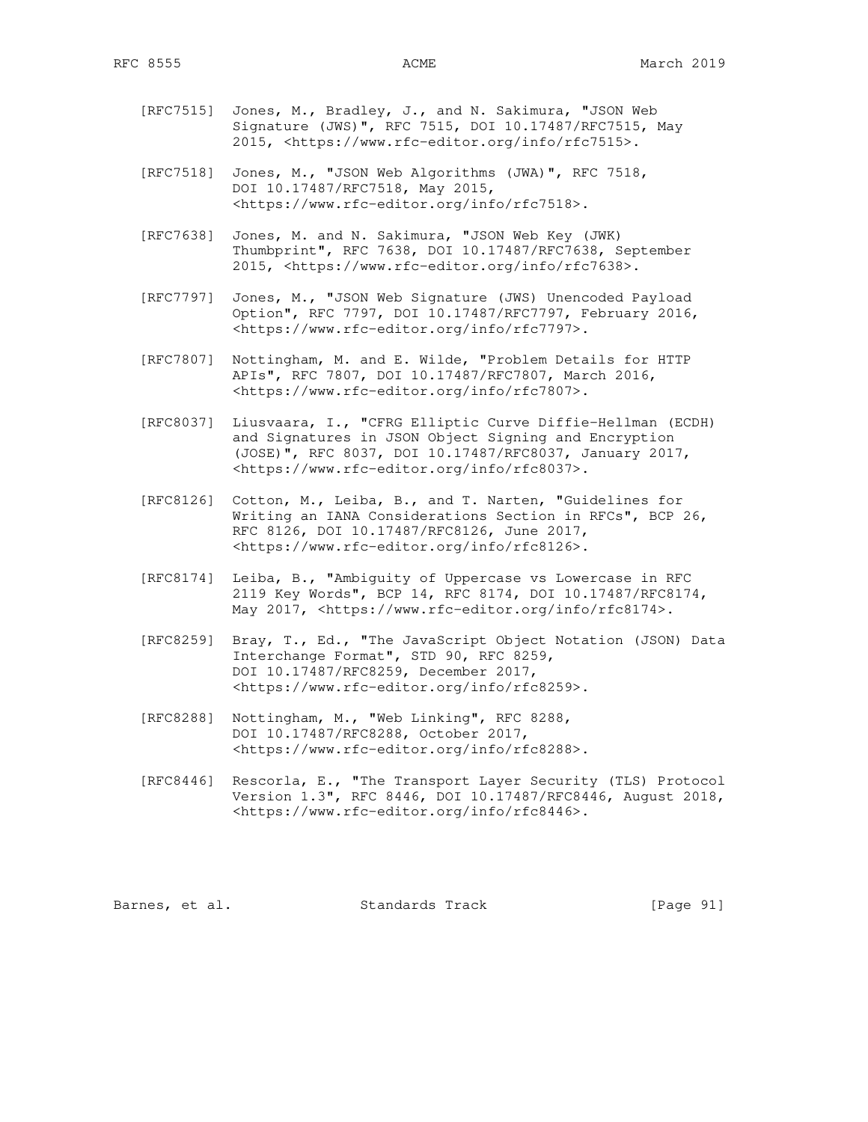- [RFC7515] Jones, M., Bradley, J., and N. Sakimura, "JSON Web Signature (JWS)", RFC 7515, DOI 10.17487/RFC7515, May 2015, <https://www.rfc-editor.org/info/rfc7515>.
- [RFC7518] Jones, M., "JSON Web Algorithms (JWA)", RFC 7518, DOI 10.17487/RFC7518, May 2015, <https://www.rfc-editor.org/info/rfc7518>.
- [RFC7638] Jones, M. and N. Sakimura, "JSON Web Key (JWK) Thumbprint", RFC 7638, DOI 10.17487/RFC7638, September 2015, <https://www.rfc-editor.org/info/rfc7638>.
- [RFC7797] Jones, M., "JSON Web Signature (JWS) Unencoded Payload Option", RFC 7797, DOI 10.17487/RFC7797, February 2016, <https://www.rfc-editor.org/info/rfc7797>.
- [RFC7807] Nottingham, M. and E. Wilde, "Problem Details for HTTP APIs", RFC 7807, DOI 10.17487/RFC7807, March 2016, <https://www.rfc-editor.org/info/rfc7807>.
- [RFC8037] Liusvaara, I., "CFRG Elliptic Curve Diffie-Hellman (ECDH) and Signatures in JSON Object Signing and Encryption (JOSE)", RFC 8037, DOI 10.17487/RFC8037, January 2017, <https://www.rfc-editor.org/info/rfc8037>.
- [RFC8126] Cotton, M., Leiba, B., and T. Narten, "Guidelines for Writing an IANA Considerations Section in RFCs", BCP 26, RFC 8126, DOI 10.17487/RFC8126, June 2017, <https://www.rfc-editor.org/info/rfc8126>.
- [RFC8174] Leiba, B., "Ambiguity of Uppercase vs Lowercase in RFC 2119 Key Words", BCP 14, RFC 8174, DOI 10.17487/RFC8174, May 2017, <https://www.rfc-editor.org/info/rfc8174>.
- [RFC8259] Bray, T., Ed., "The JavaScript Object Notation (JSON) Data Interchange Format", STD 90, RFC 8259, DOI 10.17487/RFC8259, December 2017, <https://www.rfc-editor.org/info/rfc8259>.
- [RFC8288] Nottingham, M., "Web Linking", RFC 8288, DOI 10.17487/RFC8288, October 2017, <https://www.rfc-editor.org/info/rfc8288>.
- [RFC8446] Rescorla, E., "The Transport Layer Security (TLS) Protocol Version 1.3", RFC 8446, DOI 10.17487/RFC8446, August 2018, <https://www.rfc-editor.org/info/rfc8446>.

Barnes, et al. Standards Track [Page 91]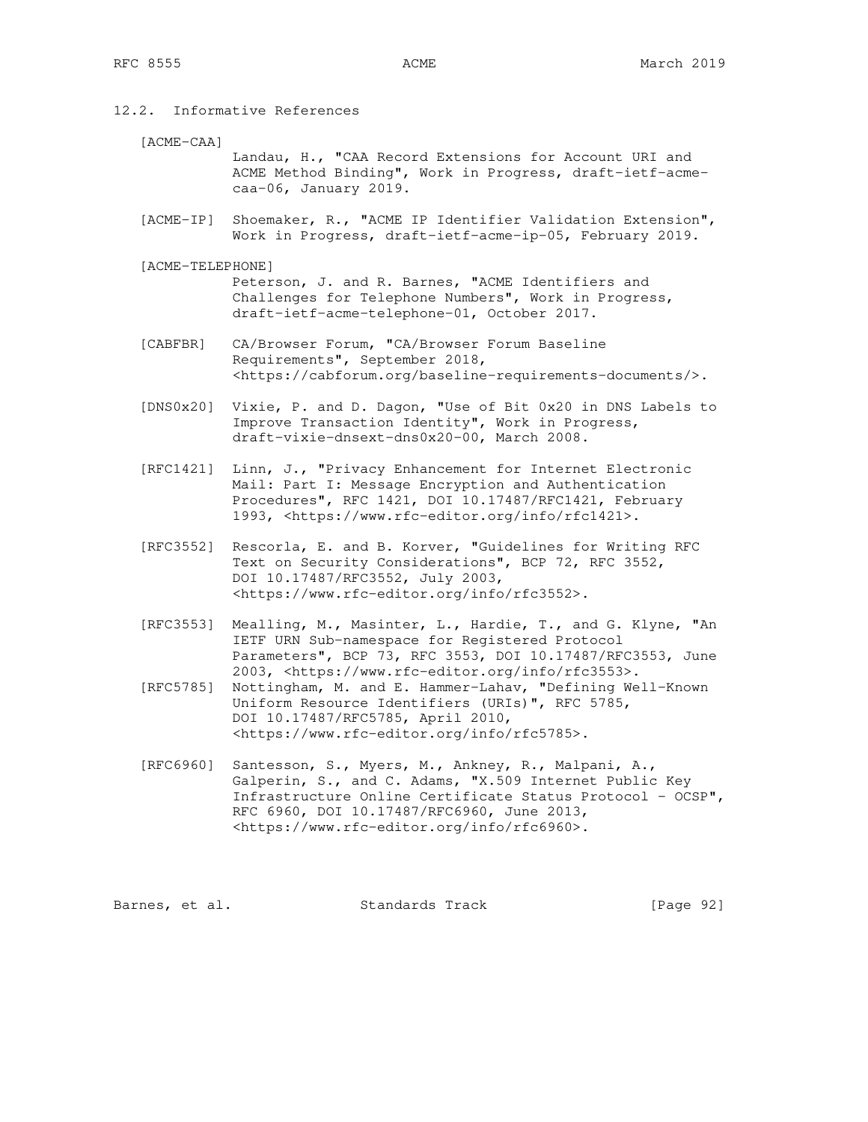12.2. Informative References

[ACME-CAA]

 Landau, H., "CAA Record Extensions for Account URI and ACME Method Binding", Work in Progress, draft-ietf-acme caa-06, January 2019.

- [ACME-IP] Shoemaker, R., "ACME IP Identifier Validation Extension", Work in Progress, draft-ietf-acme-ip-05, February 2019.
- [ACME-TELEPHONE]

 Peterson, J. and R. Barnes, "ACME Identifiers and Challenges for Telephone Numbers", Work in Progress, draft-ietf-acme-telephone-01, October 2017.

- [CABFBR] CA/Browser Forum, "CA/Browser Forum Baseline Requirements", September 2018, <https://cabforum.org/baseline-requirements-documents/>.
- [DNS0x20] Vixie, P. and D. Dagon, "Use of Bit 0x20 in DNS Labels to Improve Transaction Identity", Work in Progress, draft-vixie-dnsext-dns0x20-00, March 2008.
- [RFC1421] Linn, J., "Privacy Enhancement for Internet Electronic Mail: Part I: Message Encryption and Authentication Procedures", RFC 1421, DOI 10.17487/RFC1421, February 1993, <https://www.rfc-editor.org/info/rfc1421>.
- [RFC3552] Rescorla, E. and B. Korver, "Guidelines for Writing RFC Text on Security Considerations", BCP 72, RFC 3552, DOI 10.17487/RFC3552, July 2003, <https://www.rfc-editor.org/info/rfc3552>.
- [RFC3553] Mealling, M., Masinter, L., Hardie, T., and G. Klyne, "An IETF URN Sub-namespace for Registered Protocol Parameters", BCP 73, RFC 3553, DOI 10.17487/RFC3553, June 2003, <https://www.rfc-editor.org/info/rfc3553>.
- [RFC5785] Nottingham, M. and E. Hammer-Lahav, "Defining Well-Known Uniform Resource Identifiers (URIs)", RFC 5785, DOI 10.17487/RFC5785, April 2010, <https://www.rfc-editor.org/info/rfc5785>.
- [RFC6960] Santesson, S., Myers, M., Ankney, R., Malpani, A., Galperin, S., and C. Adams, "X.509 Internet Public Key Infrastructure Online Certificate Status Protocol - OCSP", RFC 6960, DOI 10.17487/RFC6960, June 2013, <https://www.rfc-editor.org/info/rfc6960>.

Barnes, et al. Standards Track [Page 92]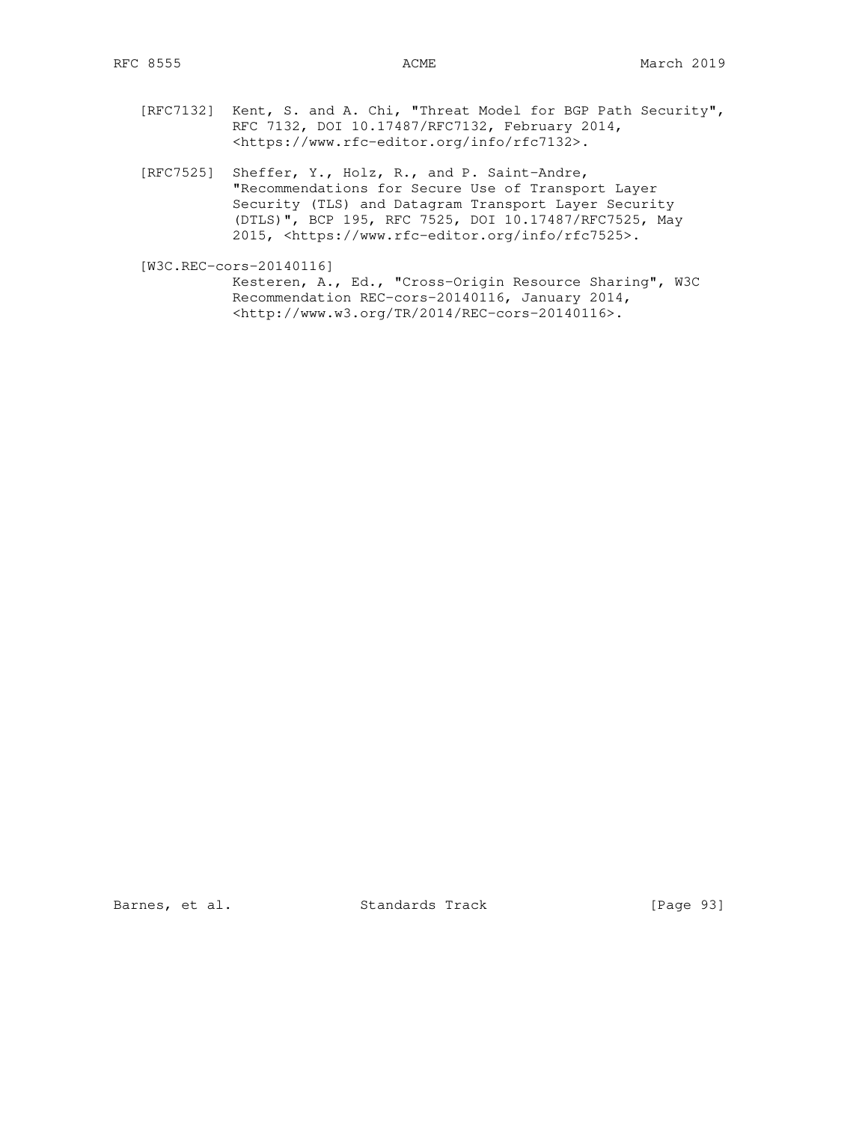- [RFC7132] Kent, S. and A. Chi, "Threat Model for BGP Path Security", RFC 7132, DOI 10.17487/RFC7132, February 2014, <https://www.rfc-editor.org/info/rfc7132>.
- [RFC7525] Sheffer, Y., Holz, R., and P. Saint-Andre, "Recommendations for Secure Use of Transport Layer Security (TLS) and Datagram Transport Layer Security (DTLS)", BCP 195, RFC 7525, DOI 10.17487/RFC7525, May 2015, <https://www.rfc-editor.org/info/rfc7525>.

 [W3C.REC-cors-20140116] Kesteren, A., Ed., "Cross-Origin Resource Sharing", W3C Recommendation REC-cors-20140116, January 2014, <http://www.w3.org/TR/2014/REC-cors-20140116>.

Barnes, et al. Standards Track [Page 93]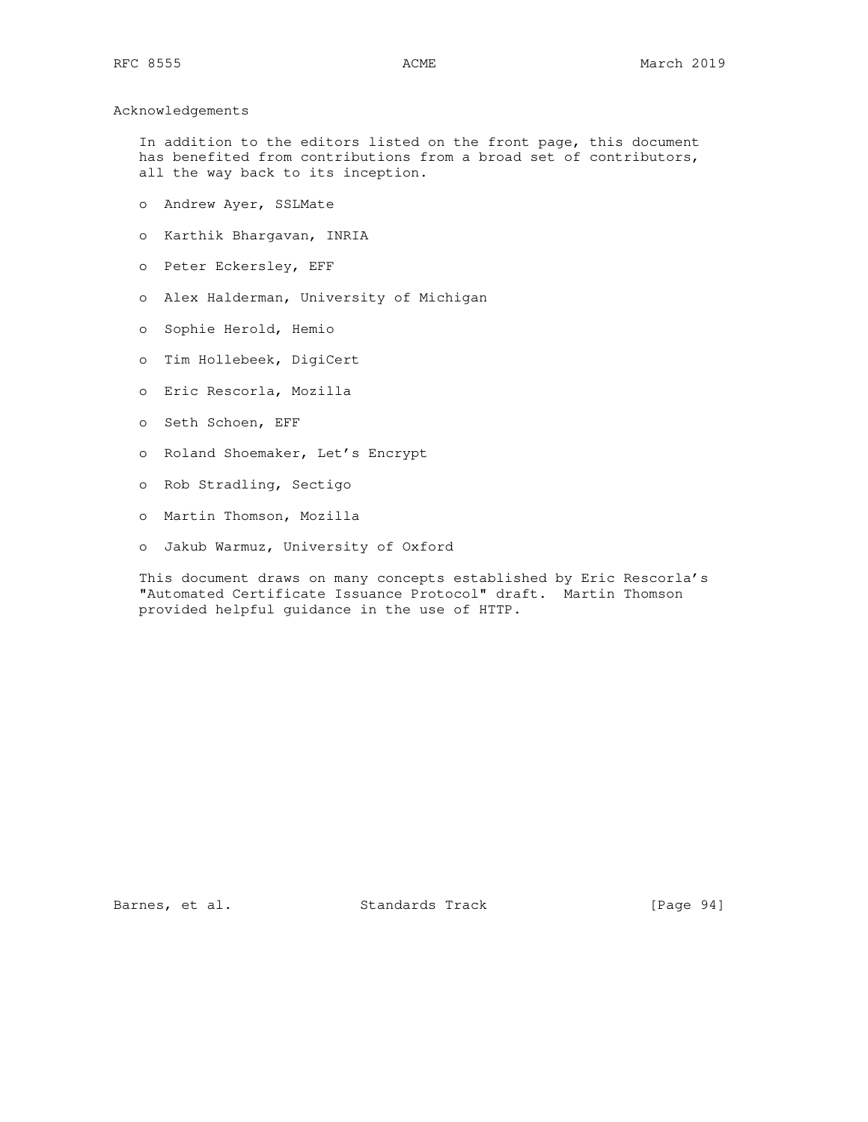### Acknowledgements

 In addition to the editors listed on the front page, this document has benefited from contributions from a broad set of contributors, all the way back to its inception.

- o Andrew Ayer, SSLMate
- o Karthik Bhargavan, INRIA
- o Peter Eckersley, EFF
- o Alex Halderman, University of Michigan
- o Sophie Herold, Hemio
- o Tim Hollebeek, DigiCert
- o Eric Rescorla, Mozilla
- o Seth Schoen, EFF
- o Roland Shoemaker, Let's Encrypt
- o Rob Stradling, Sectigo
- o Martin Thomson, Mozilla
- o Jakub Warmuz, University of Oxford

 This document draws on many concepts established by Eric Rescorla's "Automated Certificate Issuance Protocol" draft. Martin Thomson provided helpful guidance in the use of HTTP.

Barnes, et al. Standards Track [Page 94]